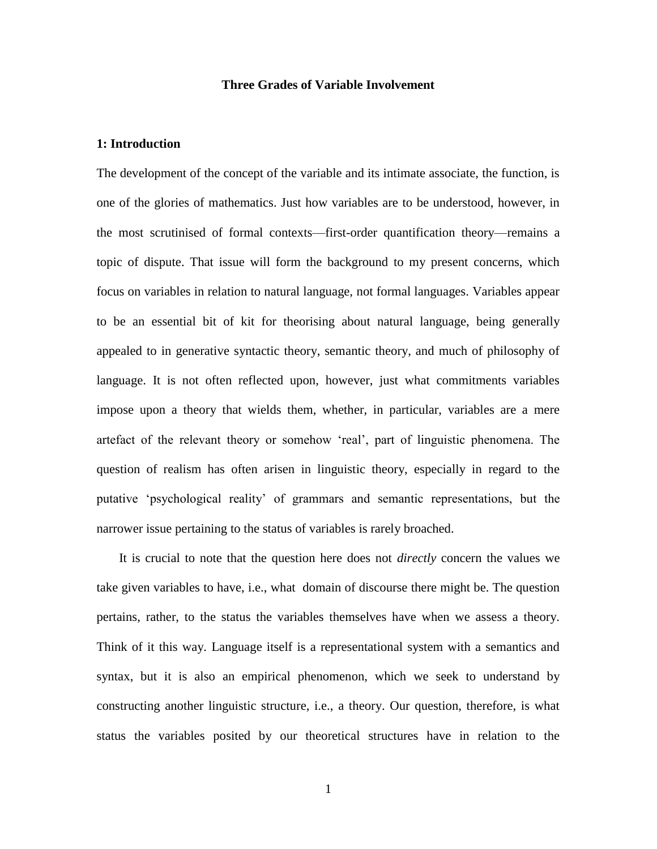### **Three Grades of Variable Involvement**

# **1: Introduction**

The development of the concept of the variable and its intimate associate, the function, is one of the glories of mathematics. Just how variables are to be understood, however, in the most scrutinised of formal contexts—first-order quantification theory—remains a topic of dispute. That issue will form the background to my present concerns, which focus on variables in relation to natural language, not formal languages. Variables appear to be an essential bit of kit for theorising about natural language, being generally appealed to in generative syntactic theory, semantic theory, and much of philosophy of language. It is not often reflected upon, however, just what commitments variables impose upon a theory that wields them, whether, in particular, variables are a mere artefact of the relevant theory or somehow 'real', part of linguistic phenomena. The question of realism has often arisen in linguistic theory, especially in regard to the putative 'psychological reality' of grammars and semantic representations, but the narrower issue pertaining to the status of variables is rarely broached.

 It is crucial to note that the question here does not *directly* concern the values we take given variables to have, i.e., what domain of discourse there might be. The question pertains, rather, to the status the variables themselves have when we assess a theory. Think of it this way. Language itself is a representational system with a semantics and syntax, but it is also an empirical phenomenon, which we seek to understand by constructing another linguistic structure, i.e., a theory. Our question, therefore, is what status the variables posited by our theoretical structures have in relation to the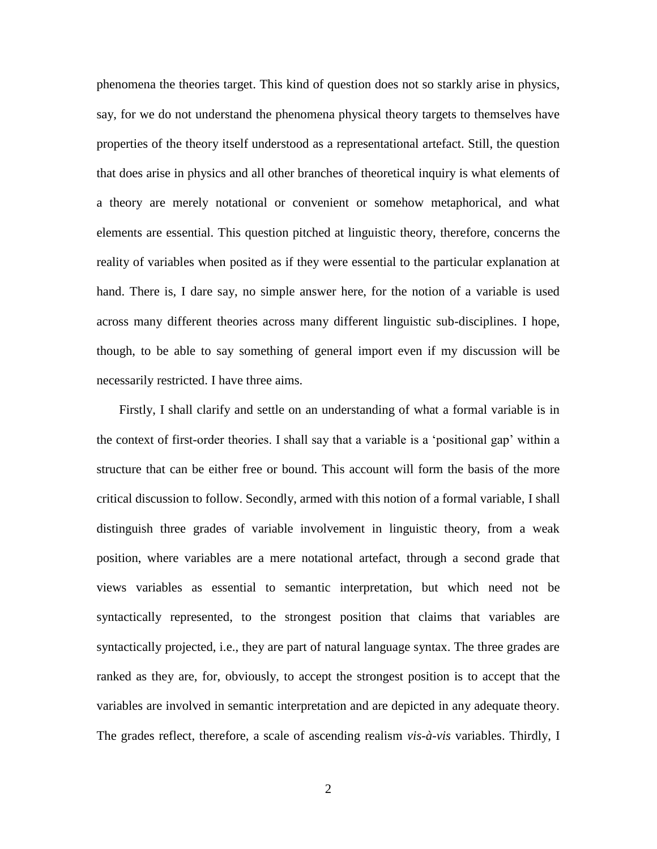phenomena the theories target. This kind of question does not so starkly arise in physics, say, for we do not understand the phenomena physical theory targets to themselves have properties of the theory itself understood as a representational artefact. Still, the question that does arise in physics and all other branches of theoretical inquiry is what elements of a theory are merely notational or convenient or somehow metaphorical, and what elements are essential. This question pitched at linguistic theory, therefore, concerns the reality of variables when posited as if they were essential to the particular explanation at hand. There is, I dare say, no simple answer here, for the notion of a variable is used across many different theories across many different linguistic sub-disciplines. I hope, though, to be able to say something of general import even if my discussion will be necessarily restricted. I have three aims.

 Firstly, I shall clarify and settle on an understanding of what a formal variable is in the context of first-order theories. I shall say that a variable is a 'positional gap' within a structure that can be either free or bound. This account will form the basis of the more critical discussion to follow. Secondly, armed with this notion of a formal variable, I shall distinguish three grades of variable involvement in linguistic theory, from a weak position, where variables are a mere notational artefact, through a second grade that views variables as essential to semantic interpretation, but which need not be syntactically represented, to the strongest position that claims that variables are syntactically projected, i.e., they are part of natural language syntax. The three grades are ranked as they are, for, obviously, to accept the strongest position is to accept that the variables are involved in semantic interpretation and are depicted in any adequate theory. The grades reflect, therefore, a scale of ascending realism *vis-à-vis* variables. Thirdly, I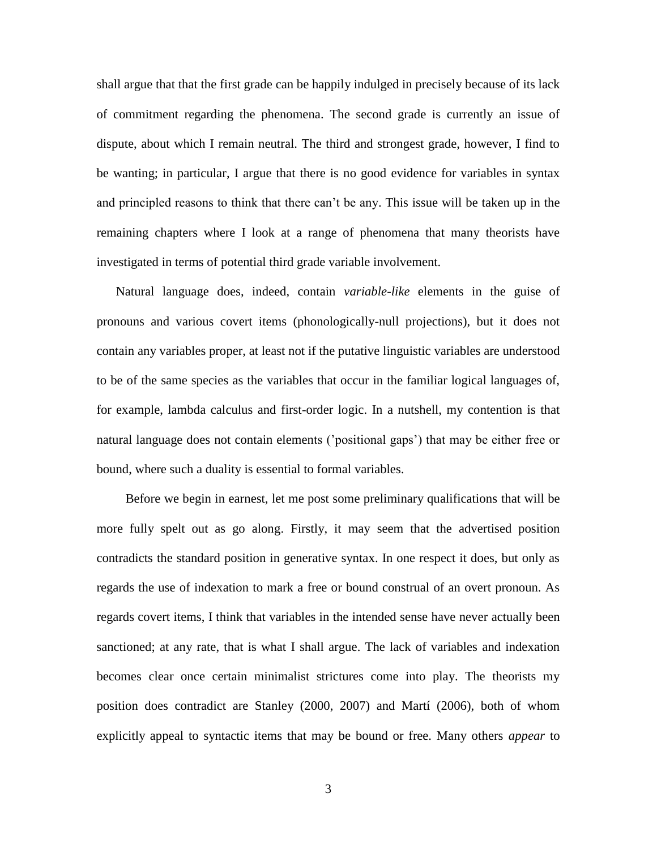shall argue that that the first grade can be happily indulged in precisely because of its lack of commitment regarding the phenomena. The second grade is currently an issue of dispute, about which I remain neutral. The third and strongest grade, however, I find to be wanting; in particular, I argue that there is no good evidence for variables in syntax and principled reasons to think that there can't be any. This issue will be taken up in the remaining chapters where I look at a range of phenomena that many theorists have investigated in terms of potential third grade variable involvement.

 Natural language does, indeed, contain *variable-like* elements in the guise of pronouns and various covert items (phonologically-null projections), but it does not contain any variables proper, at least not if the putative linguistic variables are understood to be of the same species as the variables that occur in the familiar logical languages of, for example, lambda calculus and first-order logic. In a nutshell, my contention is that natural language does not contain elements ('positional gaps') that may be either free or bound, where such a duality is essential to formal variables.

 Before we begin in earnest, let me post some preliminary qualifications that will be more fully spelt out as go along. Firstly, it may seem that the advertised position contradicts the standard position in generative syntax. In one respect it does, but only as regards the use of indexation to mark a free or bound construal of an overt pronoun. As regards covert items, I think that variables in the intended sense have never actually been sanctioned; at any rate, that is what I shall argue. The lack of variables and indexation becomes clear once certain minimalist strictures come into play. The theorists my position does contradict are Stanley (2000, 2007) and Martí (2006), both of whom explicitly appeal to syntactic items that may be bound or free. Many others *appear* to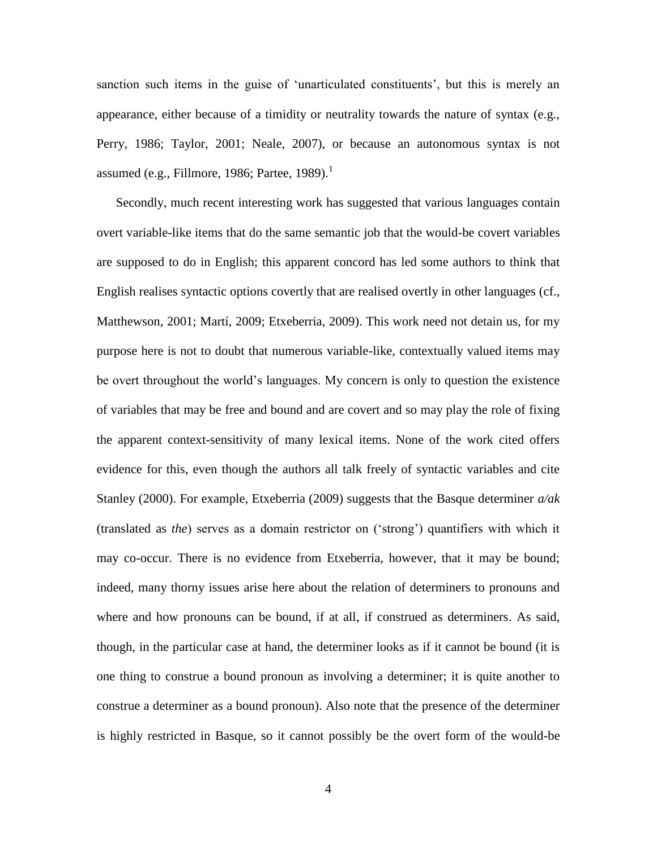sanction such items in the guise of 'unarticulated constituents', but this is merely an appearance, either because of a timidity or neutrality towards the nature of syntax (e.g., Perry, 1986; Taylor, 2001; Neale, 2007), or because an autonomous syntax is not assumed (e.g., Fillmore, 1986; Partee, 1989). $^1$ 

 Secondly, much recent interesting work has suggested that various languages contain overt variable-like items that do the same semantic job that the would-be covert variables are supposed to do in English; this apparent concord has led some authors to think that English realises syntactic options covertly that are realised overtly in other languages (cf., Matthewson, 2001; Martí, 2009; Etxeberria, 2009). This work need not detain us, for my purpose here is not to doubt that numerous variable-like, contextually valued items may be overt throughout the world's languages. My concern is only to question the existence of variables that may be free and bound and are covert and so may play the role of fixing the apparent context-sensitivity of many lexical items. None of the work cited offers evidence for this, even though the authors all talk freely of syntactic variables and cite Stanley (2000). For example, Etxeberria (2009) suggests that the Basque determiner *a/ak* (translated as *the*) serves as a domain restrictor on ('strong') quantifiers with which it may co-occur. There is no evidence from Etxeberria, however, that it may be bound; indeed, many thorny issues arise here about the relation of determiners to pronouns and where and how pronouns can be bound, if at all, if construed as determiners. As said, though, in the particular case at hand, the determiner looks as if it cannot be bound (it is one thing to construe a bound pronoun as involving a determiner; it is quite another to construe a determiner as a bound pronoun). Also note that the presence of the determiner is highly restricted in Basque, so it cannot possibly be the overt form of the would-be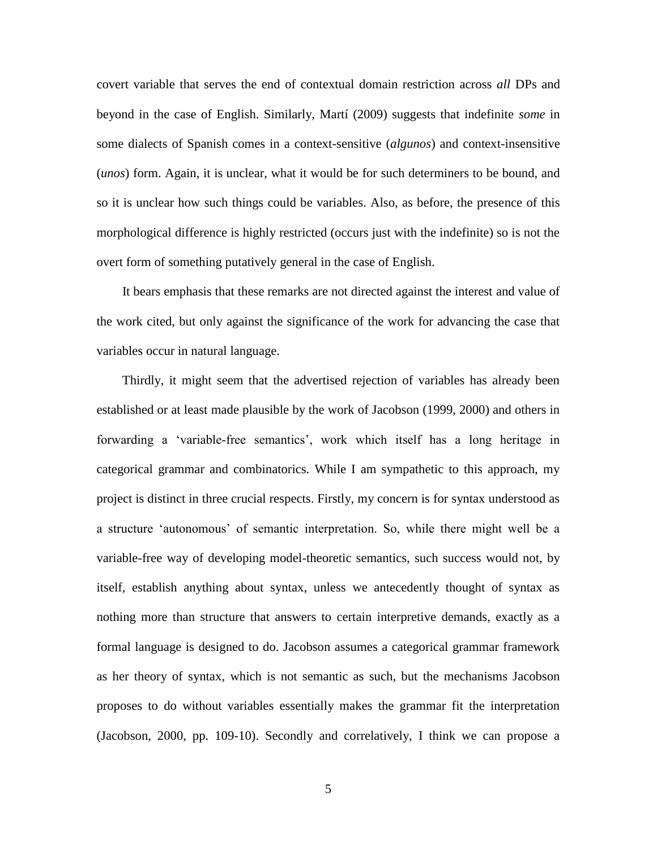covert variable that serves the end of contextual domain restriction across *all* DPs and beyond in the case of English. Similarly, Martí (2009) suggests that indefinite *some* in some dialects of Spanish comes in a context-sensitive (*algunos*) and context-insensitive (*unos*) form. Again, it is unclear, what it would be for such determiners to be bound, and so it is unclear how such things could be variables. Also, as before, the presence of this morphological difference is highly restricted (occurs just with the indefinite) so is not the overt form of something putatively general in the case of English.

 It bears emphasis that these remarks are not directed against the interest and value of the work cited, but only against the significance of the work for advancing the case that variables occur in natural language.

 Thirdly, it might seem that the advertised rejection of variables has already been established or at least made plausible by the work of Jacobson (1999, 2000) and others in forwarding a 'variable-free semantics', work which itself has a long heritage in categorical grammar and combinatorics. While I am sympathetic to this approach, my project is distinct in three crucial respects. Firstly, my concern is for syntax understood as a structure 'autonomous' of semantic interpretation. So, while there might well be a variable-free way of developing model-theoretic semantics, such success would not, by itself, establish anything about syntax, unless we antecedently thought of syntax as nothing more than structure that answers to certain interpretive demands, exactly as a formal language is designed to do. Jacobson assumes a categorical grammar framework as her theory of syntax, which is not semantic as such, but the mechanisms Jacobson proposes to do without variables essentially makes the grammar fit the interpretation (Jacobson, 2000, pp. 109-10). Secondly and correlatively, I think we can propose a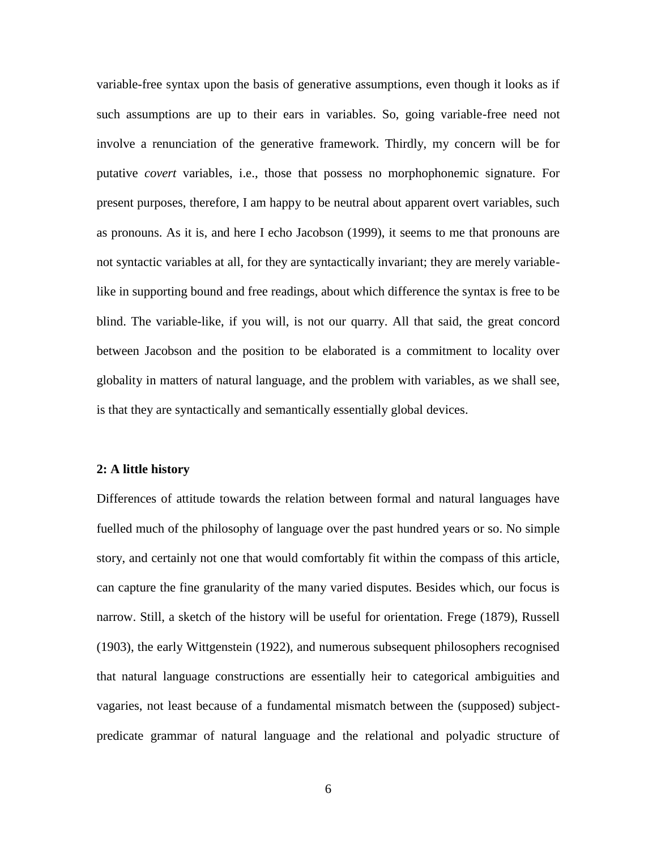variable-free syntax upon the basis of generative assumptions, even though it looks as if such assumptions are up to their ears in variables. So, going variable-free need not involve a renunciation of the generative framework. Thirdly, my concern will be for putative *covert* variables, i.e., those that possess no morphophonemic signature. For present purposes, therefore, I am happy to be neutral about apparent overt variables, such as pronouns. As it is, and here I echo Jacobson (1999), it seems to me that pronouns are not syntactic variables at all, for they are syntactically invariant; they are merely variablelike in supporting bound and free readings, about which difference the syntax is free to be blind. The variable-like, if you will, is not our quarry. All that said, the great concord between Jacobson and the position to be elaborated is a commitment to locality over globality in matters of natural language, and the problem with variables, as we shall see, is that they are syntactically and semantically essentially global devices.

#### **2: A little history**

Differences of attitude towards the relation between formal and natural languages have fuelled much of the philosophy of language over the past hundred years or so. No simple story, and certainly not one that would comfortably fit within the compass of this article, can capture the fine granularity of the many varied disputes. Besides which, our focus is narrow. Still, a sketch of the history will be useful for orientation. Frege (1879), Russell (1903), the early Wittgenstein (1922), and numerous subsequent philosophers recognised that natural language constructions are essentially heir to categorical ambiguities and vagaries, not least because of a fundamental mismatch between the (supposed) subjectpredicate grammar of natural language and the relational and polyadic structure of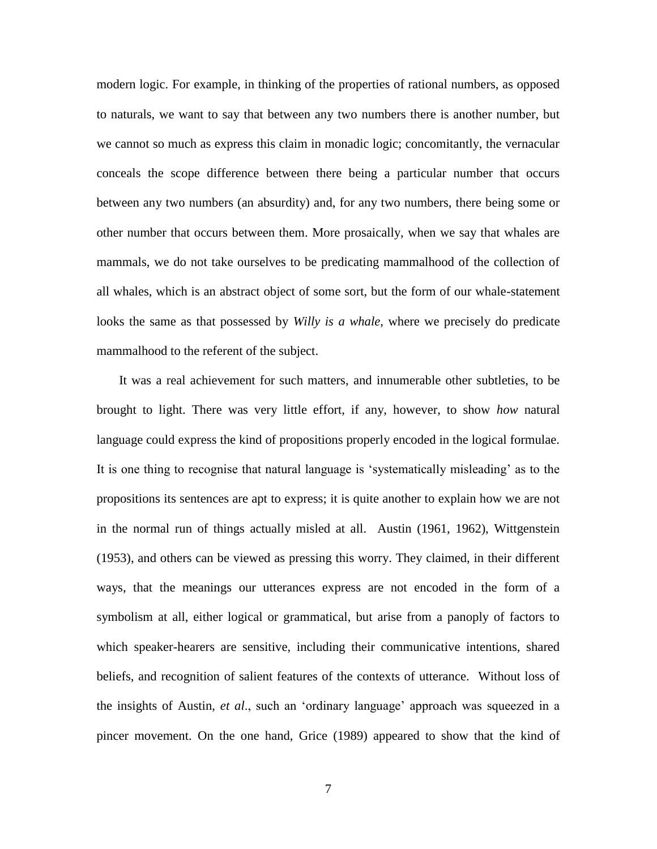modern logic. For example, in thinking of the properties of rational numbers, as opposed to naturals, we want to say that between any two numbers there is another number, but we cannot so much as express this claim in monadic logic; concomitantly, the vernacular conceals the scope difference between there being a particular number that occurs between any two numbers (an absurdity) and, for any two numbers, there being some or other number that occurs between them. More prosaically, when we say that whales are mammals, we do not take ourselves to be predicating mammalhood of the collection of all whales, which is an abstract object of some sort, but the form of our whale-statement looks the same as that possessed by *Willy is a whale*, where we precisely do predicate mammalhood to the referent of the subject.

 It was a real achievement for such matters, and innumerable other subtleties, to be brought to light. There was very little effort, if any, however, to show *how* natural language could express the kind of propositions properly encoded in the logical formulae. It is one thing to recognise that natural language is 'systematically misleading' as to the propositions its sentences are apt to express; it is quite another to explain how we are not in the normal run of things actually misled at all. Austin (1961, 1962), Wittgenstein (1953), and others can be viewed as pressing this worry. They claimed, in their different ways, that the meanings our utterances express are not encoded in the form of a symbolism at all, either logical or grammatical, but arise from a panoply of factors to which speaker-hearers are sensitive, including their communicative intentions, shared beliefs, and recognition of salient features of the contexts of utterance. Without loss of the insights of Austin, *et al*., such an 'ordinary language' approach was squeezed in a pincer movement. On the one hand, Grice (1989) appeared to show that the kind of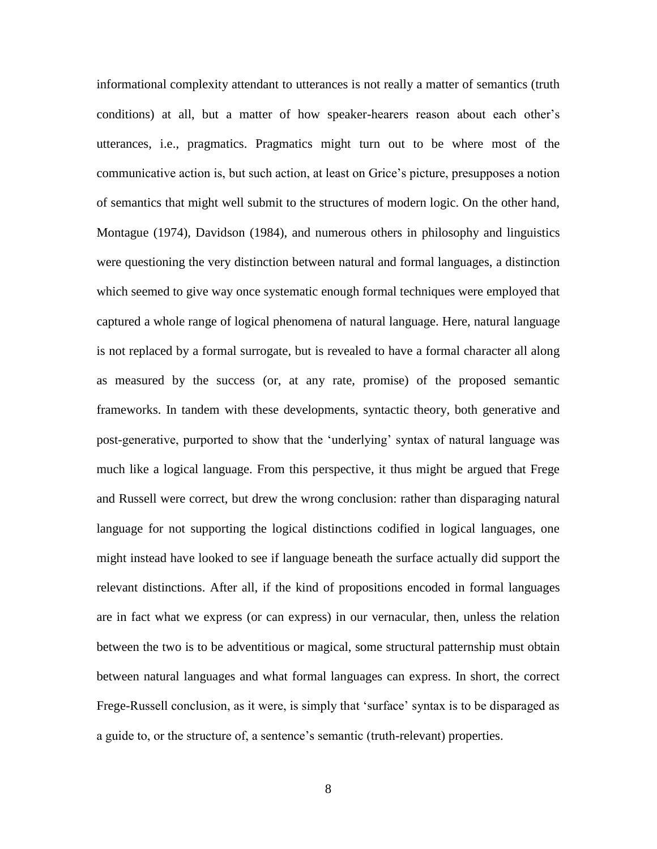informational complexity attendant to utterances is not really a matter of semantics (truth conditions) at all, but a matter of how speaker-hearers reason about each other's utterances, i.e., pragmatics. Pragmatics might turn out to be where most of the communicative action is, but such action, at least on Grice's picture, presupposes a notion of semantics that might well submit to the structures of modern logic. On the other hand, Montague (1974), Davidson (1984), and numerous others in philosophy and linguistics were questioning the very distinction between natural and formal languages, a distinction which seemed to give way once systematic enough formal techniques were employed that captured a whole range of logical phenomena of natural language. Here, natural language is not replaced by a formal surrogate, but is revealed to have a formal character all along as measured by the success (or, at any rate, promise) of the proposed semantic frameworks. In tandem with these developments, syntactic theory, both generative and post-generative, purported to show that the 'underlying' syntax of natural language was much like a logical language. From this perspective, it thus might be argued that Frege and Russell were correct, but drew the wrong conclusion: rather than disparaging natural language for not supporting the logical distinctions codified in logical languages, one might instead have looked to see if language beneath the surface actually did support the relevant distinctions. After all, if the kind of propositions encoded in formal languages are in fact what we express (or can express) in our vernacular, then, unless the relation between the two is to be adventitious or magical, some structural patternship must obtain between natural languages and what formal languages can express. In short, the correct Frege-Russell conclusion, as it were, is simply that 'surface' syntax is to be disparaged as a guide to, or the structure of, a sentence's semantic (truth-relevant) properties.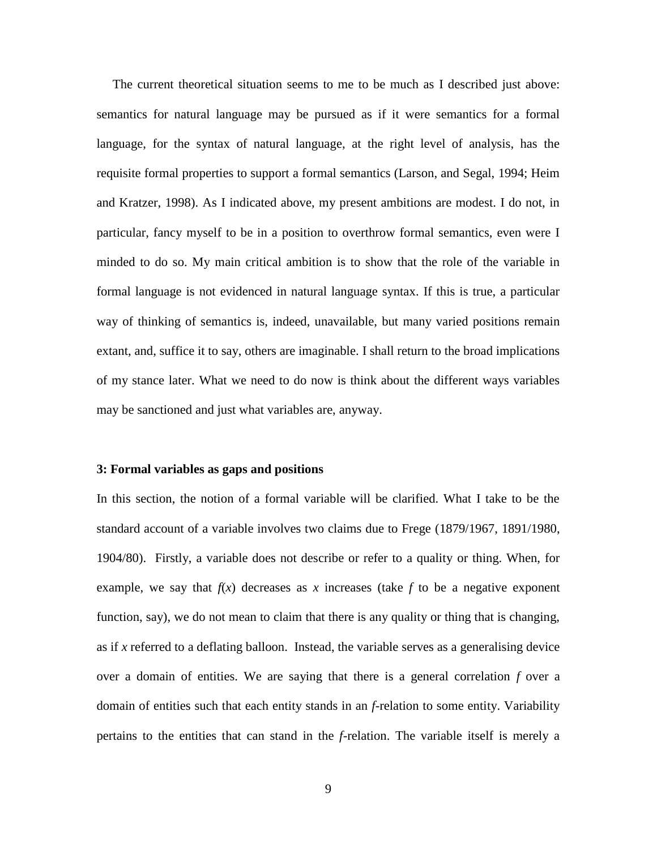The current theoretical situation seems to me to be much as I described just above: semantics for natural language may be pursued as if it were semantics for a formal language, for the syntax of natural language, at the right level of analysis, has the requisite formal properties to support a formal semantics (Larson, and Segal, 1994; Heim and Kratzer, 1998). As I indicated above, my present ambitions are modest. I do not, in particular, fancy myself to be in a position to overthrow formal semantics, even were I minded to do so. My main critical ambition is to show that the role of the variable in formal language is not evidenced in natural language syntax. If this is true, a particular way of thinking of semantics is, indeed, unavailable, but many varied positions remain extant, and, suffice it to say, others are imaginable. I shall return to the broad implications of my stance later. What we need to do now is think about the different ways variables may be sanctioned and just what variables are, anyway.

### **3: Formal variables as gaps and positions**

In this section, the notion of a formal variable will be clarified. What I take to be the standard account of a variable involves two claims due to Frege (1879/1967, 1891/1980, 1904/80). Firstly, a variable does not describe or refer to a quality or thing. When, for example, we say that  $f(x)$  decreases as x increases (take f to be a negative exponent function, say), we do not mean to claim that there is any quality or thing that is changing, as if *x* referred to a deflating balloon. Instead, the variable serves as a generalising device over a domain of entities. We are saying that there is a general correlation *f* over a domain of entities such that each entity stands in an *f*-relation to some entity. Variability pertains to the entities that can stand in the *f*-relation. The variable itself is merely a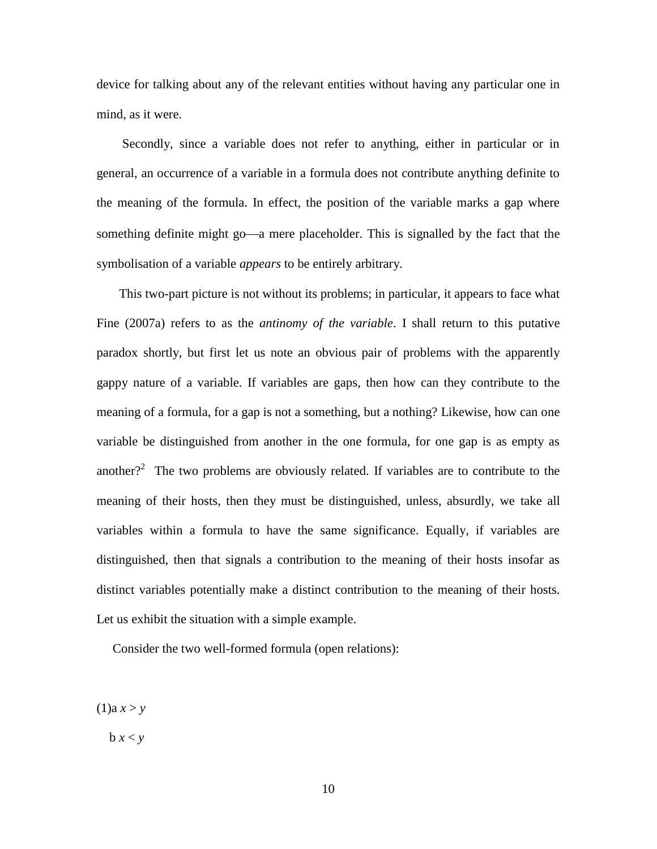device for talking about any of the relevant entities without having any particular one in mind, as it were.

 Secondly, since a variable does not refer to anything, either in particular or in general, an occurrence of a variable in a formula does not contribute anything definite to the meaning of the formula. In effect, the position of the variable marks a gap where something definite might go—a mere placeholder. This is signalled by the fact that the symbolisation of a variable *appears* to be entirely arbitrary.

 This two-part picture is not without its problems; in particular, it appears to face what Fine (2007a) refers to as the *antinomy of the variable*. I shall return to this putative paradox shortly, but first let us note an obvious pair of problems with the apparently gappy nature of a variable. If variables are gaps, then how can they contribute to the meaning of a formula, for a gap is not a something, but a nothing? Likewise, how can one variable be distinguished from another in the one formula, for one gap is as empty as another?<sup>2</sup> The two problems are obviously related. If variables are to contribute to the meaning of their hosts, then they must be distinguished, unless, absurdly, we take all variables within a formula to have the same significance. Equally, if variables are distinguished, then that signals a contribution to the meaning of their hosts insofar as distinct variables potentially make a distinct contribution to the meaning of their hosts. Let us exhibit the situation with a simple example.

Consider the two well-formed formula (open relations):

 $(1)$ a  $x > y$ 

 $b x < y$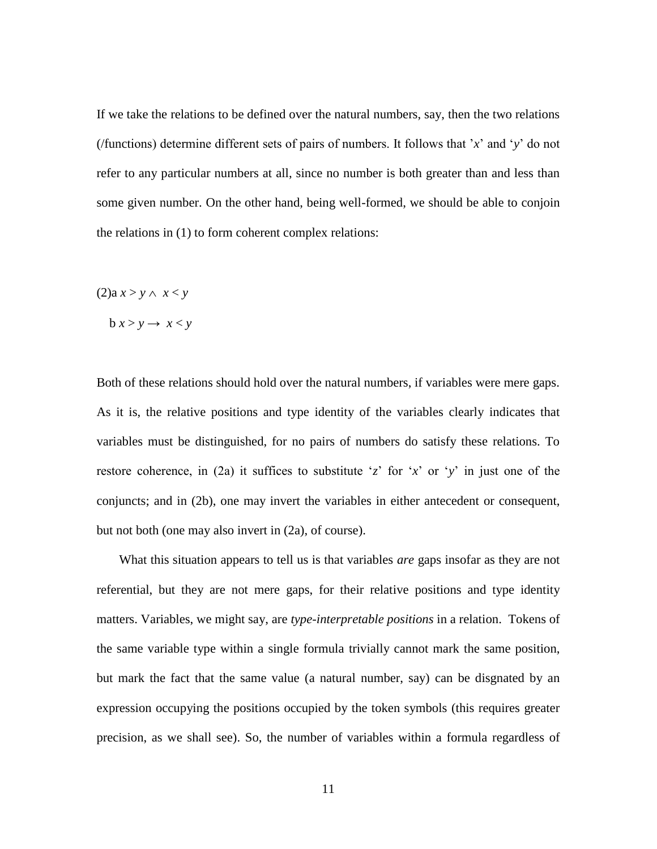If we take the relations to be defined over the natural numbers, say, then the two relations (/functions) determine different sets of pairs of numbers. It follows that '*x*' and '*y*' do not refer to any particular numbers at all, since no number is both greater than and less than some given number. On the other hand, being well-formed, we should be able to conjoin the relations in (1) to form coherent complex relations:

 $(2)a x > y \land x < y$ 

 $b x > y \rightarrow x < y$ 

Both of these relations should hold over the natural numbers, if variables were mere gaps. As it is, the relative positions and type identity of the variables clearly indicates that variables must be distinguished, for no pairs of numbers do satisfy these relations. To restore coherence, in (2a) it suffices to substitute '*z*' for '*x*' or '*y*' in just one of the conjuncts; and in (2b), one may invert the variables in either antecedent or consequent, but not both (one may also invert in (2a), of course).

 What this situation appears to tell us is that variables *are* gaps insofar as they are not referential, but they are not mere gaps, for their relative positions and type identity matters. Variables, we might say, are *type-interpretable positions* in a relation. Tokens of the same variable type within a single formula trivially cannot mark the same position, but mark the fact that the same value (a natural number, say) can be disgnated by an expression occupying the positions occupied by the token symbols (this requires greater precision, as we shall see). So, the number of variables within a formula regardless of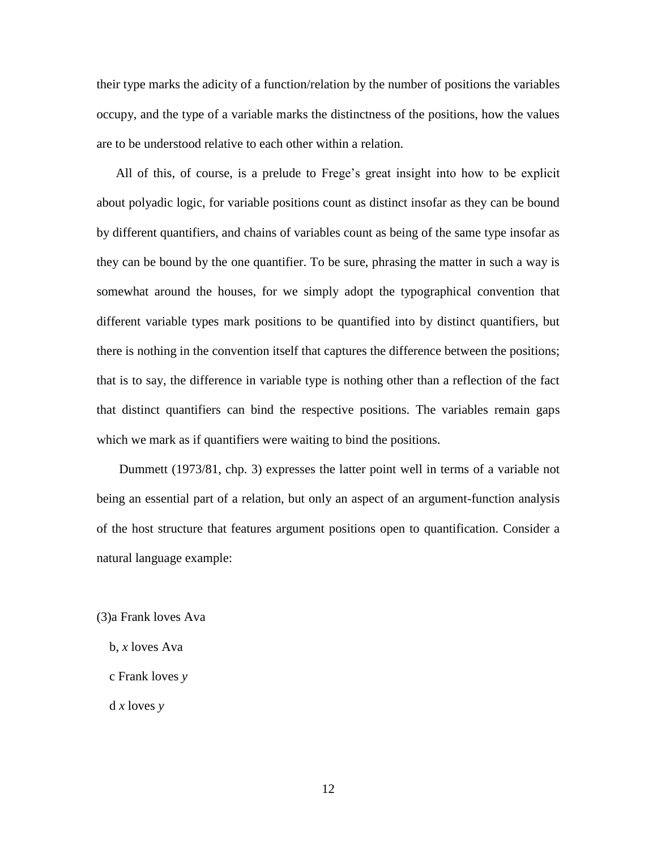their type marks the adicity of a function/relation by the number of positions the variables occupy, and the type of a variable marks the distinctness of the positions, how the values are to be understood relative to each other within a relation.

 All of this, of course, is a prelude to Frege's great insight into how to be explicit about polyadic logic, for variable positions count as distinct insofar as they can be bound by different quantifiers, and chains of variables count as being of the same type insofar as they can be bound by the one quantifier. To be sure, phrasing the matter in such a way is somewhat around the houses, for we simply adopt the typographical convention that different variable types mark positions to be quantified into by distinct quantifiers, but there is nothing in the convention itself that captures the difference between the positions; that is to say, the difference in variable type is nothing other than a reflection of the fact that distinct quantifiers can bind the respective positions. The variables remain gaps which we mark as if quantifiers were waiting to bind the positions.

 Dummett (1973/81, chp. 3) expresses the latter point well in terms of a variable not being an essential part of a relation, but only an aspect of an argument-function analysis of the host structure that features argument positions open to quantification. Consider a natural language example:

(3)a Frank loves Ava

- b, *x* loves Ava
- c Frank loves *y*

d *x* loves *y*

12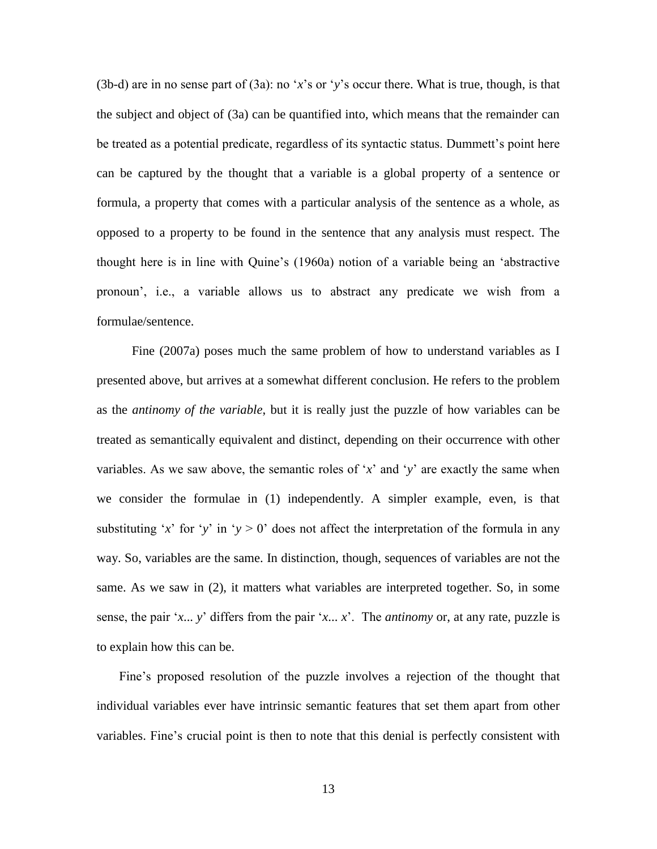(3b-d) are in no sense part of (3a): no '*x*'s or '*y*'s occur there. What is true, though, is that the subject and object of (3a) can be quantified into, which means that the remainder can be treated as a potential predicate, regardless of its syntactic status. Dummett's point here can be captured by the thought that a variable is a global property of a sentence or formula, a property that comes with a particular analysis of the sentence as a whole, as opposed to a property to be found in the sentence that any analysis must respect. The thought here is in line with Quine's (1960a) notion of a variable being an 'abstractive pronoun', i.e., a variable allows us to abstract any predicate we wish from a formulae/sentence.

 Fine (2007a) poses much the same problem of how to understand variables as I presented above, but arrives at a somewhat different conclusion. He refers to the problem as the *antinomy of the variable*, but it is really just the puzzle of how variables can be treated as semantically equivalent and distinct, depending on their occurrence with other variables. As we saw above, the semantic roles of '*x*' and '*y*' are exactly the same when we consider the formulae in (1) independently. A simpler example, even, is that substituting '*x*' for '*y*' in '*y* > 0' does not affect the interpretation of the formula in any way. So, variables are the same. In distinction, though, sequences of variables are not the same. As we saw in (2), it matters what variables are interpreted together. So, in some sense, the pair '*x*... *y*' differs from the pair '*x*... *x*'. The *antinomy* or, at any rate, puzzle is to explain how this can be.

 Fine's proposed resolution of the puzzle involves a rejection of the thought that individual variables ever have intrinsic semantic features that set them apart from other variables. Fine's crucial point is then to note that this denial is perfectly consistent with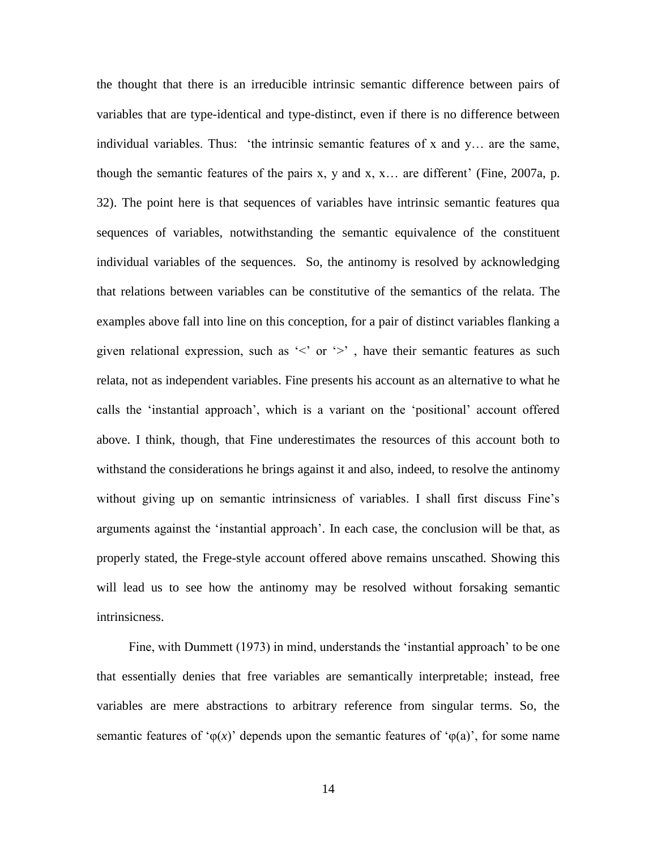the thought that there is an irreducible intrinsic semantic difference between pairs of variables that are type-identical and type-distinct, even if there is no difference between individual variables. Thus: 'the intrinsic semantic features of x and  $y$ ... are the same, though the semantic features of the pairs x, y and x, x... are different' (Fine, 2007a, p. 32). The point here is that sequences of variables have intrinsic semantic features qua sequences of variables, notwithstanding the semantic equivalence of the constituent individual variables of the sequences. So, the antinomy is resolved by acknowledging that relations between variables can be constitutive of the semantics of the relata. The examples above fall into line on this conception, for a pair of distinct variables flanking a given relational expression, such as  $\leq$  or  $\geq$ , have their semantic features as such relata, not as independent variables. Fine presents his account as an alternative to what he calls the 'instantial approach', which is a variant on the 'positional' account offered above. I think, though, that Fine underestimates the resources of this account both to withstand the considerations he brings against it and also, indeed, to resolve the antinomy without giving up on semantic intrinsicness of variables. I shall first discuss Fine's arguments against the 'instantial approach'. In each case, the conclusion will be that, as properly stated, the Frege-style account offered above remains unscathed. Showing this will lead us to see how the antinomy may be resolved without forsaking semantic intrinsicness.

 Fine, with Dummett (1973) in mind, understands the 'instantial approach' to be one that essentially denies that free variables are semantically interpretable; instead, free variables are mere abstractions to arbitrary reference from singular terms. So, the semantic features of ' $\varphi(x)$ ' depends upon the semantic features of ' $\varphi(a)$ ', for some name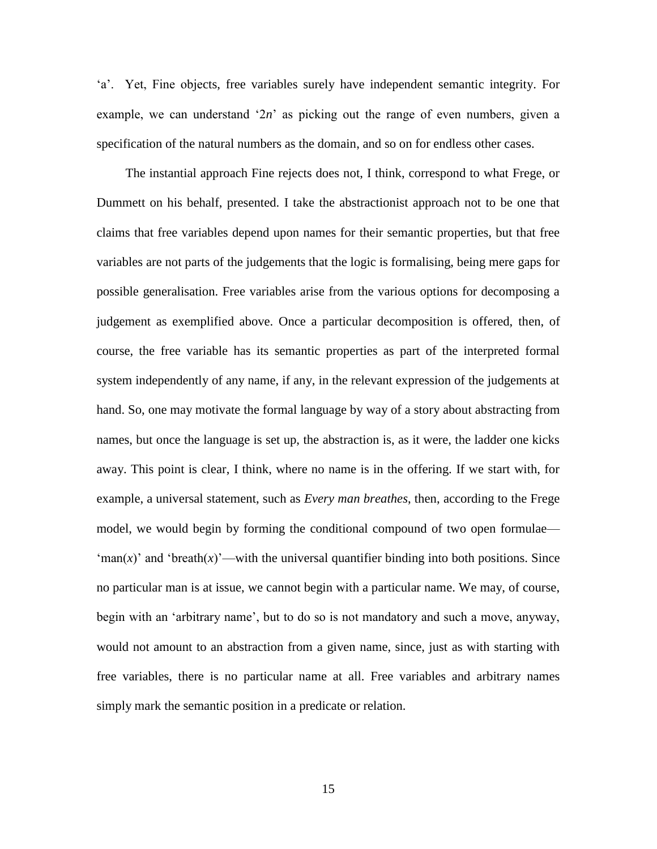'a'. Yet, Fine objects, free variables surely have independent semantic integrity. For example, we can understand '2*n*' as picking out the range of even numbers, given a specification of the natural numbers as the domain, and so on for endless other cases.

 The instantial approach Fine rejects does not, I think, correspond to what Frege, or Dummett on his behalf, presented. I take the abstractionist approach not to be one that claims that free variables depend upon names for their semantic properties, but that free variables are not parts of the judgements that the logic is formalising, being mere gaps for possible generalisation. Free variables arise from the various options for decomposing a judgement as exemplified above. Once a particular decomposition is offered, then, of course, the free variable has its semantic properties as part of the interpreted formal system independently of any name, if any, in the relevant expression of the judgements at hand. So, one may motivate the formal language by way of a story about abstracting from names, but once the language is set up, the abstraction is, as it were, the ladder one kicks away. This point is clear, I think, where no name is in the offering. If we start with, for example, a universal statement, such as *Every man breathes*, then, according to the Frege model, we would begin by forming the conditional compound of two open formulae—  $\text{`man}(x)$ ' and 'breath $(x)$ '—with the universal quantifier binding into both positions. Since no particular man is at issue, we cannot begin with a particular name. We may, of course, begin with an 'arbitrary name', but to do so is not mandatory and such a move, anyway, would not amount to an abstraction from a given name, since, just as with starting with free variables, there is no particular name at all. Free variables and arbitrary names simply mark the semantic position in a predicate or relation.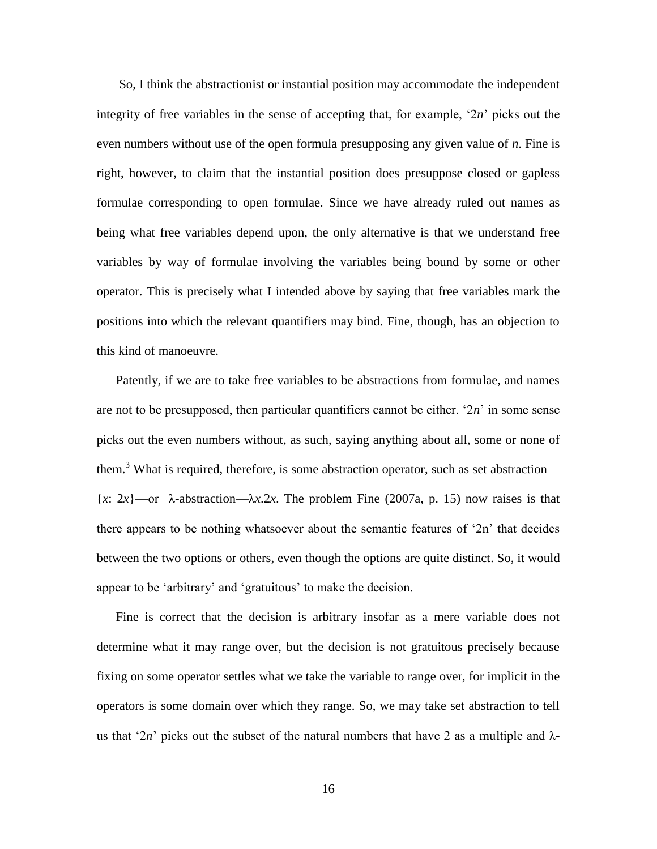So, I think the abstractionist or instantial position may accommodate the independent integrity of free variables in the sense of accepting that, for example, '2*n*' picks out the even numbers without use of the open formula presupposing any given value of *n*. Fine is right, however, to claim that the instantial position does presuppose closed or gapless formulae corresponding to open formulae. Since we have already ruled out names as being what free variables depend upon, the only alternative is that we understand free variables by way of formulae involving the variables being bound by some or other operator. This is precisely what I intended above by saying that free variables mark the positions into which the relevant quantifiers may bind. Fine, though, has an objection to this kind of manoeuvre.

 Patently, if we are to take free variables to be abstractions from formulae, and names are not to be presupposed, then particular quantifiers cannot be either. '2*n*' in some sense picks out the even numbers without, as such, saying anything about all, some or none of them.<sup>3</sup> What is required, therefore, is some abstraction operator, such as set abstraction—  ${x: 2x}$ —or  $\lambda$ -abstraction— $\lambda x.2x$ . The problem Fine (2007a, p. 15) now raises is that there appears to be nothing whatsoever about the semantic features of '2n' that decides between the two options or others, even though the options are quite distinct. So, it would appear to be 'arbitrary' and 'gratuitous' to make the decision.

 Fine is correct that the decision is arbitrary insofar as a mere variable does not determine what it may range over, but the decision is not gratuitous precisely because fixing on some operator settles what we take the variable to range over, for implicit in the operators is some domain over which they range. So, we may take set abstraction to tell us that '2*n*' picks out the subset of the natural numbers that have 2 as a multiple and  $\lambda$ -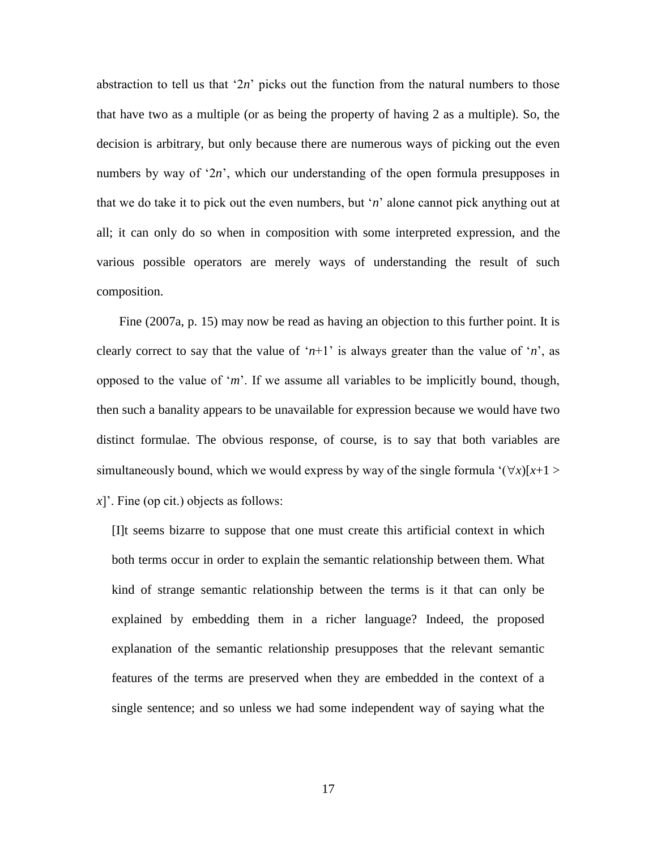abstraction to tell us that ' $2n$ ' picks out the function from the natural numbers to those that have two as a multiple (or as being the property of having 2 as a multiple). So, the decision is arbitrary, but only because there are numerous ways of picking out the even numbers by way of '2*n*', which our understanding of the open formula presupposes in that we do take it to pick out the even numbers, but '*n*' alone cannot pick anything out at all; it can only do so when in composition with some interpreted expression, and the various possible operators are merely ways of understanding the result of such composition.

 Fine (2007a, p. 15) may now be read as having an objection to this further point. It is clearly correct to say that the value of ' $n+1$ ' is always greater than the value of '*n*', as opposed to the value of '*m*'. If we assume all variables to be implicitly bound, though, then such a banality appears to be unavailable for expression because we would have two distinct formulae. The obvious response, of course, is to say that both variables are simultaneously bound, which we would express by way of the single formula  $(\forall x)[x+1] >$ *x*]'. Fine (op cit.) objects as follows:

[I]t seems bizarre to suppose that one must create this artificial context in which both terms occur in order to explain the semantic relationship between them. What kind of strange semantic relationship between the terms is it that can only be explained by embedding them in a richer language? Indeed, the proposed explanation of the semantic relationship presupposes that the relevant semantic features of the terms are preserved when they are embedded in the context of a single sentence; and so unless we had some independent way of saying what the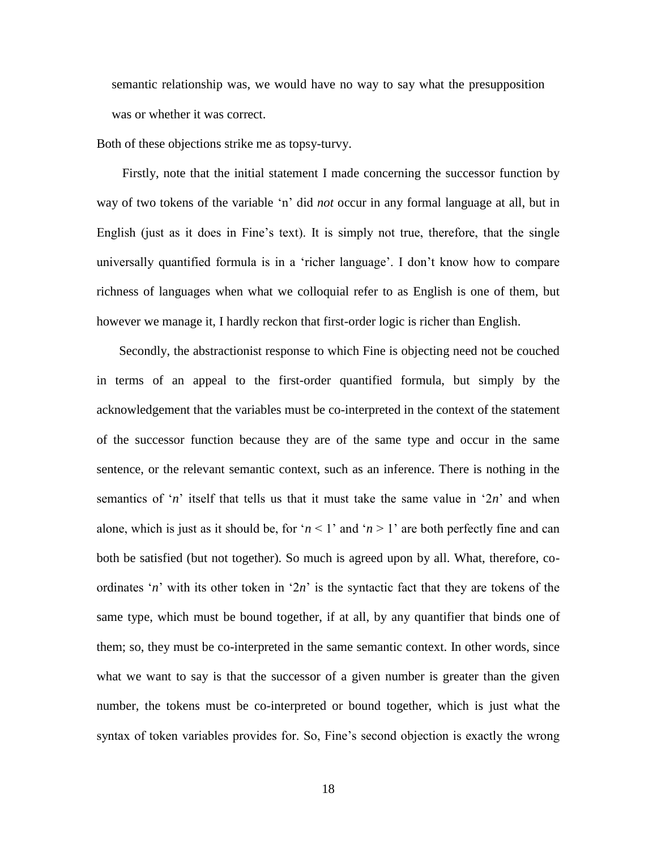semantic relationship was, we would have no way to say what the presupposition was or whether it was correct.

Both of these objections strike me as topsy-turvy.

 Firstly, note that the initial statement I made concerning the successor function by way of two tokens of the variable 'n' did *not* occur in any formal language at all, but in English (just as it does in Fine's text). It is simply not true, therefore, that the single universally quantified formula is in a 'richer language'. I don't know how to compare richness of languages when what we colloquial refer to as English is one of them, but however we manage it, I hardly reckon that first-order logic is richer than English.

 Secondly, the abstractionist response to which Fine is objecting need not be couched in terms of an appeal to the first-order quantified formula, but simply by the acknowledgement that the variables must be co-interpreted in the context of the statement of the successor function because they are of the same type and occur in the same sentence, or the relevant semantic context, such as an inference. There is nothing in the semantics of '*n*' itself that tells us that it must take the same value in '2*n*' and when alone, which is just as it should be, for ' $n < 1$ ' and ' $n > 1$ ' are both perfectly fine and can both be satisfied (but not together). So much is agreed upon by all. What, therefore, coordinates '*n*' with its other token in '2*n*' is the syntactic fact that they are tokens of the same type, which must be bound together, if at all, by any quantifier that binds one of them; so, they must be co-interpreted in the same semantic context. In other words, since what we want to say is that the successor of a given number is greater than the given number, the tokens must be co-interpreted or bound together, which is just what the syntax of token variables provides for. So, Fine's second objection is exactly the wrong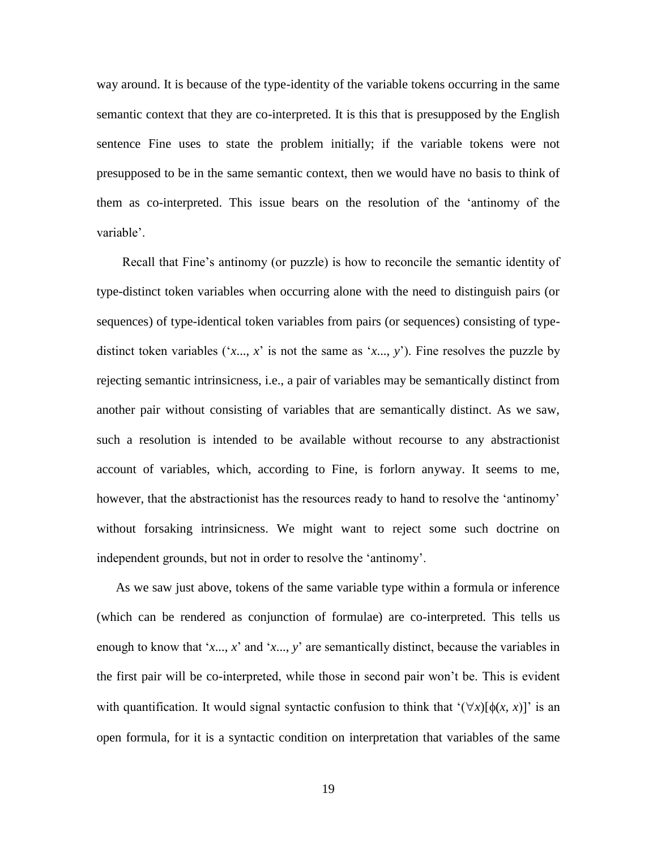way around. It is because of the type-identity of the variable tokens occurring in the same semantic context that they are co-interpreted. It is this that is presupposed by the English sentence Fine uses to state the problem initially; if the variable tokens were not presupposed to be in the same semantic context, then we would have no basis to think of them as co-interpreted. This issue bears on the resolution of the 'antinomy of the variable'.

 Recall that Fine's antinomy (or puzzle) is how to reconcile the semantic identity of type-distinct token variables when occurring alone with the need to distinguish pairs (or sequences) of type-identical token variables from pairs (or sequences) consisting of typedistinct token variables  $('x..., x'$  is not the same as 'x..., y'). Fine resolves the puzzle by rejecting semantic intrinsicness, i.e., a pair of variables may be semantically distinct from another pair without consisting of variables that are semantically distinct. As we saw, such a resolution is intended to be available without recourse to any abstractionist account of variables, which, according to Fine, is forlorn anyway. It seems to me, however, that the abstractionist has the resources ready to hand to resolve the 'antinomy' without forsaking intrinsicness. We might want to reject some such doctrine on independent grounds, but not in order to resolve the 'antinomy'.

 As we saw just above, tokens of the same variable type within a formula or inference (which can be rendered as conjunction of formulae) are co-interpreted. This tells us enough to know that '*x*..., *x*' and '*x*..., *y*' are semantically distinct, because the variables in the first pair will be co-interpreted, while those in second pair won't be. This is evident with quantification. It would signal syntactic confusion to think that  $(\forall x)[\phi(x, x)]$  is an open formula, for it is a syntactic condition on interpretation that variables of the same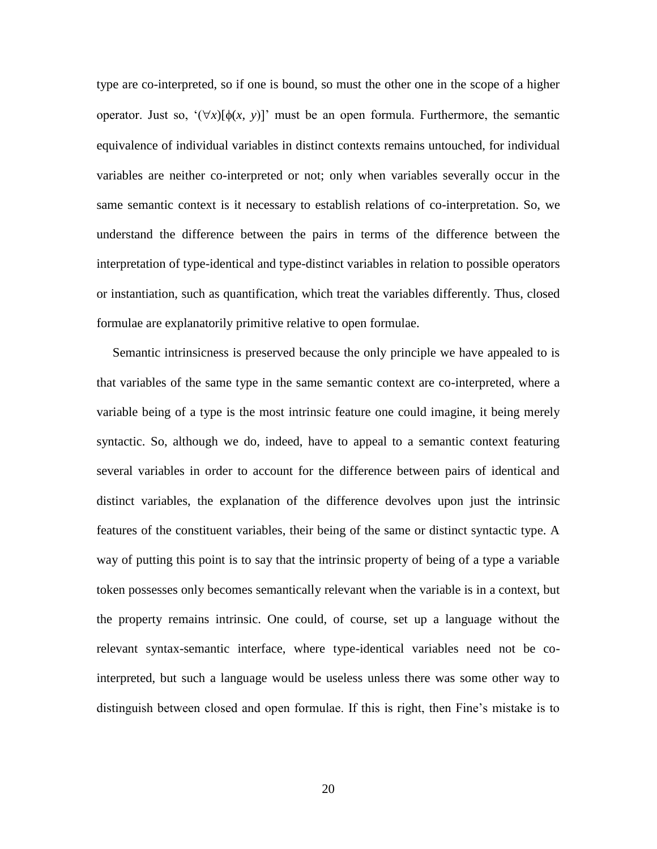type are co-interpreted, so if one is bound, so must the other one in the scope of a higher operator. Just so,  $(\forall x)[\phi(x, y)]$  must be an open formula. Furthermore, the semantic equivalence of individual variables in distinct contexts remains untouched, for individual variables are neither co-interpreted or not; only when variables severally occur in the same semantic context is it necessary to establish relations of co-interpretation. So, we understand the difference between the pairs in terms of the difference between the interpretation of type-identical and type-distinct variables in relation to possible operators or instantiation, such as quantification, which treat the variables differently. Thus, closed formulae are explanatorily primitive relative to open formulae.

 Semantic intrinsicness is preserved because the only principle we have appealed to is that variables of the same type in the same semantic context are co-interpreted, where a variable being of a type is the most intrinsic feature one could imagine, it being merely syntactic. So, although we do, indeed, have to appeal to a semantic context featuring several variables in order to account for the difference between pairs of identical and distinct variables, the explanation of the difference devolves upon just the intrinsic features of the constituent variables, their being of the same or distinct syntactic type. A way of putting this point is to say that the intrinsic property of being of a type a variable token possesses only becomes semantically relevant when the variable is in a context, but the property remains intrinsic. One could, of course, set up a language without the relevant syntax-semantic interface, where type-identical variables need not be cointerpreted, but such a language would be useless unless there was some other way to distinguish between closed and open formulae. If this is right, then Fine's mistake is to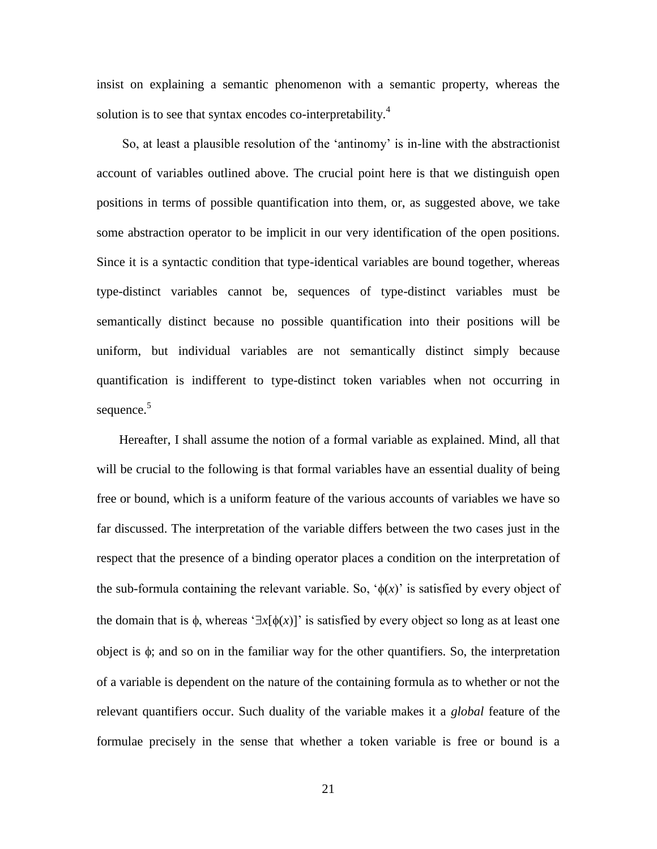insist on explaining a semantic phenomenon with a semantic property, whereas the solution is to see that syntax encodes co-interpretability.<sup>4</sup>

 So, at least a plausible resolution of the 'antinomy' is in-line with the abstractionist account of variables outlined above. The crucial point here is that we distinguish open positions in terms of possible quantification into them, or, as suggested above, we take some abstraction operator to be implicit in our very identification of the open positions. Since it is a syntactic condition that type-identical variables are bound together, whereas type-distinct variables cannot be, sequences of type-distinct variables must be semantically distinct because no possible quantification into their positions will be uniform, but individual variables are not semantically distinct simply because quantification is indifferent to type-distinct token variables when not occurring in sequence.<sup>5</sup>

 Hereafter, I shall assume the notion of a formal variable as explained. Mind, all that will be crucial to the following is that formal variables have an essential duality of being free or bound, which is a uniform feature of the various accounts of variables we have so far discussed. The interpretation of the variable differs between the two cases just in the respect that the presence of a binding operator places a condition on the interpretation of the sub-formula containing the relevant variable. So,  $\phi(x)$  is satisfied by every object of the domain that is  $\phi$ , whereas ' $\exists x[\phi(x)]$ ' is satisfied by every object so long as at least one object is  $\phi$ ; and so on in the familiar way for the other quantifiers. So, the interpretation of a variable is dependent on the nature of the containing formula as to whether or not the relevant quantifiers occur. Such duality of the variable makes it a *global* feature of the formulae precisely in the sense that whether a token variable is free or bound is a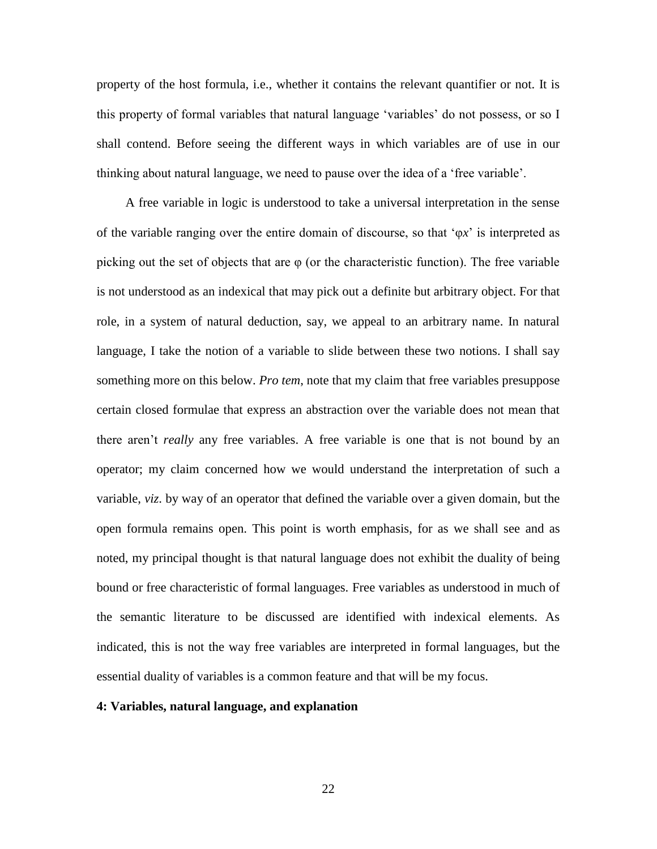property of the host formula, i.e., whether it contains the relevant quantifier or not. It is this property of formal variables that natural language 'variables' do not possess, or so I shall contend. Before seeing the different ways in which variables are of use in our thinking about natural language, we need to pause over the idea of a 'free variable'.

 A free variable in logic is understood to take a universal interpretation in the sense of the variable ranging over the entire domain of discourse, so that 'φ*x*' is interpreted as picking out the set of objects that are  $\varphi$  (or the characteristic function). The free variable is not understood as an indexical that may pick out a definite but arbitrary object. For that role, in a system of natural deduction, say, we appeal to an arbitrary name. In natural language, I take the notion of a variable to slide between these two notions. I shall say something more on this below. *Pro tem*, note that my claim that free variables presuppose certain closed formulae that express an abstraction over the variable does not mean that there aren't *really* any free variables. A free variable is one that is not bound by an operator; my claim concerned how we would understand the interpretation of such a variable, *viz*. by way of an operator that defined the variable over a given domain, but the open formula remains open. This point is worth emphasis, for as we shall see and as noted, my principal thought is that natural language does not exhibit the duality of being bound or free characteristic of formal languages. Free variables as understood in much of the semantic literature to be discussed are identified with indexical elements. As indicated, this is not the way free variables are interpreted in formal languages, but the essential duality of variables is a common feature and that will be my focus.

### **4: Variables, natural language, and explanation**

22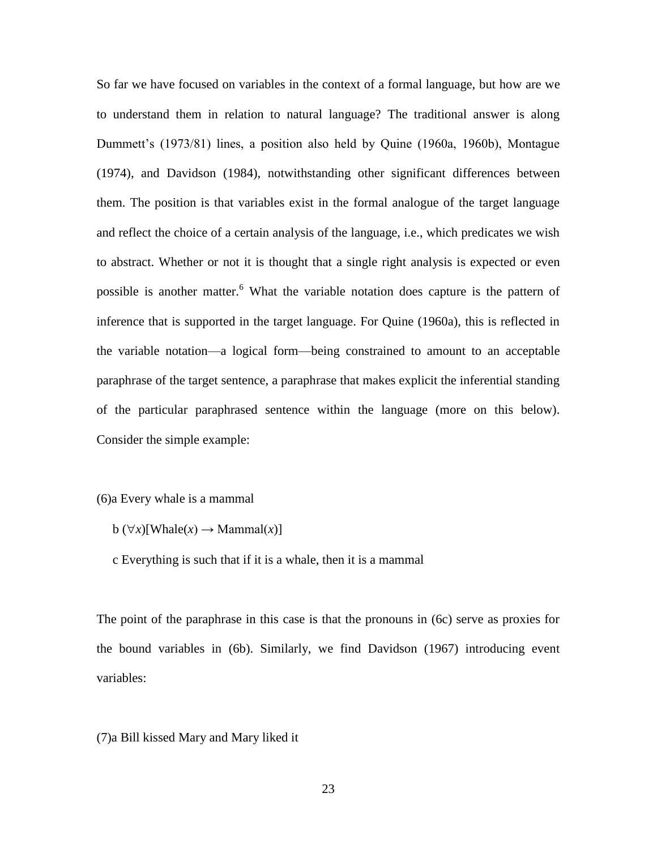So far we have focused on variables in the context of a formal language, but how are we to understand them in relation to natural language? The traditional answer is along Dummett's (1973/81) lines, a position also held by Quine (1960a, 1960b), Montague (1974), and Davidson (1984), notwithstanding other significant differences between them. The position is that variables exist in the formal analogue of the target language and reflect the choice of a certain analysis of the language, i.e., which predicates we wish to abstract. Whether or not it is thought that a single right analysis is expected or even possible is another matter.<sup>6</sup> What the variable notation does capture is the pattern of inference that is supported in the target language. For Quine (1960a), this is reflected in the variable notation—a logical form—being constrained to amount to an acceptable paraphrase of the target sentence, a paraphrase that makes explicit the inferential standing of the particular paraphrased sentence within the language (more on this below). Consider the simple example:

## (6)a Every whale is a mammal

- $b(\forall x)[\text{Whale}(x) \rightarrow \text{Mammal}(x)]$
- c Everything is such that if it is a whale, then it is a mammal

The point of the paraphrase in this case is that the pronouns in (6c) serve as proxies for the bound variables in (6b). Similarly, we find Davidson (1967) introducing event variables:

## (7)a Bill kissed Mary and Mary liked it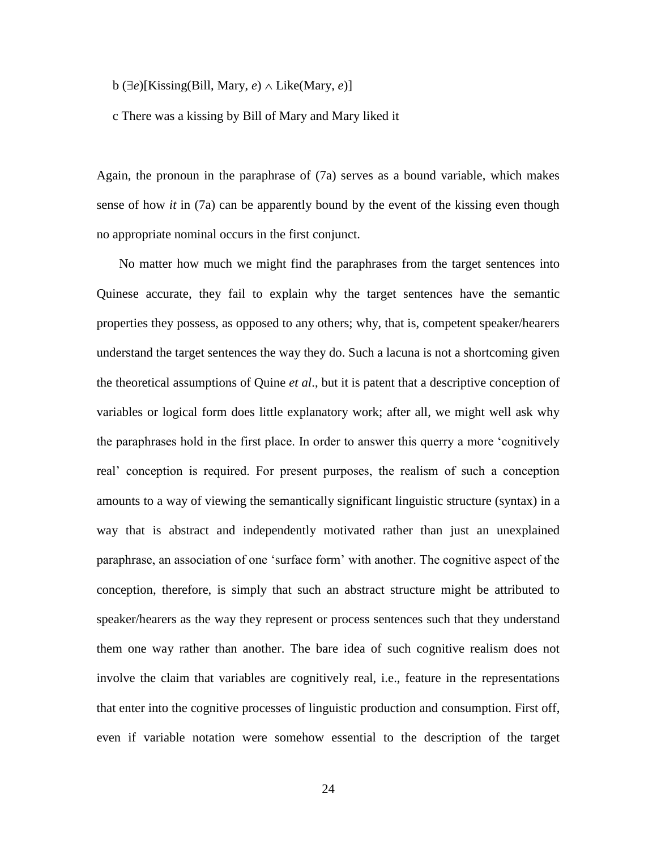$b \left(\exists e\right)[Kissing(Bill, Mary, e) \wedge Like(Mary, e)]$ 

c There was a kissing by Bill of Mary and Mary liked it

Again, the pronoun in the paraphrase of (7a) serves as a bound variable, which makes sense of how *it* in (7a) can be apparently bound by the event of the kissing even though no appropriate nominal occurs in the first conjunct.

 No matter how much we might find the paraphrases from the target sentences into Quinese accurate, they fail to explain why the target sentences have the semantic properties they possess, as opposed to any others; why, that is, competent speaker/hearers understand the target sentences the way they do. Such a lacuna is not a shortcoming given the theoretical assumptions of Quine *et al*., but it is patent that a descriptive conception of variables or logical form does little explanatory work; after all, we might well ask why the paraphrases hold in the first place. In order to answer this querry a more 'cognitively real' conception is required. For present purposes, the realism of such a conception amounts to a way of viewing the semantically significant linguistic structure (syntax) in a way that is abstract and independently motivated rather than just an unexplained paraphrase, an association of one 'surface form' with another. The cognitive aspect of the conception, therefore, is simply that such an abstract structure might be attributed to speaker/hearers as the way they represent or process sentences such that they understand them one way rather than another. The bare idea of such cognitive realism does not involve the claim that variables are cognitively real, i.e., feature in the representations that enter into the cognitive processes of linguistic production and consumption. First off, even if variable notation were somehow essential to the description of the target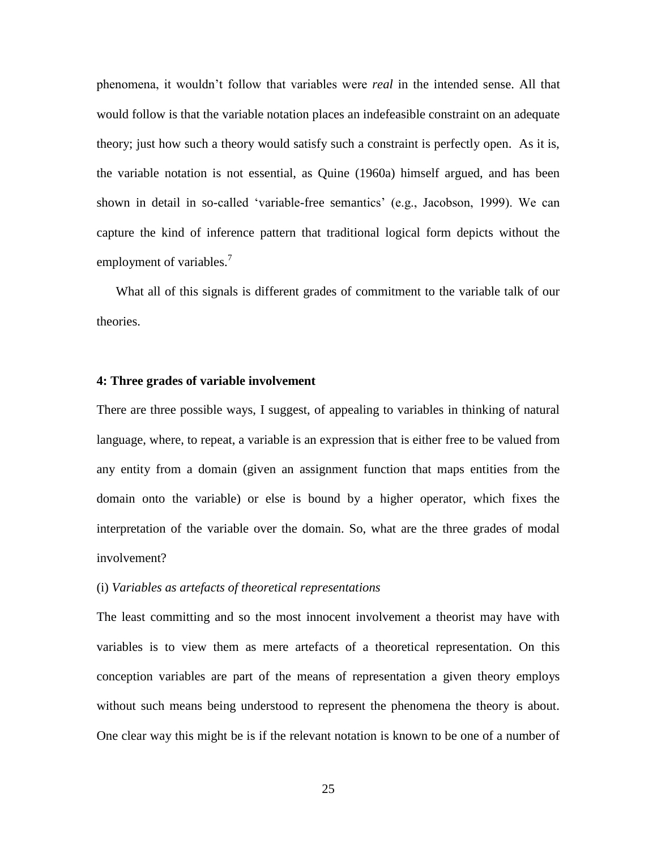phenomena, it wouldn't follow that variables were *real* in the intended sense. All that would follow is that the variable notation places an indefeasible constraint on an adequate theory; just how such a theory would satisfy such a constraint is perfectly open. As it is, the variable notation is not essential, as Quine (1960a) himself argued, and has been shown in detail in so-called 'variable-free semantics' (e.g., Jacobson, 1999). We can capture the kind of inference pattern that traditional logical form depicts without the employment of variables.<sup>7</sup>

 What all of this signals is different grades of commitment to the variable talk of our theories.

### **4: Three grades of variable involvement**

There are three possible ways, I suggest, of appealing to variables in thinking of natural language, where, to repeat, a variable is an expression that is either free to be valued from any entity from a domain (given an assignment function that maps entities from the domain onto the variable) or else is bound by a higher operator, which fixes the interpretation of the variable over the domain. So, what are the three grades of modal involvement?

### (i) *Variables as artefacts of theoretical representations*

The least committing and so the most innocent involvement a theorist may have with variables is to view them as mere artefacts of a theoretical representation. On this conception variables are part of the means of representation a given theory employs without such means being understood to represent the phenomena the theory is about. One clear way this might be is if the relevant notation is known to be one of a number of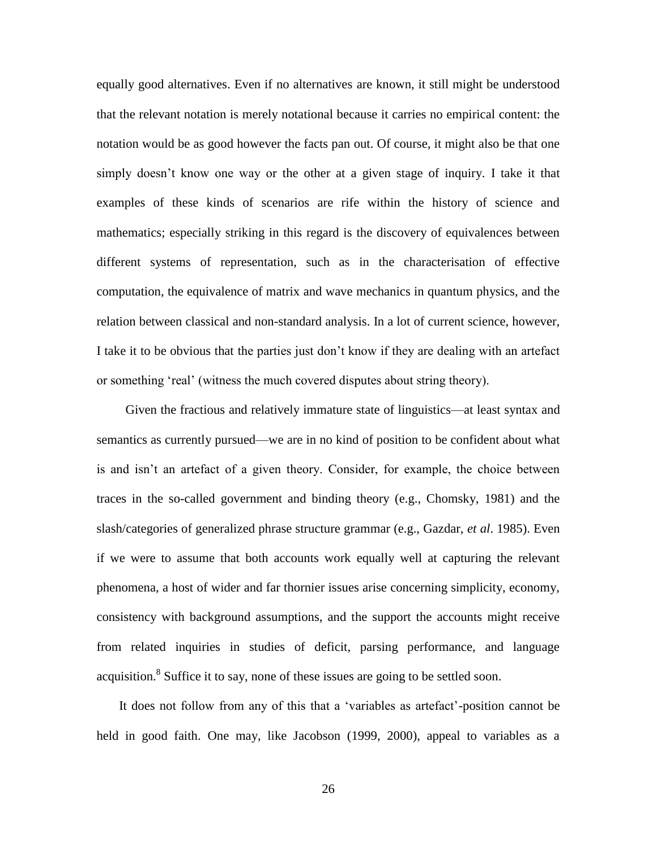equally good alternatives. Even if no alternatives are known, it still might be understood that the relevant notation is merely notational because it carries no empirical content: the notation would be as good however the facts pan out. Of course, it might also be that one simply doesn't know one way or the other at a given stage of inquiry. I take it that examples of these kinds of scenarios are rife within the history of science and mathematics; especially striking in this regard is the discovery of equivalences between different systems of representation, such as in the characterisation of effective computation, the equivalence of matrix and wave mechanics in quantum physics, and the relation between classical and non-standard analysis. In a lot of current science, however, I take it to be obvious that the parties just don't know if they are dealing with an artefact or something 'real' (witness the much covered disputes about string theory).

 Given the fractious and relatively immature state of linguistics—at least syntax and semantics as currently pursued—we are in no kind of position to be confident about what is and isn't an artefact of a given theory. Consider, for example, the choice between traces in the so-called government and binding theory (e.g., Chomsky, 1981) and the slash/categories of generalized phrase structure grammar (e.g., Gazdar, *et al*. 1985). Even if we were to assume that both accounts work equally well at capturing the relevant phenomena, a host of wider and far thornier issues arise concerning simplicity, economy, consistency with background assumptions, and the support the accounts might receive from related inquiries in studies of deficit, parsing performance, and language acquisition.<sup>8</sup> Suffice it to say, none of these issues are going to be settled soon.

 It does not follow from any of this that a 'variables as artefact'-position cannot be held in good faith. One may, like Jacobson (1999, 2000), appeal to variables as a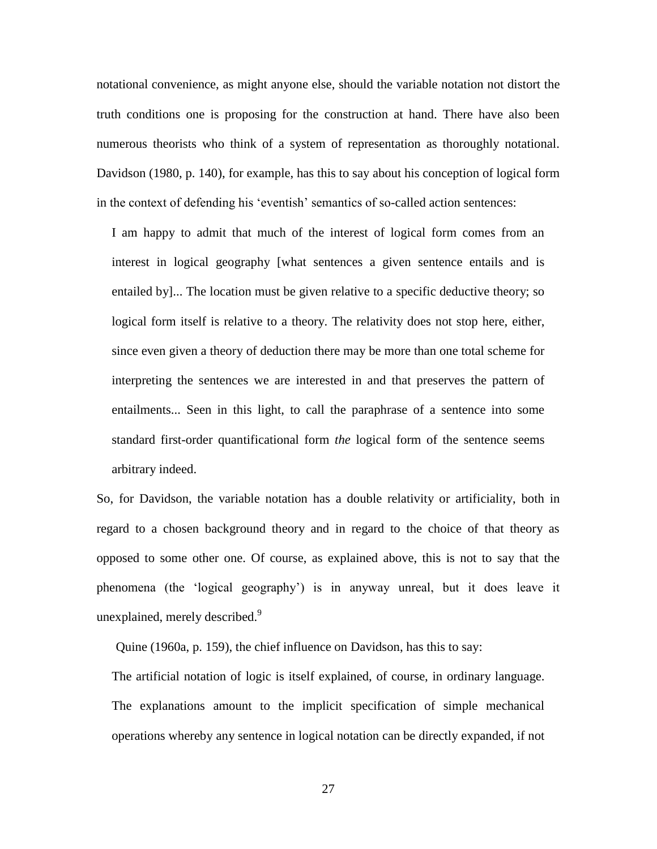notational convenience, as might anyone else, should the variable notation not distort the truth conditions one is proposing for the construction at hand. There have also been numerous theorists who think of a system of representation as thoroughly notational. Davidson (1980, p. 140), for example, has this to say about his conception of logical form in the context of defending his 'eventish' semantics of so-called action sentences:

I am happy to admit that much of the interest of logical form comes from an interest in logical geography [what sentences a given sentence entails and is entailed by]... The location must be given relative to a specific deductive theory; so logical form itself is relative to a theory. The relativity does not stop here, either, since even given a theory of deduction there may be more than one total scheme for interpreting the sentences we are interested in and that preserves the pattern of entailments... Seen in this light, to call the paraphrase of a sentence into some standard first-order quantificational form *the* logical form of the sentence seems arbitrary indeed.

So, for Davidson, the variable notation has a double relativity or artificiality, both in regard to a chosen background theory and in regard to the choice of that theory as opposed to some other one. Of course, as explained above, this is not to say that the phenomena (the 'logical geography') is in anyway unreal, but it does leave it unexplained, merely described.<sup>9</sup>

Quine (1960a, p. 159), the chief influence on Davidson, has this to say:

The artificial notation of logic is itself explained, of course, in ordinary language. The explanations amount to the implicit specification of simple mechanical operations whereby any sentence in logical notation can be directly expanded, if not

27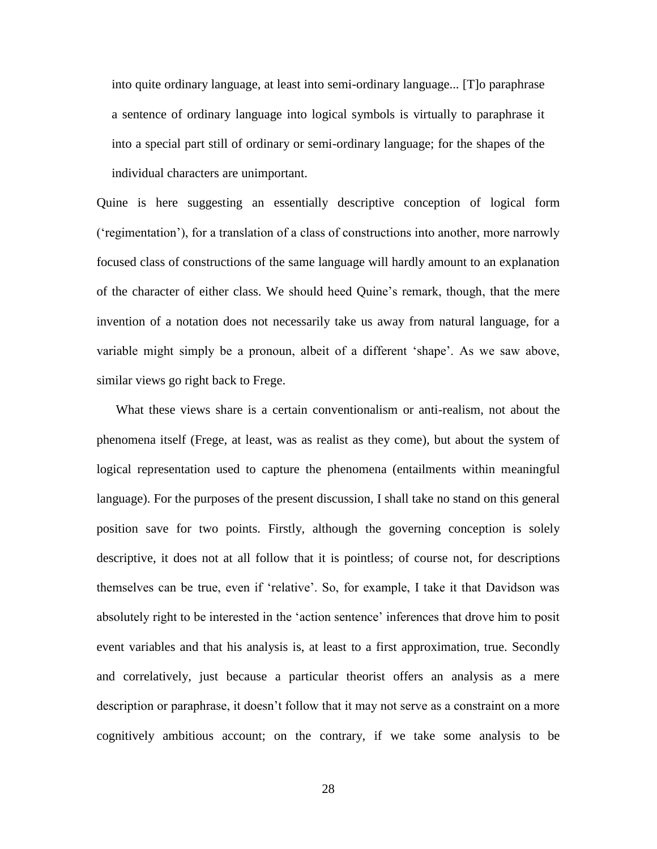into quite ordinary language, at least into semi-ordinary language... [T]o paraphrase a sentence of ordinary language into logical symbols is virtually to paraphrase it into a special part still of ordinary or semi-ordinary language; for the shapes of the individual characters are unimportant.

Quine is here suggesting an essentially descriptive conception of logical form ('regimentation'), for a translation of a class of constructions into another, more narrowly focused class of constructions of the same language will hardly amount to an explanation of the character of either class. We should heed Quine's remark, though, that the mere invention of a notation does not necessarily take us away from natural language, for a variable might simply be a pronoun, albeit of a different 'shape'. As we saw above, similar views go right back to Frege.

 What these views share is a certain conventionalism or anti-realism, not about the phenomena itself (Frege, at least, was as realist as they come), but about the system of logical representation used to capture the phenomena (entailments within meaningful language). For the purposes of the present discussion, I shall take no stand on this general position save for two points. Firstly, although the governing conception is solely descriptive, it does not at all follow that it is pointless; of course not, for descriptions themselves can be true, even if 'relative'. So, for example, I take it that Davidson was absolutely right to be interested in the 'action sentence' inferences that drove him to posit event variables and that his analysis is, at least to a first approximation, true. Secondly and correlatively, just because a particular theorist offers an analysis as a mere description or paraphrase, it doesn't follow that it may not serve as a constraint on a more cognitively ambitious account; on the contrary, if we take some analysis to be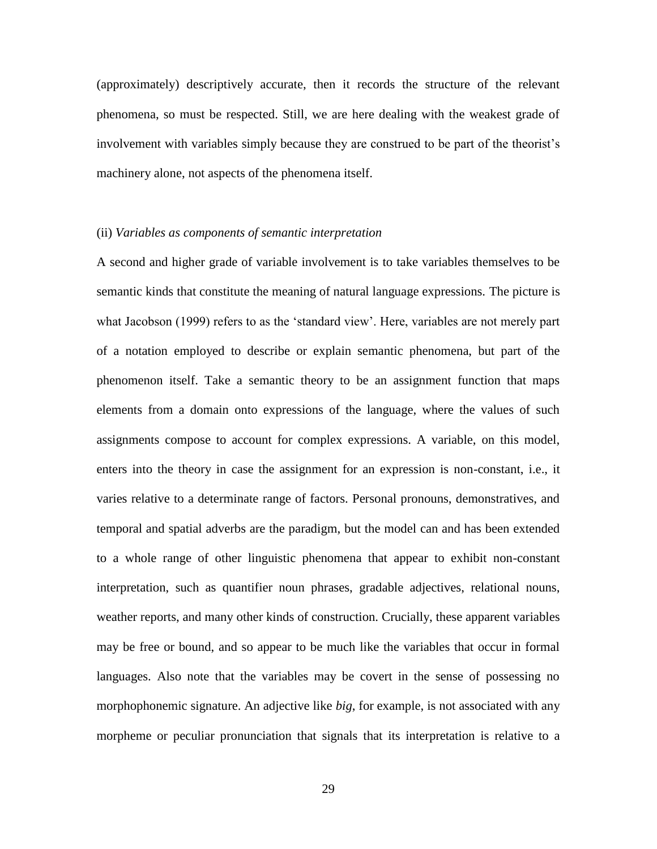(approximately) descriptively accurate, then it records the structure of the relevant phenomena, so must be respected. Still, we are here dealing with the weakest grade of involvement with variables simply because they are construed to be part of the theorist's machinery alone, not aspects of the phenomena itself.

### (ii) *Variables as components of semantic interpretation*

A second and higher grade of variable involvement is to take variables themselves to be semantic kinds that constitute the meaning of natural language expressions. The picture is what Jacobson (1999) refers to as the 'standard view'. Here, variables are not merely part of a notation employed to describe or explain semantic phenomena, but part of the phenomenon itself. Take a semantic theory to be an assignment function that maps elements from a domain onto expressions of the language, where the values of such assignments compose to account for complex expressions. A variable, on this model, enters into the theory in case the assignment for an expression is non-constant, i.e., it varies relative to a determinate range of factors. Personal pronouns, demonstratives, and temporal and spatial adverbs are the paradigm, but the model can and has been extended to a whole range of other linguistic phenomena that appear to exhibit non-constant interpretation, such as quantifier noun phrases, gradable adjectives, relational nouns, weather reports, and many other kinds of construction. Crucially, these apparent variables may be free or bound, and so appear to be much like the variables that occur in formal languages. Also note that the variables may be covert in the sense of possessing no morphophonemic signature. An adjective like *big*, for example, is not associated with any morpheme or peculiar pronunciation that signals that its interpretation is relative to a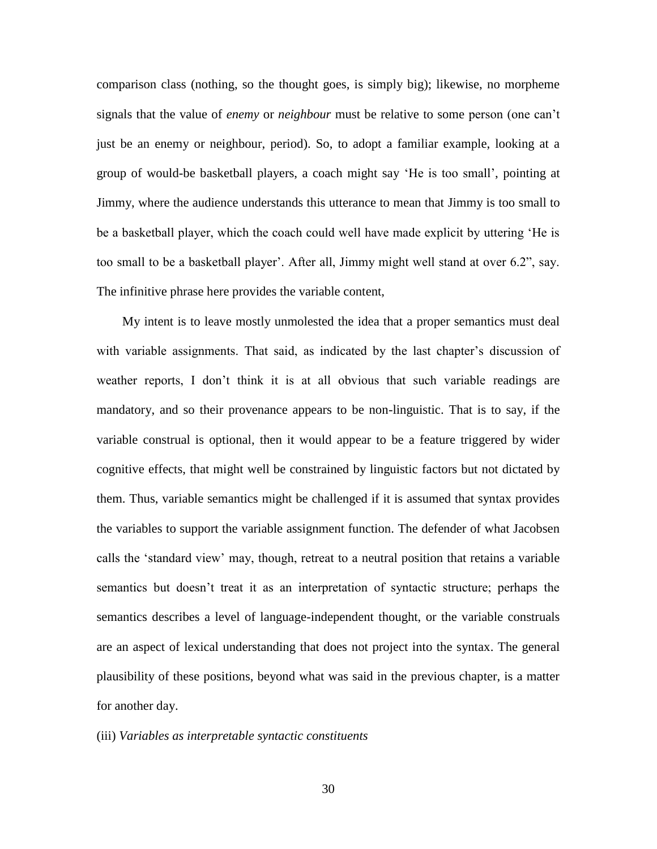comparison class (nothing, so the thought goes, is simply big); likewise, no morpheme signals that the value of *enemy* or *neighbour* must be relative to some person (one can't just be an enemy or neighbour, period). So, to adopt a familiar example, looking at a group of would-be basketball players, a coach might say 'He is too small', pointing at Jimmy, where the audience understands this utterance to mean that Jimmy is too small to be a basketball player, which the coach could well have made explicit by uttering 'He is too small to be a basketball player'. After all, Jimmy might well stand at over 6.2", say. The infinitive phrase here provides the variable content,

 My intent is to leave mostly unmolested the idea that a proper semantics must deal with variable assignments. That said, as indicated by the last chapter's discussion of weather reports, I don't think it is at all obvious that such variable readings are mandatory, and so their provenance appears to be non-linguistic. That is to say, if the variable construal is optional, then it would appear to be a feature triggered by wider cognitive effects, that might well be constrained by linguistic factors but not dictated by them. Thus, variable semantics might be challenged if it is assumed that syntax provides the variables to support the variable assignment function. The defender of what Jacobsen calls the 'standard view' may, though, retreat to a neutral position that retains a variable semantics but doesn't treat it as an interpretation of syntactic structure; perhaps the semantics describes a level of language-independent thought, or the variable construals are an aspect of lexical understanding that does not project into the syntax. The general plausibility of these positions, beyond what was said in the previous chapter, is a matter for another day.

### (iii) *Variables as interpretable syntactic constituents*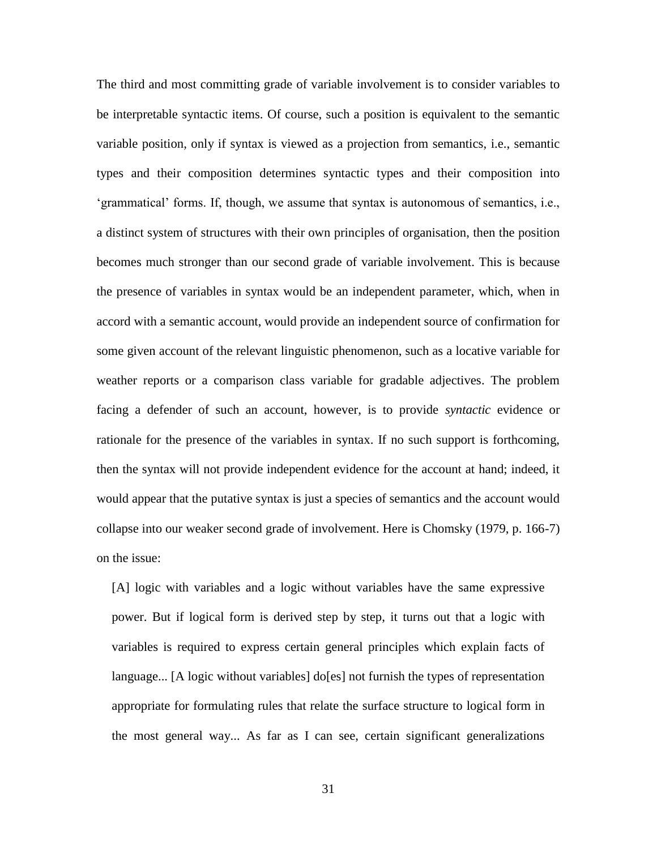The third and most committing grade of variable involvement is to consider variables to be interpretable syntactic items. Of course, such a position is equivalent to the semantic variable position, only if syntax is viewed as a projection from semantics, i.e., semantic types and their composition determines syntactic types and their composition into 'grammatical' forms. If, though, we assume that syntax is autonomous of semantics, i.e., a distinct system of structures with their own principles of organisation, then the position becomes much stronger than our second grade of variable involvement. This is because the presence of variables in syntax would be an independent parameter, which, when in accord with a semantic account, would provide an independent source of confirmation for some given account of the relevant linguistic phenomenon, such as a locative variable for weather reports or a comparison class variable for gradable adjectives. The problem facing a defender of such an account, however, is to provide *syntactic* evidence or rationale for the presence of the variables in syntax. If no such support is forthcoming, then the syntax will not provide independent evidence for the account at hand; indeed, it would appear that the putative syntax is just a species of semantics and the account would collapse into our weaker second grade of involvement. Here is Chomsky (1979, p. 166-7) on the issue:

[A] logic with variables and a logic without variables have the same expressive power. But if logical form is derived step by step, it turns out that a logic with variables is required to express certain general principles which explain facts of language... [A logic without variables] do[es] not furnish the types of representation appropriate for formulating rules that relate the surface structure to logical form in the most general way... As far as I can see, certain significant generalizations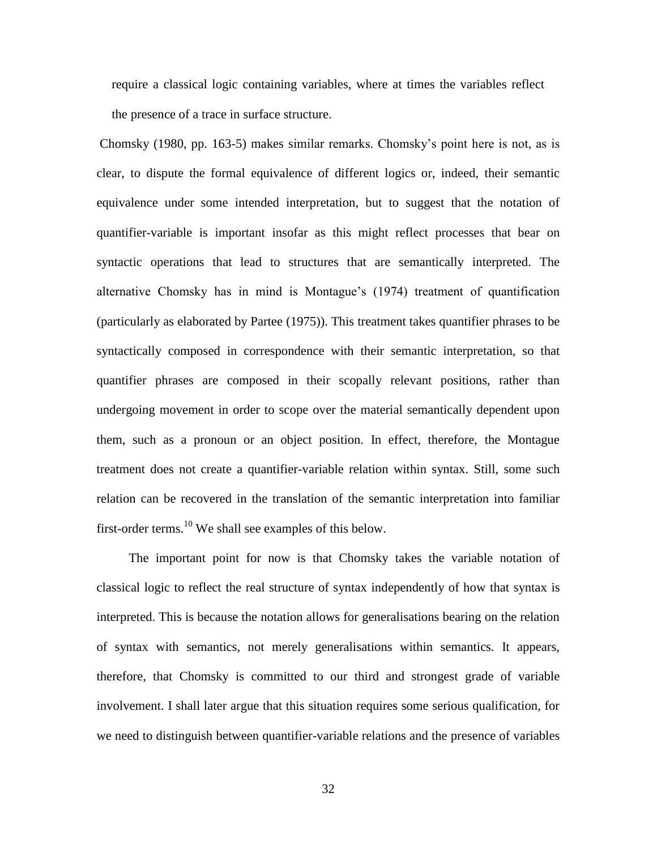require a classical logic containing variables, where at times the variables reflect the presence of a trace in surface structure.

Chomsky (1980, pp. 163-5) makes similar remarks. Chomsky's point here is not, as is clear, to dispute the formal equivalence of different logics or, indeed, their semantic equivalence under some intended interpretation, but to suggest that the notation of quantifier-variable is important insofar as this might reflect processes that bear on syntactic operations that lead to structures that are semantically interpreted. The alternative Chomsky has in mind is Montague's (1974) treatment of quantification (particularly as elaborated by Partee (1975)). This treatment takes quantifier phrases to be syntactically composed in correspondence with their semantic interpretation, so that quantifier phrases are composed in their scopally relevant positions, rather than undergoing movement in order to scope over the material semantically dependent upon them, such as a pronoun or an object position. In effect, therefore, the Montague treatment does not create a quantifier-variable relation within syntax. Still, some such relation can be recovered in the translation of the semantic interpretation into familiar first-order terms.<sup>10</sup> We shall see examples of this below.

 The important point for now is that Chomsky takes the variable notation of classical logic to reflect the real structure of syntax independently of how that syntax is interpreted. This is because the notation allows for generalisations bearing on the relation of syntax with semantics, not merely generalisations within semantics. It appears, therefore, that Chomsky is committed to our third and strongest grade of variable involvement. I shall later argue that this situation requires some serious qualification, for we need to distinguish between quantifier-variable relations and the presence of variables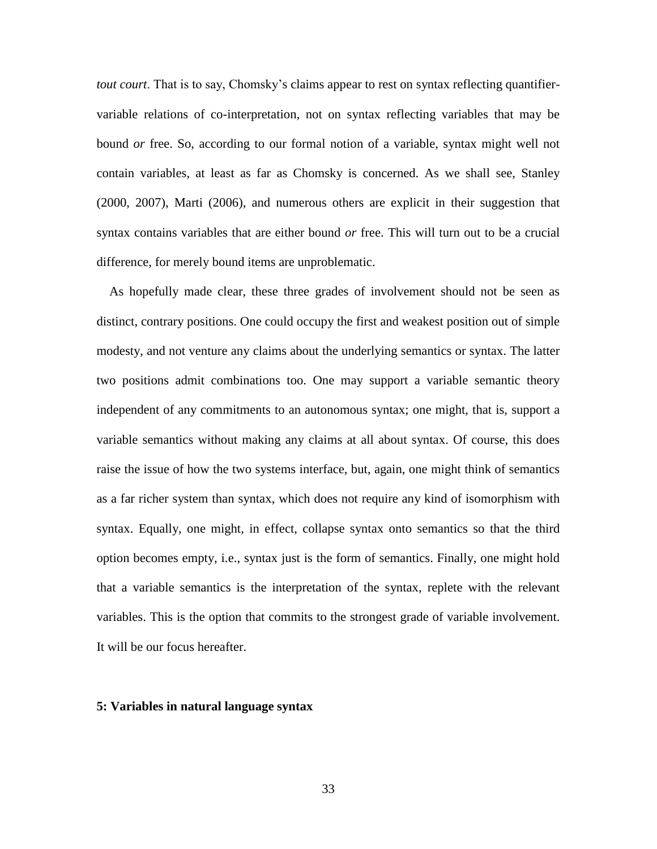*tout court*. That is to say, Chomsky's claims appear to rest on syntax reflecting quantifiervariable relations of co-interpretation, not on syntax reflecting variables that may be bound *or* free. So, according to our formal notion of a variable, syntax might well not contain variables, at least as far as Chomsky is concerned. As we shall see, Stanley (2000, 2007), Marti (2006), and numerous others are explicit in their suggestion that syntax contains variables that are either bound *or* free. This will turn out to be a crucial difference, for merely bound items are unproblematic.

 As hopefully made clear, these three grades of involvement should not be seen as distinct, contrary positions. One could occupy the first and weakest position out of simple modesty, and not venture any claims about the underlying semantics or syntax. The latter two positions admit combinations too. One may support a variable semantic theory independent of any commitments to an autonomous syntax; one might, that is, support a variable semantics without making any claims at all about syntax. Of course, this does raise the issue of how the two systems interface, but, again, one might think of semantics as a far richer system than syntax, which does not require any kind of isomorphism with syntax. Equally, one might, in effect, collapse syntax onto semantics so that the third option becomes empty, i.e., syntax just is the form of semantics. Finally, one might hold that a variable semantics is the interpretation of the syntax, replete with the relevant variables. This is the option that commits to the strongest grade of variable involvement. It will be our focus hereafter.

### **5: Variables in natural language syntax**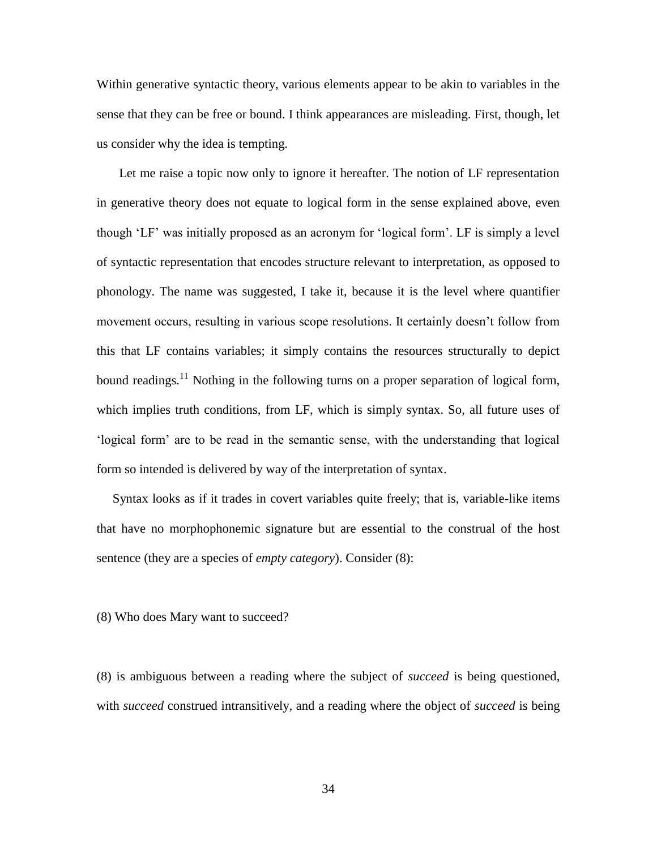Within generative syntactic theory, various elements appear to be akin to variables in the sense that they can be free or bound. I think appearances are misleading. First, though, let us consider why the idea is tempting.

 Let me raise a topic now only to ignore it hereafter. The notion of LF representation in generative theory does not equate to logical form in the sense explained above, even though 'LF' was initially proposed as an acronym for 'logical form'. LF is simply a level of syntactic representation that encodes structure relevant to interpretation, as opposed to phonology. The name was suggested, I take it, because it is the level where quantifier movement occurs, resulting in various scope resolutions. It certainly doesn't follow from this that LF contains variables; it simply contains the resources structurally to depict bound readings.<sup>11</sup> Nothing in the following turns on a proper separation of logical form, which implies truth conditions, from LF, which is simply syntax. So, all future uses of 'logical form' are to be read in the semantic sense, with the understanding that logical form so intended is delivered by way of the interpretation of syntax.

 Syntax looks as if it trades in covert variables quite freely; that is, variable-like items that have no morphophonemic signature but are essential to the construal of the host sentence (they are a species of *empty category*). Consider (8):

(8) Who does Mary want to succeed?

(8) is ambiguous between a reading where the subject of *succeed* is being questioned, with *succeed* construed intransitively, and a reading where the object of *succeed* is being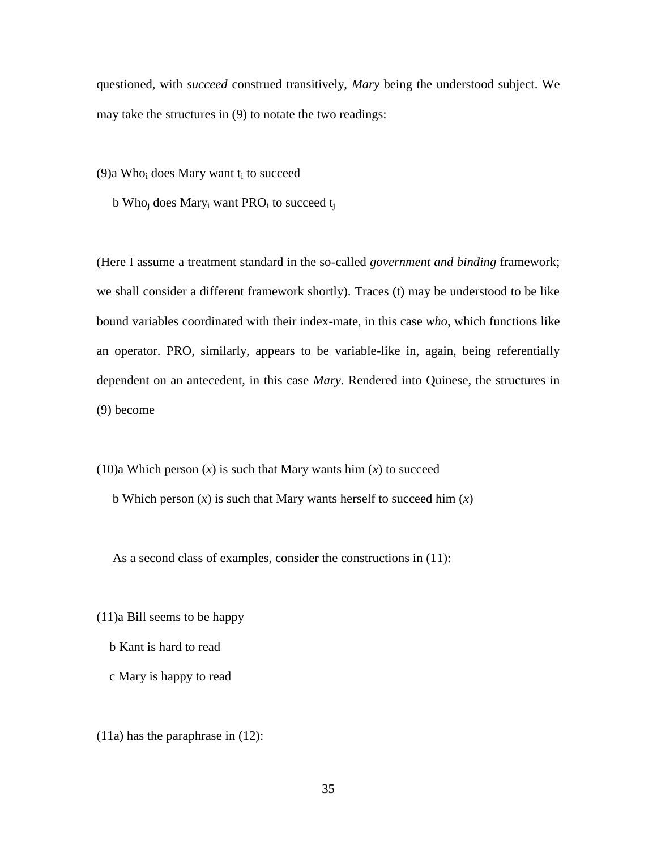questioned, with *succeed* construed transitively, *Mary* being the understood subject. We may take the structures in (9) to notate the two readings:

(9)a Who<sub>i</sub> does Mary want  $t_i$  to succeed

b Who<sub>i</sub> does Mary<sub>i</sub> want PRO<sub>i</sub> to succeed  $t_i$ 

(Here I assume a treatment standard in the so-called *government and binding* framework; we shall consider a different framework shortly). Traces (t) may be understood to be like bound variables coordinated with their index-mate, in this case *who*, which functions like an operator. PRO, similarly, appears to be variable-like in, again, being referentially dependent on an antecedent, in this case *Mary*. Rendered into Quinese, the structures in (9) become

 $(10)a$  Which person  $(x)$  is such that Mary wants him  $(x)$  to succeed b Which person (*x*) is such that Mary wants herself to succeed him (*x*)

As a second class of examples, consider the constructions in (11):

- (11)a Bill seems to be happy
	- b Kant is hard to read
	- c Mary is happy to read

(11a) has the paraphrase in (12):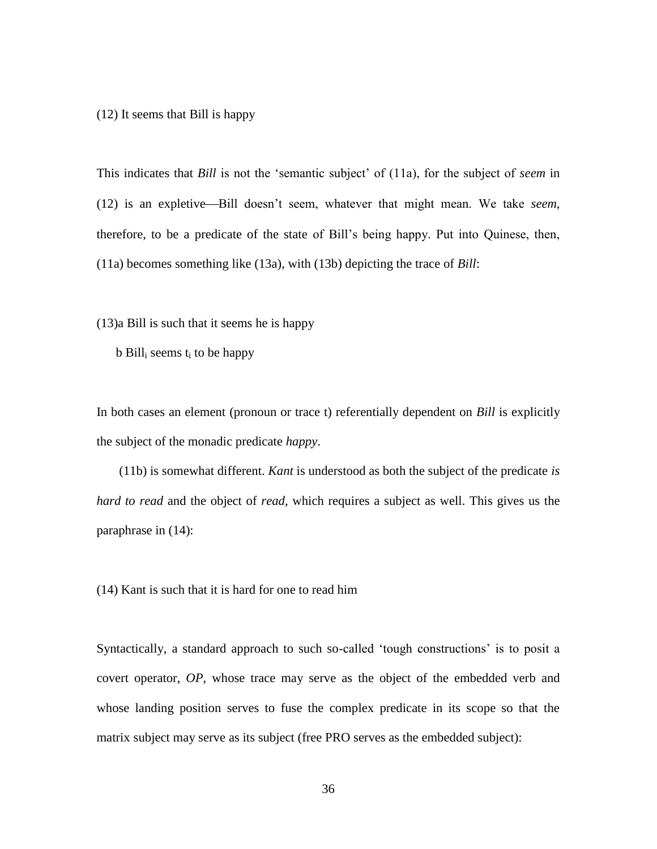(12) It seems that Bill is happy

This indicates that *Bill* is not the 'semantic subject' of (11a), for the subject of *seem* in (12) is an expletive—Bill doesn't seem, whatever that might mean. We take *seem*, therefore, to be a predicate of the state of Bill's being happy. Put into Quinese, then, (11a) becomes something like (13a), with (13b) depicting the trace of *Bill*:

(13)a Bill is such that it seems he is happy

 $b$  Bill<sub>i</sub> seems  $t_i$  to be happy

In both cases an element (pronoun or trace t) referentially dependent on *Bill* is explicitly the subject of the monadic predicate *happy*.

 (11b) is somewhat different. *Kant* is understood as both the subject of the predicate *is hard to read* and the object of *read*, which requires a subject as well. This gives us the paraphrase in (14):

(14) Kant is such that it is hard for one to read him

Syntactically, a standard approach to such so-called 'tough constructions' is to posit a covert operator, *OP*, whose trace may serve as the object of the embedded verb and whose landing position serves to fuse the complex predicate in its scope so that the matrix subject may serve as its subject (free PRO serves as the embedded subject):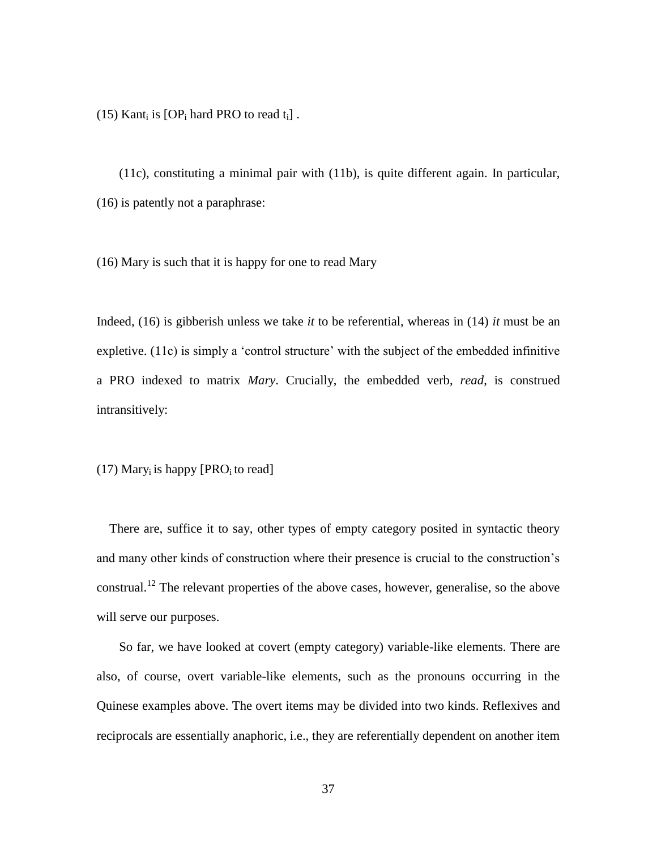(15) Kant<sub>i</sub> is  $[OP_i$  hard PRO to read  $t_i$ ].

 (11c), constituting a minimal pair with (11b), is quite different again. In particular, (16) is patently not a paraphrase:

(16) Mary is such that it is happy for one to read Mary

Indeed, (16) is gibberish unless we take *it* to be referential, whereas in (14) *it* must be an expletive. (11c) is simply a 'control structure' with the subject of the embedded infinitive a PRO indexed to matrix *Mary*. Crucially, the embedded verb, *read*, is construed intransitively:

 $(17)$  Mary<sub>i</sub> is happy [PRO<sub>i</sub> to read]

 There are, suffice it to say, other types of empty category posited in syntactic theory and many other kinds of construction where their presence is crucial to the construction's construal.<sup>12</sup> The relevant properties of the above cases, however, generalise, so the above will serve our purposes.

 So far, we have looked at covert (empty category) variable-like elements. There are also, of course, overt variable-like elements, such as the pronouns occurring in the Quinese examples above. The overt items may be divided into two kinds. Reflexives and reciprocals are essentially anaphoric, i.e., they are referentially dependent on another item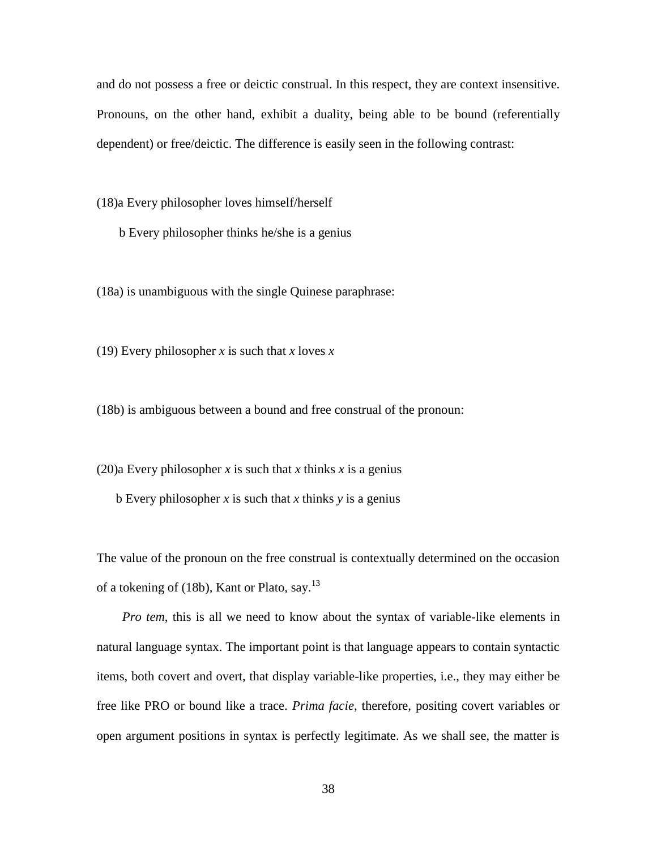and do not possess a free or deictic construal. In this respect, they are context insensitive. Pronouns, on the other hand, exhibit a duality, being able to be bound (referentially dependent) or free/deictic. The difference is easily seen in the following contrast:

(18)a Every philosopher loves himself/herself

b Every philosopher thinks he/she is a genius

(18a) is unambiguous with the single Quinese paraphrase:

(19) Every philosopher *x* is such that *x* loves *x*

(18b) is ambiguous between a bound and free construal of the pronoun:

(20)a Every philosopher *x* is such that *x* thinks *x* is a genius

b Every philosopher *x* is such that *x* thinks *y* is a genius

The value of the pronoun on the free construal is contextually determined on the occasion of a tokening of (18b), Kant or Plato, say.<sup>13</sup>

 *Pro tem*, this is all we need to know about the syntax of variable-like elements in natural language syntax. The important point is that language appears to contain syntactic items, both covert and overt, that display variable-like properties, i.e., they may either be free like PRO or bound like a trace. *Prima facie*, therefore, positing covert variables or open argument positions in syntax is perfectly legitimate. As we shall see, the matter is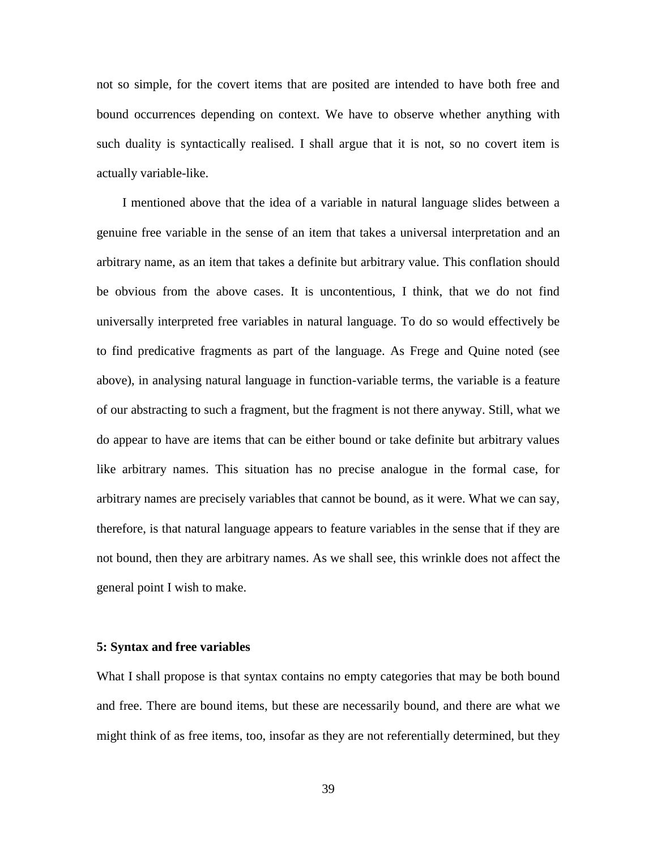not so simple, for the covert items that are posited are intended to have both free and bound occurrences depending on context. We have to observe whether anything with such duality is syntactically realised. I shall argue that it is not, so no covert item is actually variable-like.

 I mentioned above that the idea of a variable in natural language slides between a genuine free variable in the sense of an item that takes a universal interpretation and an arbitrary name, as an item that takes a definite but arbitrary value. This conflation should be obvious from the above cases. It is uncontentious, I think, that we do not find universally interpreted free variables in natural language. To do so would effectively be to find predicative fragments as part of the language. As Frege and Quine noted (see above), in analysing natural language in function-variable terms, the variable is a feature of our abstracting to such a fragment, but the fragment is not there anyway. Still, what we do appear to have are items that can be either bound or take definite but arbitrary values like arbitrary names. This situation has no precise analogue in the formal case, for arbitrary names are precisely variables that cannot be bound, as it were. What we can say, therefore, is that natural language appears to feature variables in the sense that if they are not bound, then they are arbitrary names. As we shall see, this wrinkle does not affect the general point I wish to make.

#### **5: Syntax and free variables**

What I shall propose is that syntax contains no empty categories that may be both bound and free. There are bound items, but these are necessarily bound, and there are what we might think of as free items, too, insofar as they are not referentially determined, but they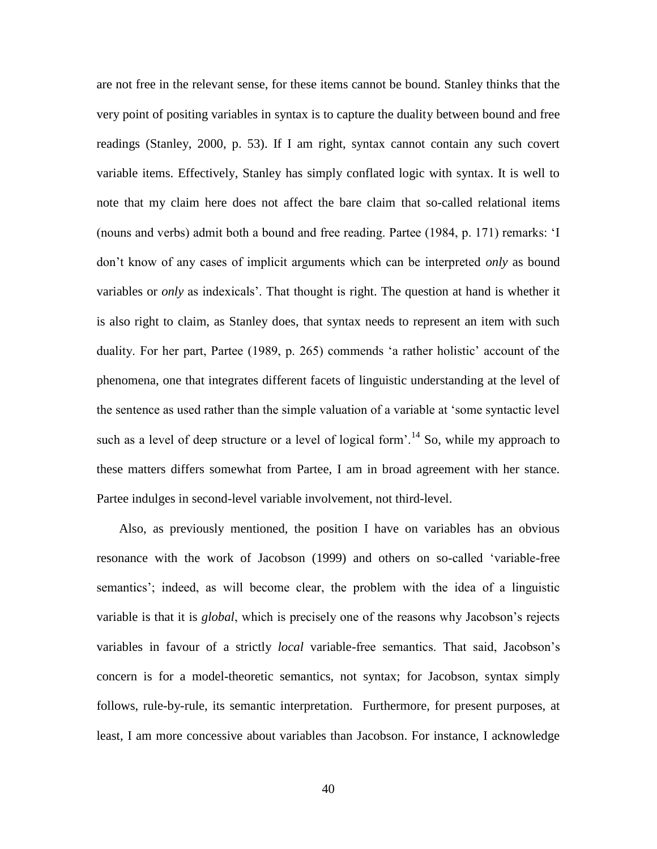are not free in the relevant sense, for these items cannot be bound. Stanley thinks that the very point of positing variables in syntax is to capture the duality between bound and free readings (Stanley, 2000, p. 53). If I am right, syntax cannot contain any such covert variable items. Effectively, Stanley has simply conflated logic with syntax. It is well to note that my claim here does not affect the bare claim that so-called relational items (nouns and verbs) admit both a bound and free reading. Partee (1984, p. 171) remarks: 'I don't know of any cases of implicit arguments which can be interpreted *only* as bound variables or *only* as indexicals'. That thought is right. The question at hand is whether it is also right to claim, as Stanley does, that syntax needs to represent an item with such duality. For her part, Partee (1989, p. 265) commends 'a rather holistic' account of the phenomena, one that integrates different facets of linguistic understanding at the level of the sentence as used rather than the simple valuation of a variable at 'some syntactic level such as a level of deep structure or a level of logical form'.<sup>14</sup> So, while my approach to these matters differs somewhat from Partee, I am in broad agreement with her stance. Partee indulges in second-level variable involvement, not third-level.

 Also, as previously mentioned, the position I have on variables has an obvious resonance with the work of Jacobson (1999) and others on so-called 'variable-free semantics'; indeed, as will become clear, the problem with the idea of a linguistic variable is that it is *global*, which is precisely one of the reasons why Jacobson's rejects variables in favour of a strictly *local* variable-free semantics. That said, Jacobson's concern is for a model-theoretic semantics, not syntax; for Jacobson, syntax simply follows, rule-by-rule, its semantic interpretation. Furthermore, for present purposes, at least, I am more concessive about variables than Jacobson. For instance, I acknowledge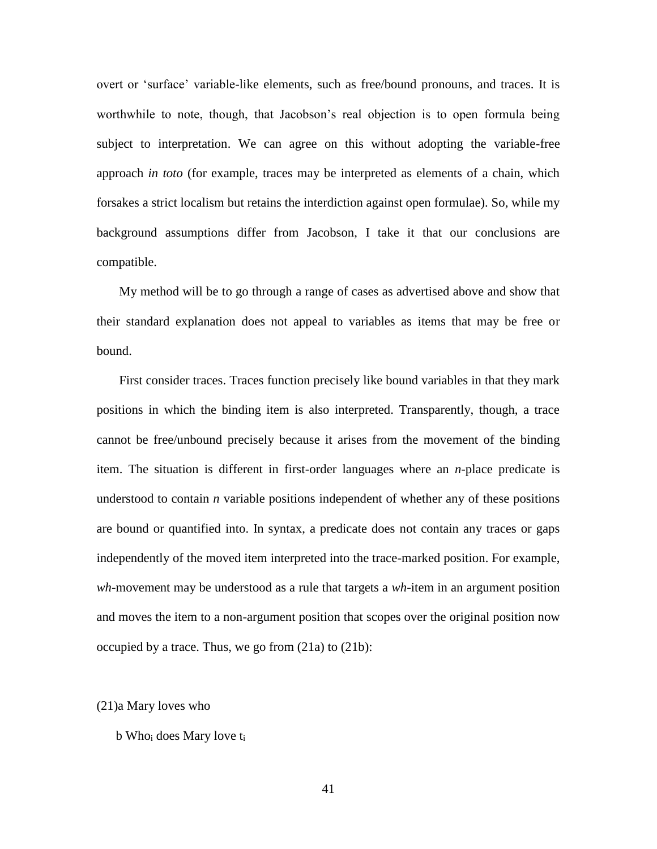overt or 'surface' variable-like elements, such as free/bound pronouns, and traces. It is worthwhile to note, though, that Jacobson's real objection is to open formula being subject to interpretation. We can agree on this without adopting the variable-free approach *in toto* (for example, traces may be interpreted as elements of a chain, which forsakes a strict localism but retains the interdiction against open formulae). So, while my background assumptions differ from Jacobson, I take it that our conclusions are compatible.

 My method will be to go through a range of cases as advertised above and show that their standard explanation does not appeal to variables as items that may be free or bound.

 First consider traces. Traces function precisely like bound variables in that they mark positions in which the binding item is also interpreted. Transparently, though, a trace cannot be free/unbound precisely because it arises from the movement of the binding item. The situation is different in first-order languages where an *n*-place predicate is understood to contain *n* variable positions independent of whether any of these positions are bound or quantified into. In syntax, a predicate does not contain any traces or gaps independently of the moved item interpreted into the trace-marked position. For example, *wh*-movement may be understood as a rule that targets a *wh*-item in an argument position and moves the item to a non-argument position that scopes over the original position now occupied by a trace. Thus, we go from (21a) to (21b):

### (21)a Mary loves who

### $b$  Who<sub>i</sub> does Mary love  $t_i$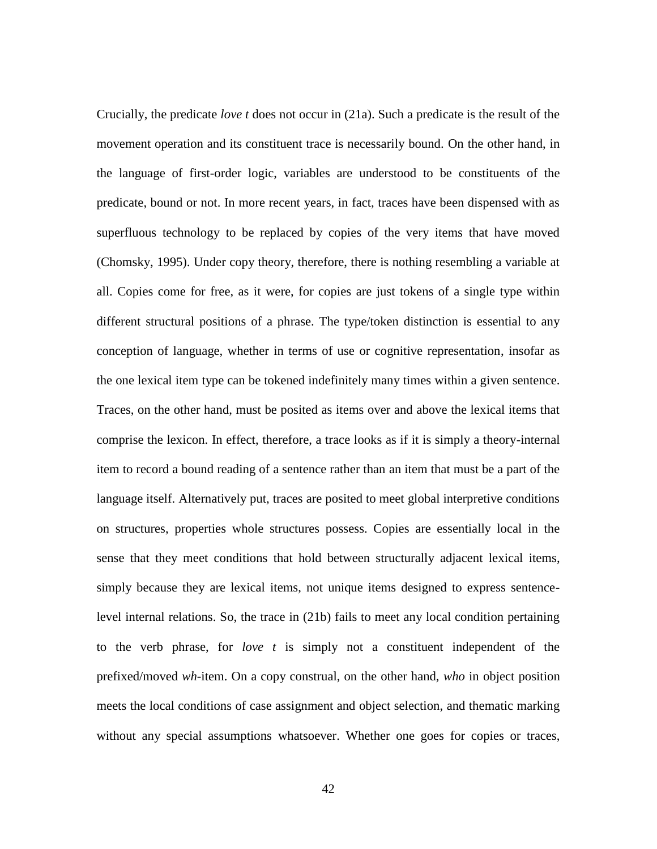Crucially, the predicate *love t* does not occur in (21a). Such a predicate is the result of the movement operation and its constituent trace is necessarily bound. On the other hand, in the language of first-order logic, variables are understood to be constituents of the predicate, bound or not. In more recent years, in fact, traces have been dispensed with as superfluous technology to be replaced by copies of the very items that have moved (Chomsky, 1995). Under copy theory, therefore, there is nothing resembling a variable at all. Copies come for free, as it were, for copies are just tokens of a single type within different structural positions of a phrase. The type/token distinction is essential to any conception of language, whether in terms of use or cognitive representation, insofar as the one lexical item type can be tokened indefinitely many times within a given sentence. Traces, on the other hand, must be posited as items over and above the lexical items that comprise the lexicon. In effect, therefore, a trace looks as if it is simply a theory-internal item to record a bound reading of a sentence rather than an item that must be a part of the language itself. Alternatively put, traces are posited to meet global interpretive conditions on structures, properties whole structures possess. Copies are essentially local in the sense that they meet conditions that hold between structurally adjacent lexical items, simply because they are lexical items, not unique items designed to express sentencelevel internal relations. So, the trace in (21b) fails to meet any local condition pertaining to the verb phrase, for *love t* is simply not a constituent independent of the prefixed/moved *wh*-item. On a copy construal, on the other hand, *who* in object position meets the local conditions of case assignment and object selection, and thematic marking without any special assumptions whatsoever. Whether one goes for copies or traces,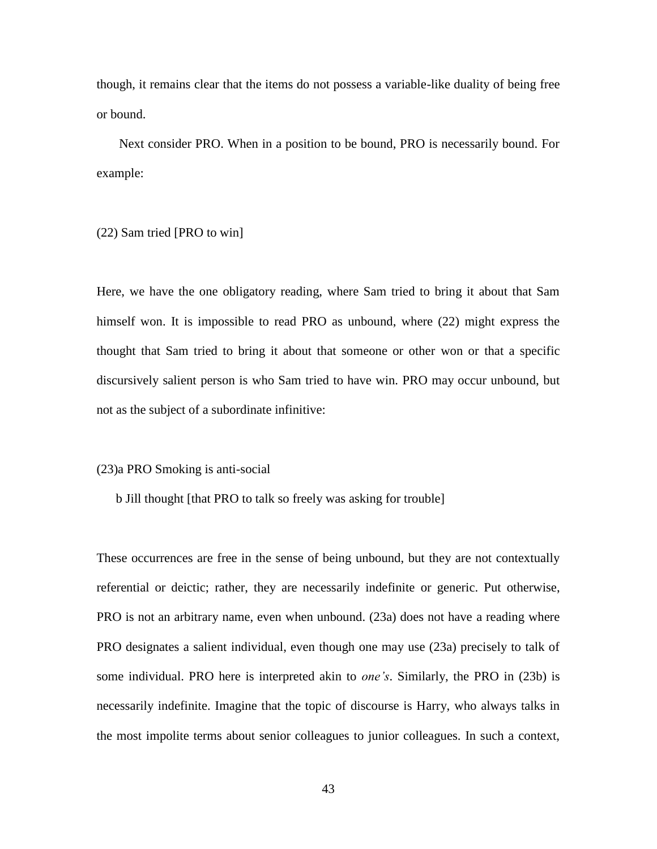though, it remains clear that the items do not possess a variable-like duality of being free or bound.

 Next consider PRO. When in a position to be bound, PRO is necessarily bound. For example:

(22) Sam tried [PRO to win]

Here, we have the one obligatory reading, where Sam tried to bring it about that Sam himself won. It is impossible to read PRO as unbound, where (22) might express the thought that Sam tried to bring it about that someone or other won or that a specific discursively salient person is who Sam tried to have win. PRO may occur unbound, but not as the subject of a subordinate infinitive:

(23)a PRO Smoking is anti-social

b Jill thought [that PRO to talk so freely was asking for trouble]

These occurrences are free in the sense of being unbound, but they are not contextually referential or deictic; rather, they are necessarily indefinite or generic. Put otherwise, PRO is not an arbitrary name, even when unbound. (23a) does not have a reading where PRO designates a salient individual, even though one may use (23a) precisely to talk of some individual. PRO here is interpreted akin to *one's*. Similarly, the PRO in (23b) is necessarily indefinite. Imagine that the topic of discourse is Harry, who always talks in the most impolite terms about senior colleagues to junior colleagues. In such a context,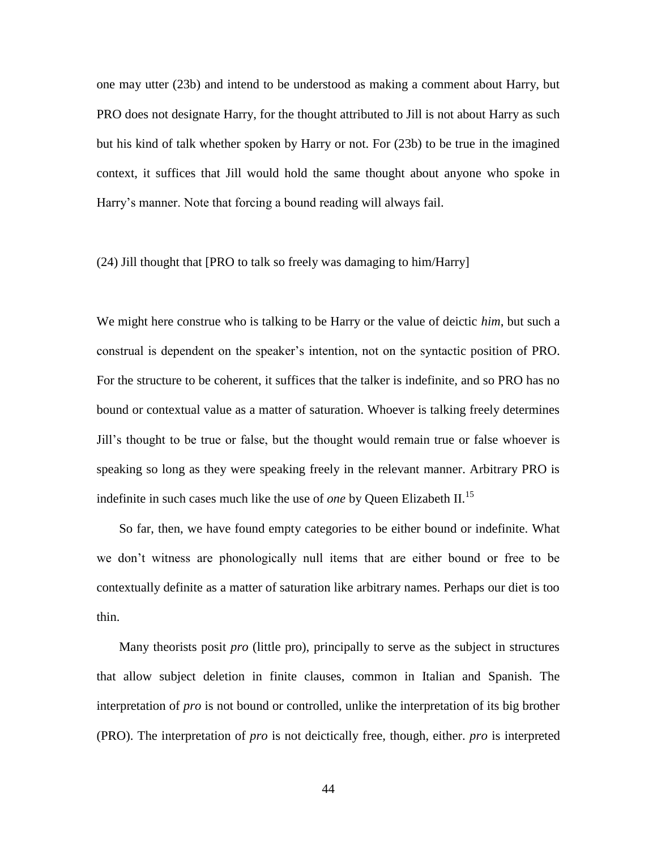one may utter (23b) and intend to be understood as making a comment about Harry, but PRO does not designate Harry, for the thought attributed to Jill is not about Harry as such but his kind of talk whether spoken by Harry or not. For (23b) to be true in the imagined context, it suffices that Jill would hold the same thought about anyone who spoke in Harry's manner. Note that forcing a bound reading will always fail.

### (24) Jill thought that [PRO to talk so freely was damaging to him/Harry]

We might here construe who is talking to be Harry or the value of deictic *him*, but such a construal is dependent on the speaker's intention, not on the syntactic position of PRO. For the structure to be coherent, it suffices that the talker is indefinite, and so PRO has no bound or contextual value as a matter of saturation. Whoever is talking freely determines Jill's thought to be true or false, but the thought would remain true or false whoever is speaking so long as they were speaking freely in the relevant manner. Arbitrary PRO is indefinite in such cases much like the use of *one* by Queen Elizabeth II.<sup>15</sup>

 So far, then, we have found empty categories to be either bound or indefinite. What we don't witness are phonologically null items that are either bound or free to be contextually definite as a matter of saturation like arbitrary names. Perhaps our diet is too thin.

 Many theorists posit *pro* (little pro), principally to serve as the subject in structures that allow subject deletion in finite clauses, common in Italian and Spanish. The interpretation of *pro* is not bound or controlled, unlike the interpretation of its big brother (PRO). The interpretation of *pro* is not deictically free, though, either. *pro* is interpreted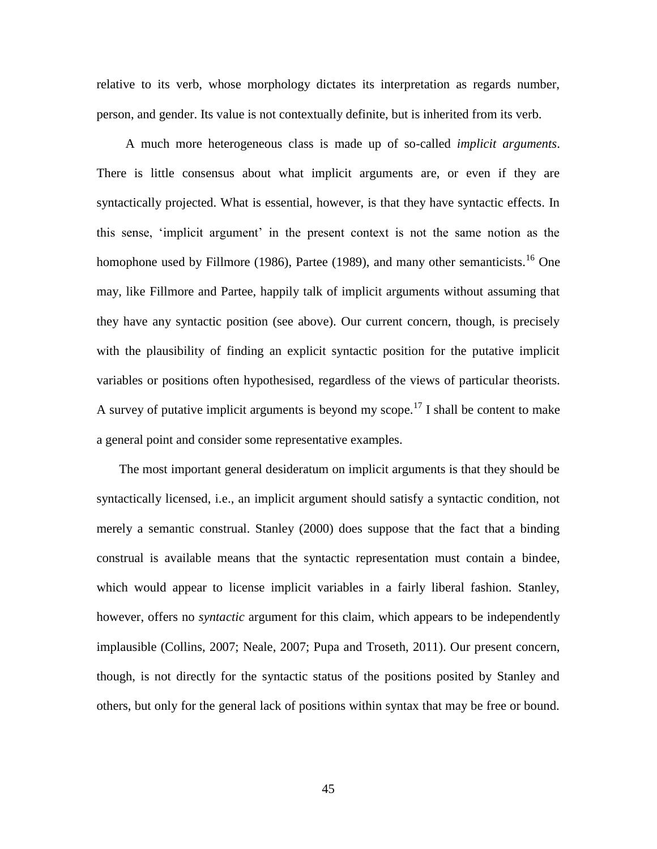relative to its verb, whose morphology dictates its interpretation as regards number, person, and gender. Its value is not contextually definite, but is inherited from its verb.

 A much more heterogeneous class is made up of so-called *implicit arguments*. There is little consensus about what implicit arguments are, or even if they are syntactically projected. What is essential, however, is that they have syntactic effects. In this sense, 'implicit argument' in the present context is not the same notion as the homophone used by Fillmore (1986), Partee (1989), and many other semanticists.<sup>16</sup> One may, like Fillmore and Partee, happily talk of implicit arguments without assuming that they have any syntactic position (see above). Our current concern, though, is precisely with the plausibility of finding an explicit syntactic position for the putative implicit variables or positions often hypothesised, regardless of the views of particular theorists. A survey of putative implicit arguments is beyond my scope.<sup>17</sup> I shall be content to make a general point and consider some representative examples.

 The most important general desideratum on implicit arguments is that they should be syntactically licensed, i.e., an implicit argument should satisfy a syntactic condition, not merely a semantic construal. Stanley (2000) does suppose that the fact that a binding construal is available means that the syntactic representation must contain a bindee, which would appear to license implicit variables in a fairly liberal fashion. Stanley, however, offers no *syntactic* argument for this claim, which appears to be independently implausible (Collins, 2007; Neale, 2007; Pupa and Troseth, 2011). Our present concern, though, is not directly for the syntactic status of the positions posited by Stanley and others, but only for the general lack of positions within syntax that may be free or bound.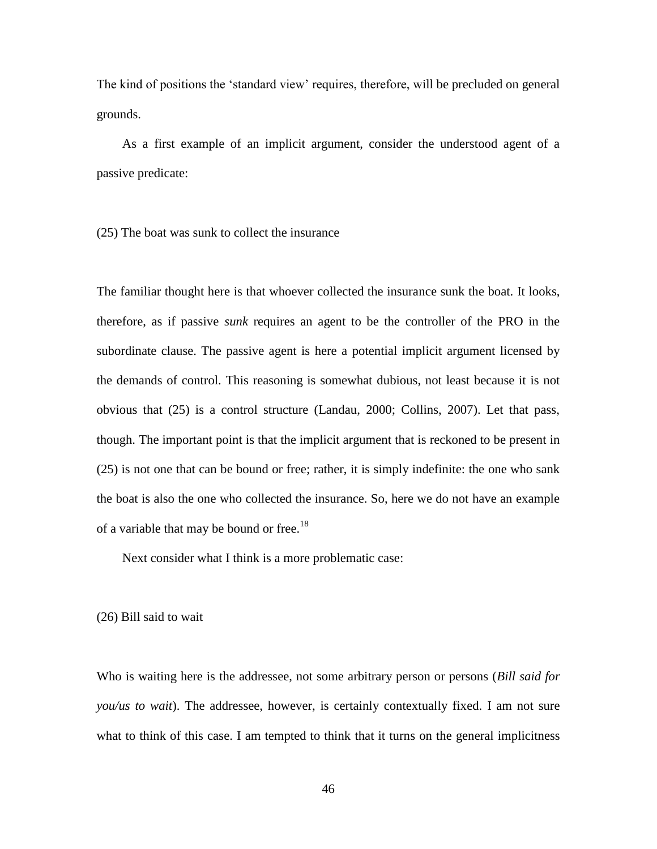The kind of positions the 'standard view' requires, therefore, will be precluded on general grounds.

 As a first example of an implicit argument, consider the understood agent of a passive predicate:

(25) The boat was sunk to collect the insurance

The familiar thought here is that whoever collected the insurance sunk the boat. It looks, therefore, as if passive *sunk* requires an agent to be the controller of the PRO in the subordinate clause. The passive agent is here a potential implicit argument licensed by the demands of control. This reasoning is somewhat dubious, not least because it is not obvious that (25) is a control structure (Landau, 2000; Collins, 2007). Let that pass, though. The important point is that the implicit argument that is reckoned to be present in (25) is not one that can be bound or free; rather, it is simply indefinite: the one who sank the boat is also the one who collected the insurance. So, here we do not have an example of a variable that may be bound or free.<sup>18</sup>

Next consider what I think is a more problematic case:

(26) Bill said to wait

Who is waiting here is the addressee, not some arbitrary person or persons (*Bill said for you/us to wait*). The addressee, however, is certainly contextually fixed. I am not sure what to think of this case. I am tempted to think that it turns on the general implicitness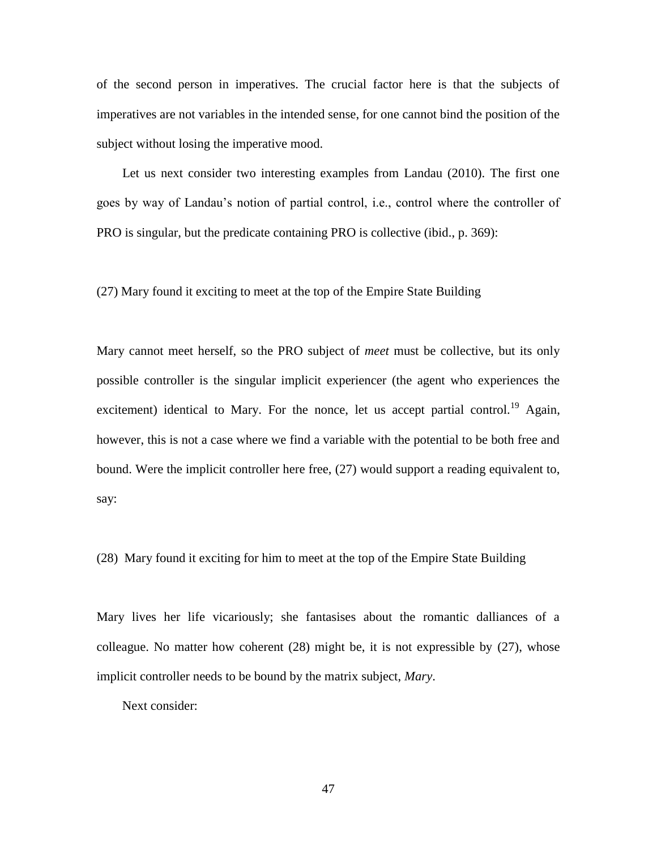of the second person in imperatives. The crucial factor here is that the subjects of imperatives are not variables in the intended sense, for one cannot bind the position of the subject without losing the imperative mood.

 Let us next consider two interesting examples from Landau (2010). The first one goes by way of Landau's notion of partial control, i.e., control where the controller of PRO is singular, but the predicate containing PRO is collective (ibid., p. 369):

(27) Mary found it exciting to meet at the top of the Empire State Building

Mary cannot meet herself, so the PRO subject of *meet* must be collective, but its only possible controller is the singular implicit experiencer (the agent who experiences the excitement) identical to Mary. For the nonce, let us accept partial control.<sup>19</sup> Again, however, this is not a case where we find a variable with the potential to be both free and bound. Were the implicit controller here free, (27) would support a reading equivalent to, say:

(28) Mary found it exciting for him to meet at the top of the Empire State Building

Mary lives her life vicariously; she fantasises about the romantic dalliances of a colleague. No matter how coherent (28) might be, it is not expressible by (27), whose implicit controller needs to be bound by the matrix subject, *Mary*.

Next consider: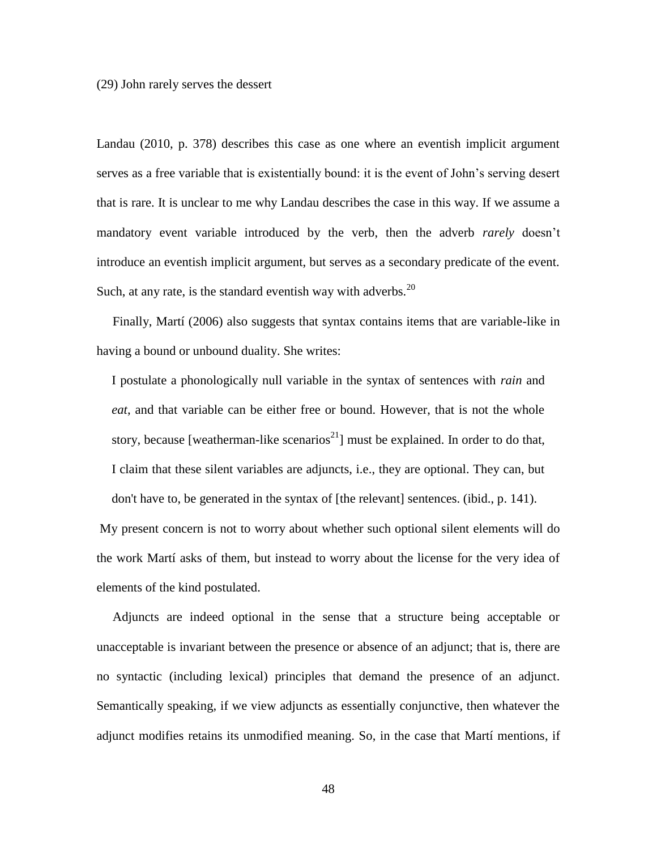(29) John rarely serves the dessert

Landau (2010, p. 378) describes this case as one where an eventish implicit argument serves as a free variable that is existentially bound: it is the event of John's serving desert that is rare. It is unclear to me why Landau describes the case in this way. If we assume a mandatory event variable introduced by the verb, then the adverb *rarely* doesn't introduce an eventish implicit argument, but serves as a secondary predicate of the event. Such, at any rate, is the standard eventish way with adverbs.  $20$ 

 Finally, Martí (2006) also suggests that syntax contains items that are variable-like in having a bound or unbound duality. She writes:

I postulate a phonologically null variable in the syntax of sentences with *rain* and *eat*, and that variable can be either free or bound. However, that is not the whole story, because [weatherman-like scenarios<sup>21</sup>] must be explained. In order to do that, I claim that these silent variables are adjuncts, i.e., they are optional. They can, but don't have to, be generated in the syntax of [the relevant] sentences. (ibid., p. 141).

My present concern is not to worry about whether such optional silent elements will do the work Martí asks of them, but instead to worry about the license for the very idea of elements of the kind postulated.

 Adjuncts are indeed optional in the sense that a structure being acceptable or unacceptable is invariant between the presence or absence of an adjunct; that is, there are no syntactic (including lexical) principles that demand the presence of an adjunct. Semantically speaking, if we view adjuncts as essentially conjunctive, then whatever the adjunct modifies retains its unmodified meaning. So, in the case that Martí mentions, if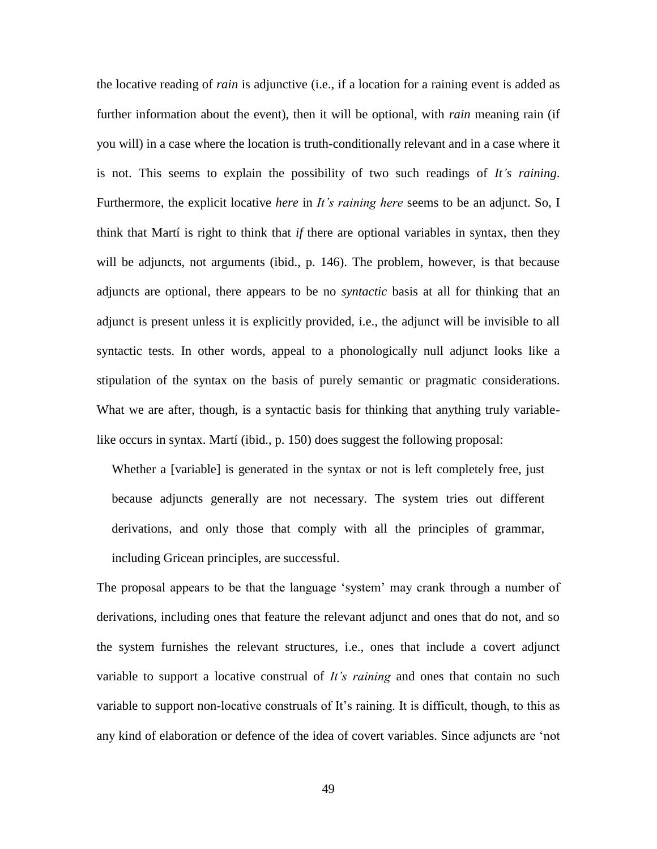the locative reading of *rain* is adjunctive (i.e., if a location for a raining event is added as further information about the event), then it will be optional, with *rain* meaning rain (if you will) in a case where the location is truth-conditionally relevant and in a case where it is not. This seems to explain the possibility of two such readings of *It's raining*. Furthermore, the explicit locative *here* in *It's raining here* seems to be an adjunct. So, I think that Martí is right to think that *if* there are optional variables in syntax, then they will be adjuncts, not arguments (ibid., p. 146). The problem, however, is that because adjuncts are optional, there appears to be no *syntactic* basis at all for thinking that an adjunct is present unless it is explicitly provided, i.e., the adjunct will be invisible to all syntactic tests. In other words, appeal to a phonologically null adjunct looks like a stipulation of the syntax on the basis of purely semantic or pragmatic considerations. What we are after, though, is a syntactic basis for thinking that anything truly variablelike occurs in syntax. Martí (ibid., p. 150) does suggest the following proposal:

Whether a [variable] is generated in the syntax or not is left completely free, just because adjuncts generally are not necessary. The system tries out different derivations, and only those that comply with all the principles of grammar, including Gricean principles, are successful.

The proposal appears to be that the language 'system' may crank through a number of derivations, including ones that feature the relevant adjunct and ones that do not, and so the system furnishes the relevant structures, i.e., ones that include a covert adjunct variable to support a locative construal of *It's raining* and ones that contain no such variable to support non-locative construals of It's raining. It is difficult, though, to this as any kind of elaboration or defence of the idea of covert variables. Since adjuncts are 'not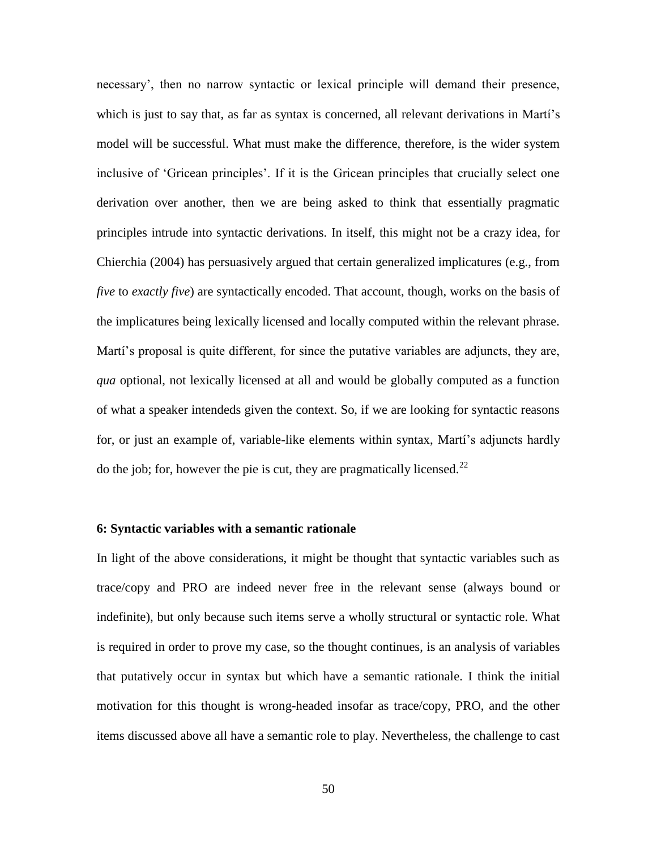necessary', then no narrow syntactic or lexical principle will demand their presence, which is just to say that, as far as syntax is concerned, all relevant derivations in Martí's model will be successful. What must make the difference, therefore, is the wider system inclusive of 'Gricean principles'. If it is the Gricean principles that crucially select one derivation over another, then we are being asked to think that essentially pragmatic principles intrude into syntactic derivations. In itself, this might not be a crazy idea, for Chierchia (2004) has persuasively argued that certain generalized implicatures (e.g., from *five* to *exactly five*) are syntactically encoded. That account, though, works on the basis of the implicatures being lexically licensed and locally computed within the relevant phrase. Martí's proposal is quite different, for since the putative variables are adjuncts, they are, *qua* optional, not lexically licensed at all and would be globally computed as a function of what a speaker intendeds given the context. So, if we are looking for syntactic reasons for, or just an example of, variable-like elements within syntax, Martí's adjuncts hardly do the job; for, however the pie is cut, they are pragmatically licensed.<sup>22</sup>

### **6: Syntactic variables with a semantic rationale**

In light of the above considerations, it might be thought that syntactic variables such as trace/copy and PRO are indeed never free in the relevant sense (always bound or indefinite), but only because such items serve a wholly structural or syntactic role. What is required in order to prove my case, so the thought continues, is an analysis of variables that putatively occur in syntax but which have a semantic rationale. I think the initial motivation for this thought is wrong-headed insofar as trace/copy, PRO, and the other items discussed above all have a semantic role to play. Nevertheless, the challenge to cast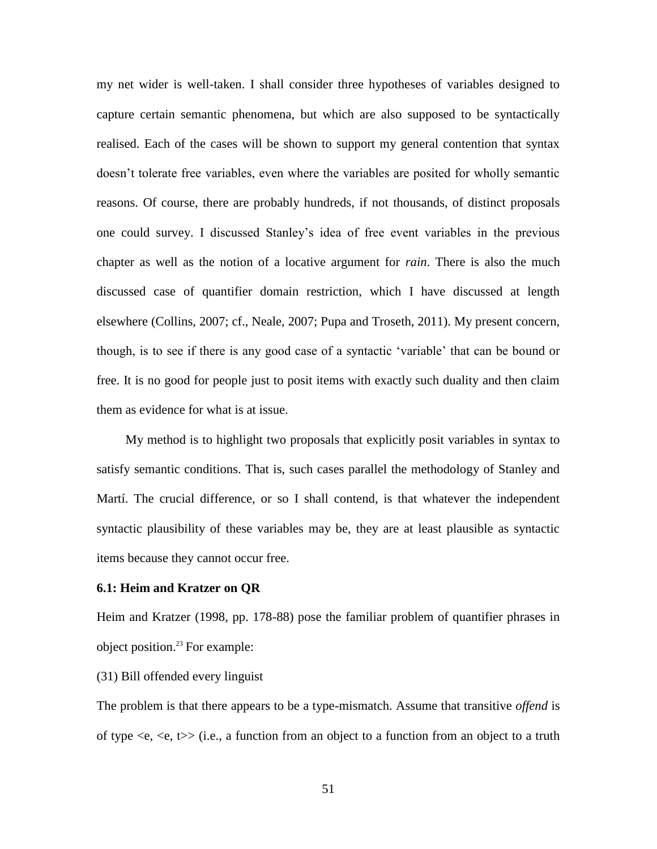my net wider is well-taken. I shall consider three hypotheses of variables designed to capture certain semantic phenomena, but which are also supposed to be syntactically realised. Each of the cases will be shown to support my general contention that syntax doesn't tolerate free variables, even where the variables are posited for wholly semantic reasons. Of course, there are probably hundreds, if not thousands, of distinct proposals one could survey. I discussed Stanley's idea of free event variables in the previous chapter as well as the notion of a locative argument for *rain*. There is also the much discussed case of quantifier domain restriction, which I have discussed at length elsewhere (Collins, 2007; cf., Neale, 2007; Pupa and Troseth, 2011). My present concern, though, is to see if there is any good case of a syntactic 'variable' that can be bound or free. It is no good for people just to posit items with exactly such duality and then claim them as evidence for what is at issue.

 My method is to highlight two proposals that explicitly posit variables in syntax to satisfy semantic conditions. That is, such cases parallel the methodology of Stanley and Martí. The crucial difference, or so I shall contend, is that whatever the independent syntactic plausibility of these variables may be, they are at least plausible as syntactic items because they cannot occur free.

### **6.1: Heim and Kratzer on QR**

Heim and Kratzer (1998, pp. 178-88) pose the familiar problem of quantifier phrases in object position.<sup>23</sup> For example:

# (31) Bill offended every linguist

The problem is that there appears to be a type-mismatch. Assume that transitive *offend* is of type  $\langle e, \langle e, t \rangle \rangle$  (i.e., a function from an object to a function from an object to a truth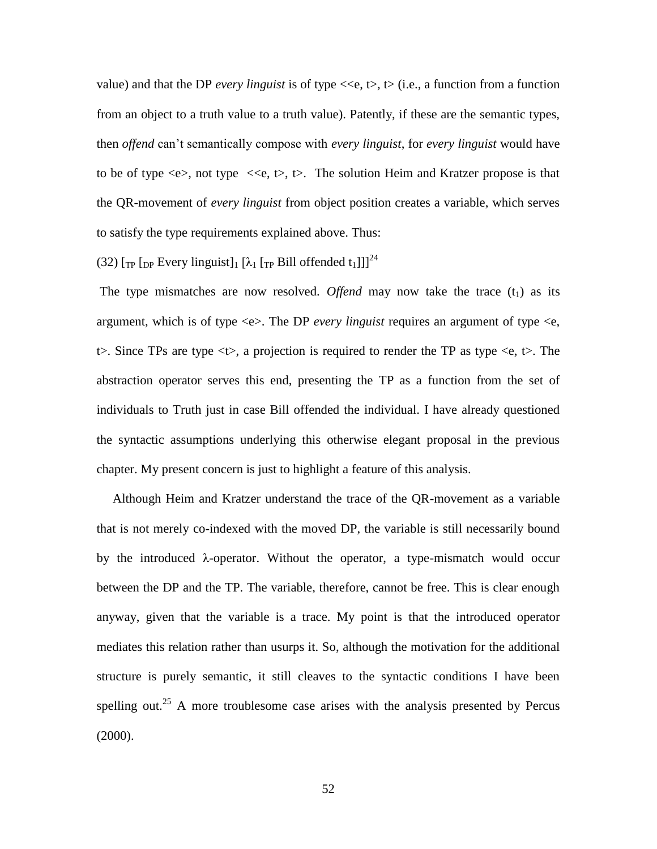value) and that the DP *every linguist* is of type  $\langle \langle e, t \rangle, t \rangle$  (i.e., a function from a function from an object to a truth value to a truth value). Patently, if these are the semantic types, then *offend* can't semantically compose with *every linguist*, for *every linguist* would have to be of type  $\langle e \rangle$ , not type  $\langle \langle e, t \rangle$ , t $\rangle$ . The solution Heim and Kratzer propose is that the QR-movement of *every linguist* from object position creates a variable, which serves to satisfy the type requirements explained above. Thus:

(32)  $\lceil_{\text{TP}} \rceil_{\text{DP}}$  Every linguist $\lceil_{1} \rceil_{\lambda_1} \lceil_{\text{TP}} \text{Bill}$  offended t<sub>1</sub>]]]<sup>24</sup>

The type mismatches are now resolved. Offend may now take the trace  $(t_1)$  as its argument, which is of type  $\ll$  >. The DP *every linguist* requires an argument of type  $\ll$  e,  $t$ . Since TPs are type  $\langle t \rangle$ , a projection is required to render the TP as type  $\langle e, t \rangle$ . The abstraction operator serves this end, presenting the TP as a function from the set of individuals to Truth just in case Bill offended the individual. I have already questioned the syntactic assumptions underlying this otherwise elegant proposal in the previous chapter. My present concern is just to highlight a feature of this analysis.

 Although Heim and Kratzer understand the trace of the QR-movement as a variable that is not merely co-indexed with the moved DP, the variable is still necessarily bound by the introduced λ-operator. Without the operator, a type-mismatch would occur between the DP and the TP. The variable, therefore, cannot be free. This is clear enough anyway, given that the variable is a trace. My point is that the introduced operator mediates this relation rather than usurps it. So, although the motivation for the additional structure is purely semantic, it still cleaves to the syntactic conditions I have been spelling out.<sup>25</sup> A more troublesome case arises with the analysis presented by Percus  $(2000).$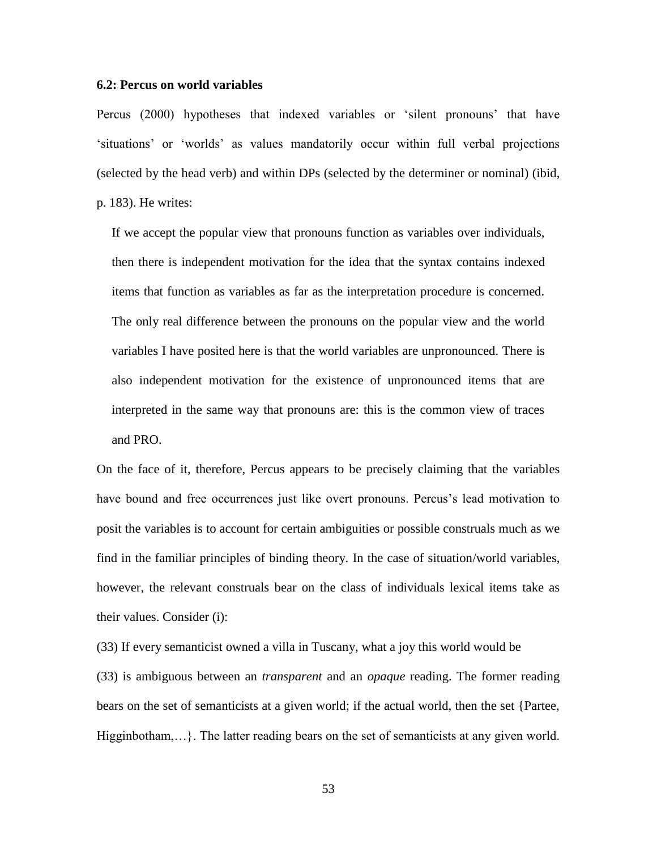### **6.2: Percus on world variables**

Percus (2000) hypotheses that indexed variables or 'silent pronouns' that have 'situations' or 'worlds' as values mandatorily occur within full verbal projections (selected by the head verb) and within DPs (selected by the determiner or nominal) (ibid, p. 183). He writes:

If we accept the popular view that pronouns function as variables over individuals, then there is independent motivation for the idea that the syntax contains indexed items that function as variables as far as the interpretation procedure is concerned. The only real difference between the pronouns on the popular view and the world variables I have posited here is that the world variables are unpronounced. There is also independent motivation for the existence of unpronounced items that are interpreted in the same way that pronouns are: this is the common view of traces and PRO.

On the face of it, therefore, Percus appears to be precisely claiming that the variables have bound and free occurrences just like overt pronouns. Percus's lead motivation to posit the variables is to account for certain ambiguities or possible construals much as we find in the familiar principles of binding theory. In the case of situation/world variables, however, the relevant construals bear on the class of individuals lexical items take as their values. Consider (i):

(33) If every semanticist owned a villa in Tuscany, what a joy this world would be (33) is ambiguous between an *transparent* and an *opaque* reading. The former reading bears on the set of semanticists at a given world; if the actual world, then the set {Partee, Higginbotham,…}. The latter reading bears on the set of semanticists at any given world.

53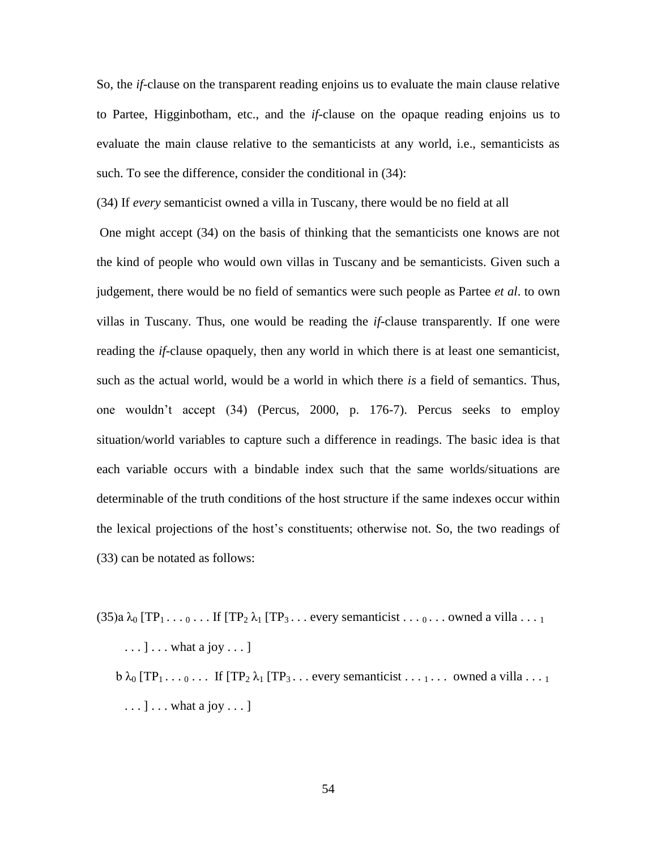So, the *if*-clause on the transparent reading enjoins us to evaluate the main clause relative to Partee, Higginbotham, etc., and the *if*-clause on the opaque reading enjoins us to evaluate the main clause relative to the semanticists at any world, i.e., semanticists as such. To see the difference, consider the conditional in  $(34)$ :

(34) If *every* semanticist owned a villa in Tuscany, there would be no field at all

One might accept (34) on the basis of thinking that the semanticists one knows are not the kind of people who would own villas in Tuscany and be semanticists. Given such a judgement, there would be no field of semantics were such people as Partee *et al*. to own villas in Tuscany. Thus, one would be reading the *if*-clause transparently. If one were reading the *if*-clause opaquely, then any world in which there is at least one semanticist, such as the actual world, would be a world in which there *is* a field of semantics. Thus, one wouldn't accept (34) (Percus, 2000, p. 176-7). Percus seeks to employ situation/world variables to capture such a difference in readings. The basic idea is that each variable occurs with a bindable index such that the same worlds/situations are determinable of the truth conditions of the host structure if the same indexes occur within the lexical projections of the host's constituents; otherwise not. So, the two readings of (33) can be notated as follows:

 $(35)a \lambda_0$  [TP<sub>1</sub> . . .  $_0$  . . . If [TP<sub>2</sub>  $\lambda_1$  [TP<sub>3</sub> . . . every semanticist . . .  $_0$  . . . owned a villa . . . 1

 $\dots$  ]  $\dots$  what a joy  $\dots$  ]

 $b \lambda_0 [TP_1 \ldots 0 \ldots$  If  $[TP_2 \lambda_1 [TP_3 \ldots$  every semanticist  $\ldots 1 \ldots$  owned a villa  $\ldots 1$  $\dots$ ]  $\dots$  what a joy  $\dots$  ]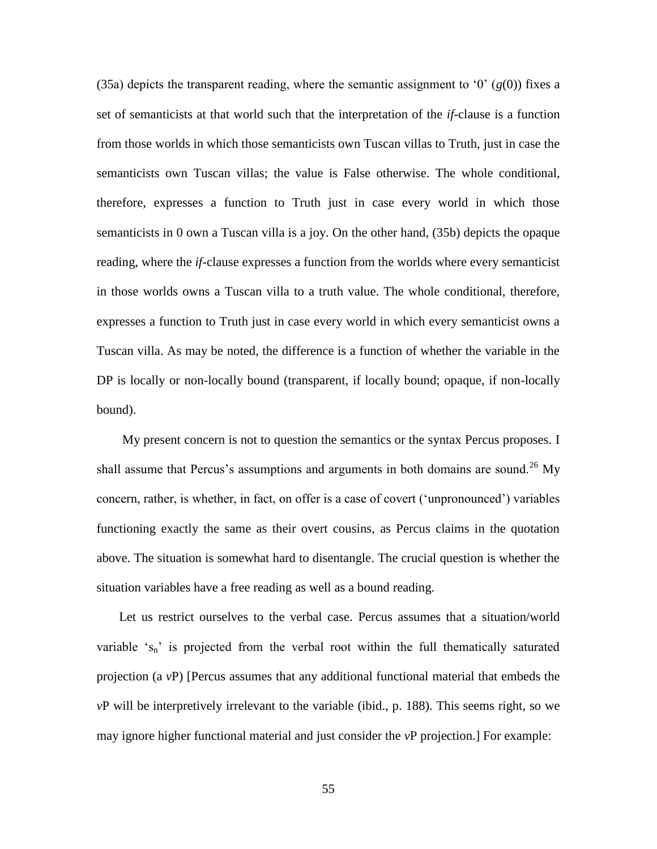(35a) depicts the transparent reading, where the semantic assignment to '0'  $(g(0))$  fixes a set of semanticists at that world such that the interpretation of the *if*-clause is a function from those worlds in which those semanticists own Tuscan villas to Truth, just in case the semanticists own Tuscan villas; the value is False otherwise. The whole conditional, therefore, expresses a function to Truth just in case every world in which those semanticists in 0 own a Tuscan villa is a joy. On the other hand, (35b) depicts the opaque reading, where the *if*-clause expresses a function from the worlds where every semanticist in those worlds owns a Tuscan villa to a truth value. The whole conditional, therefore, expresses a function to Truth just in case every world in which every semanticist owns a Tuscan villa. As may be noted, the difference is a function of whether the variable in the DP is locally or non-locally bound (transparent, if locally bound; opaque, if non-locally bound).

 My present concern is not to question the semantics or the syntax Percus proposes. I shall assume that Percus's assumptions and arguments in both domains are sound.<sup>26</sup> My concern, rather, is whether, in fact, on offer is a case of covert ('unpronounced') variables functioning exactly the same as their overt cousins, as Percus claims in the quotation above. The situation is somewhat hard to disentangle. The crucial question is whether the situation variables have a free reading as well as a bound reading.

 Let us restrict ourselves to the verbal case. Percus assumes that a situation/world variable ' $s_n$ ' is projected from the verbal root within the full thematically saturated projection (a *v*P) [Percus assumes that any additional functional material that embeds the *v*P will be interpretively irrelevant to the variable (ibid., p. 188). This seems right, so we may ignore higher functional material and just consider the *v*P projection.] For example: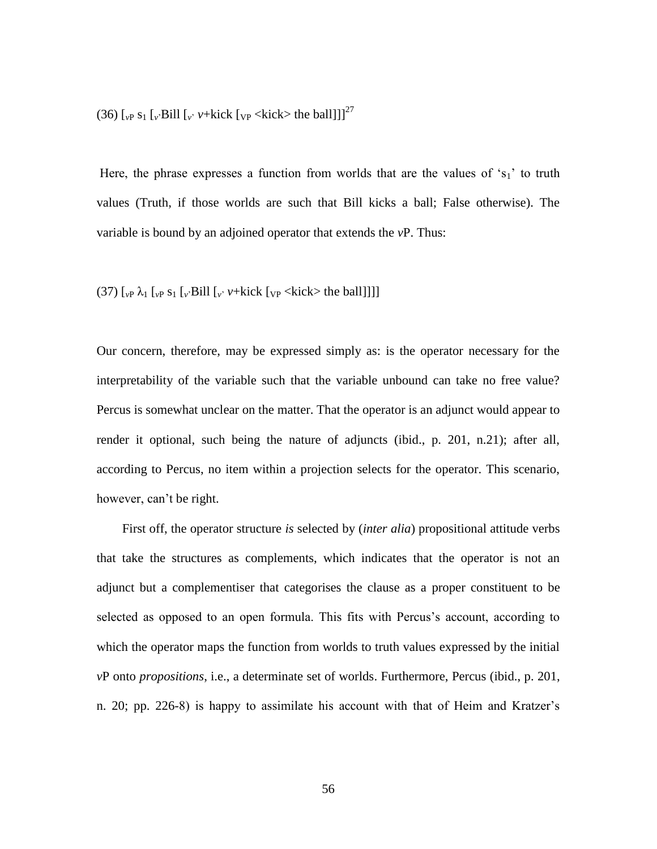(36)  $\left[\int_{V} S_1 \left[\int_V Bill \left[\int_V V + kick \left[\int_V V \right] \right] \right] \right]^{27}$ 

Here, the phrase expresses a function from worlds that are the values of  $s_1$ ' to truth values (Truth, if those worlds are such that Bill kicks a ball; False otherwise). The variable is bound by an adjoined operator that extends the *v*P. Thus:

# (37)  $\left[\begin{smallmatrix} v_P \lambda_1 & v_P \ s_1 & v_B \end{smallmatrix}\right]$  [*v*' Bill  $\left[\begin{smallmatrix} v \\ v \end{smallmatrix}\right]$  *v*+kick  $\left[\begin{smallmatrix} v_P \\ v_B \end{smallmatrix}\right]$  (x  $\left[\begin{smallmatrix} v_R \\ v_B \end{smallmatrix}\right]$  (x  $\left[\begin{smallmatrix} v_R \\ v_B \end{smallmatrix}\right]$ )  $\left[\begin{smallmatrix} v_R \\ v_B \end{smallmatrix}\right]$

Our concern, therefore, may be expressed simply as: is the operator necessary for the interpretability of the variable such that the variable unbound can take no free value? Percus is somewhat unclear on the matter. That the operator is an adjunct would appear to render it optional, such being the nature of adjuncts (ibid., p. 201, n.21); after all, according to Percus, no item within a projection selects for the operator. This scenario, however, can't be right.

 First off, the operator structure *is* selected by (*inter alia*) propositional attitude verbs that take the structures as complements, which indicates that the operator is not an adjunct but a complementiser that categorises the clause as a proper constituent to be selected as opposed to an open formula. This fits with Percus's account, according to which the operator maps the function from worlds to truth values expressed by the initial *v*P onto *propositions*, i.e., a determinate set of worlds. Furthermore, Percus (ibid., p. 201, n. 20; pp. 226-8) is happy to assimilate his account with that of Heim and Kratzer's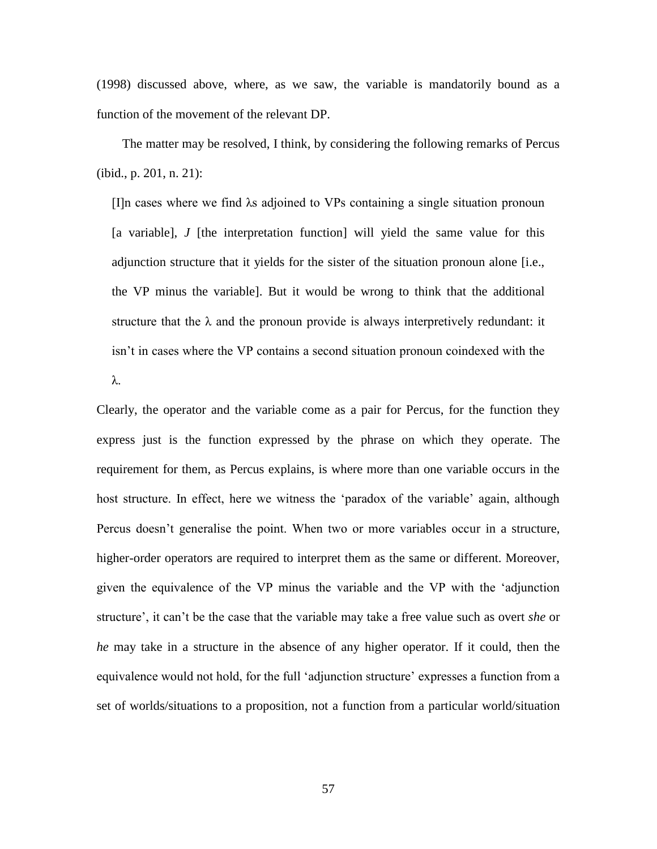(1998) discussed above, where, as we saw, the variable is mandatorily bound as a function of the movement of the relevant DP.

 The matter may be resolved, I think, by considering the following remarks of Percus (ibid., p. 201, n. 21):

[I]n cases where we find λs adjoined to VPs containing a single situation pronoun [a variable], *J* [the interpretation function] will yield the same value for this adjunction structure that it yields for the sister of the situation pronoun alone [i.e., the VP minus the variable]. But it would be wrong to think that the additional structure that the  $\lambda$  and the pronoun provide is always interpretively redundant: it isn't in cases where the VP contains a second situation pronoun coindexed with the λ.

Clearly, the operator and the variable come as a pair for Percus, for the function they express just is the function expressed by the phrase on which they operate. The requirement for them, as Percus explains, is where more than one variable occurs in the host structure. In effect, here we witness the 'paradox of the variable' again, although Percus doesn't generalise the point. When two or more variables occur in a structure, higher-order operators are required to interpret them as the same or different. Moreover, given the equivalence of the VP minus the variable and the VP with the 'adjunction structure', it can't be the case that the variable may take a free value such as overt *she* or *he* may take in a structure in the absence of any higher operator. If it could, then the equivalence would not hold, for the full 'adjunction structure' expresses a function from a set of worlds/situations to a proposition, not a function from a particular world/situation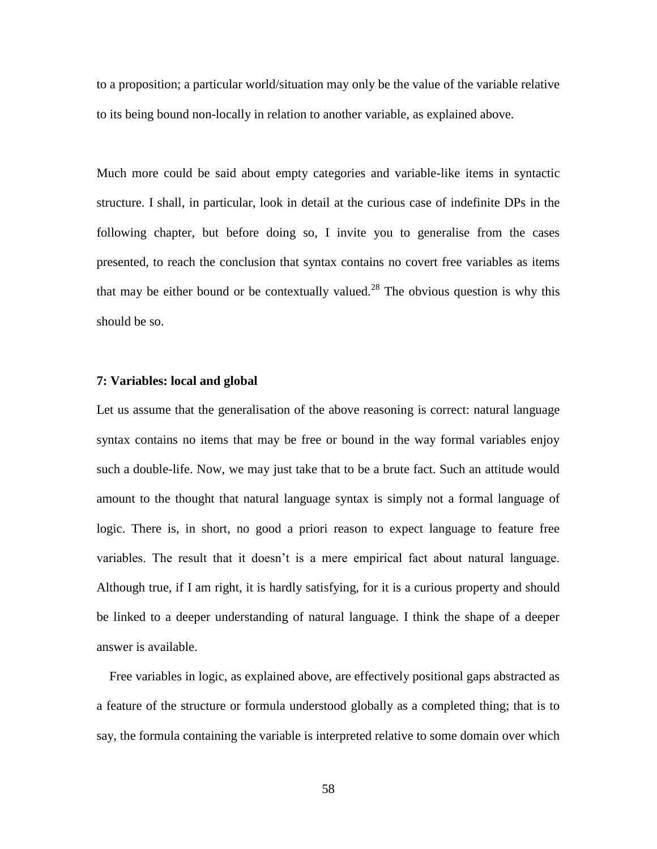to a proposition; a particular world/situation may only be the value of the variable relative to its being bound non-locally in relation to another variable, as explained above.

Much more could be said about empty categories and variable-like items in syntactic structure. I shall, in particular, look in detail at the curious case of indefinite DPs in the following chapter, but before doing so, I invite you to generalise from the cases presented, to reach the conclusion that syntax contains no covert free variables as items that may be either bound or be contextually valued.<sup>28</sup> The obvious question is why this should be so.

### **7: Variables: local and global**

Let us assume that the generalisation of the above reasoning is correct: natural language syntax contains no items that may be free or bound in the way formal variables enjoy such a double-life. Now, we may just take that to be a brute fact. Such an attitude would amount to the thought that natural language syntax is simply not a formal language of logic. There is, in short, no good a priori reason to expect language to feature free variables. The result that it doesn't is a mere empirical fact about natural language. Although true, if I am right, it is hardly satisfying, for it is a curious property and should be linked to a deeper understanding of natural language. I think the shape of a deeper answer is available.

 Free variables in logic, as explained above, are effectively positional gaps abstracted as a feature of the structure or formula understood globally as a completed thing; that is to say, the formula containing the variable is interpreted relative to some domain over which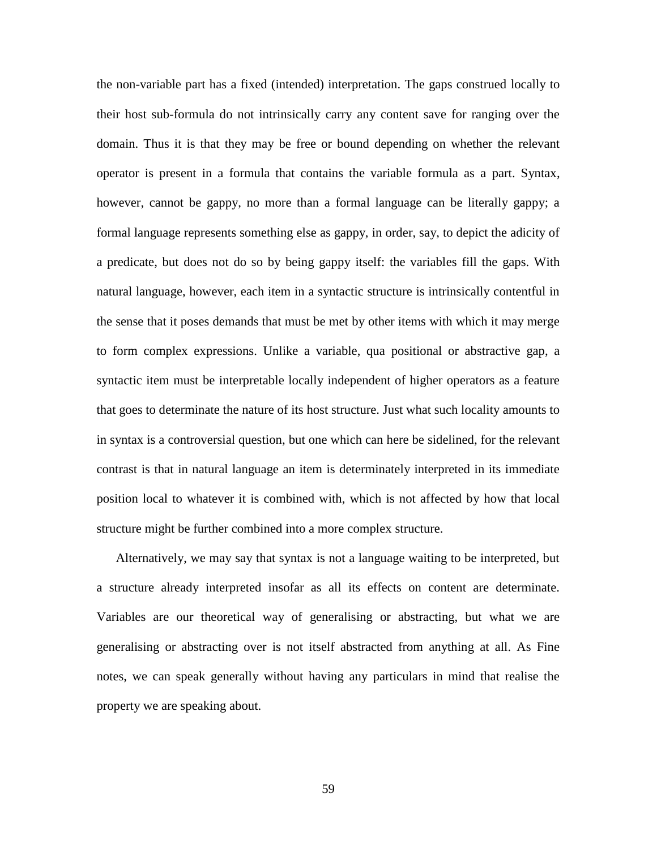the non-variable part has a fixed (intended) interpretation. The gaps construed locally to their host sub-formula do not intrinsically carry any content save for ranging over the domain. Thus it is that they may be free or bound depending on whether the relevant operator is present in a formula that contains the variable formula as a part. Syntax, however, cannot be gappy, no more than a formal language can be literally gappy; a formal language represents something else as gappy, in order, say, to depict the adicity of a predicate, but does not do so by being gappy itself: the variables fill the gaps. With natural language, however, each item in a syntactic structure is intrinsically contentful in the sense that it poses demands that must be met by other items with which it may merge to form complex expressions. Unlike a variable, qua positional or abstractive gap, a syntactic item must be interpretable locally independent of higher operators as a feature that goes to determinate the nature of its host structure. Just what such locality amounts to in syntax is a controversial question, but one which can here be sidelined, for the relevant contrast is that in natural language an item is determinately interpreted in its immediate position local to whatever it is combined with, which is not affected by how that local structure might be further combined into a more complex structure.

 Alternatively, we may say that syntax is not a language waiting to be interpreted, but a structure already interpreted insofar as all its effects on content are determinate. Variables are our theoretical way of generalising or abstracting, but what we are generalising or abstracting over is not itself abstracted from anything at all. As Fine notes, we can speak generally without having any particulars in mind that realise the property we are speaking about.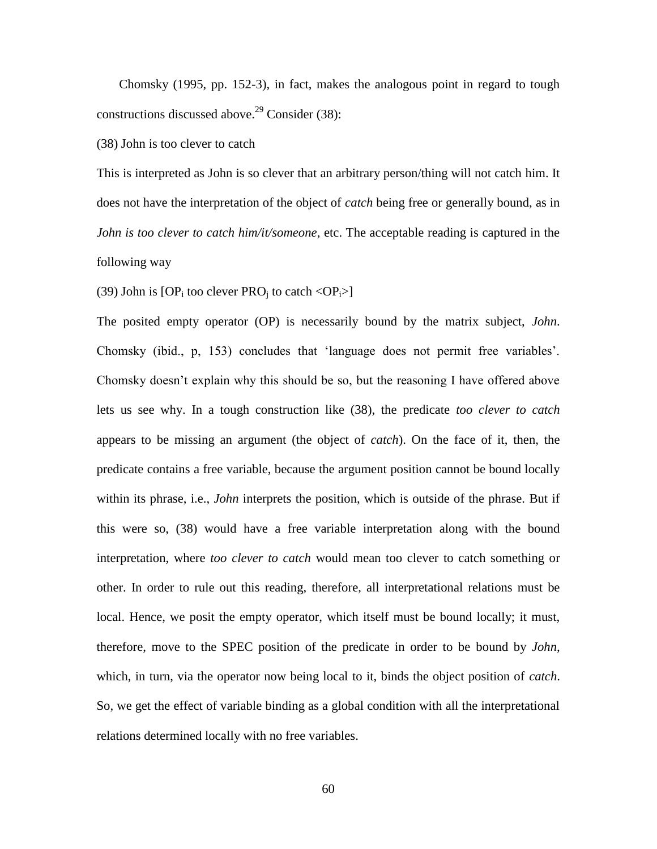Chomsky (1995, pp. 152-3), in fact, makes the analogous point in regard to tough constructions discussed above.<sup>29</sup> Consider (38):

(38) John is too clever to catch

This is interpreted as John is so clever that an arbitrary person/thing will not catch him. It does not have the interpretation of the object of *catch* being free or generally bound, as in *John is too clever to catch him/it/someone*, etc. The acceptable reading is captured in the following way

(39) John is  $[OP_i$  too clever  $PRO_i$  to catch  $\langle OP_i \rangle$ 

The posited empty operator (OP) is necessarily bound by the matrix subject, *John*. Chomsky (ibid., p, 153) concludes that 'language does not permit free variables'. Chomsky doesn't explain why this should be so, but the reasoning I have offered above lets us see why. In a tough construction like (38), the predicate *too clever to catch* appears to be missing an argument (the object of *catch*). On the face of it, then, the predicate contains a free variable, because the argument position cannot be bound locally within its phrase, i.e., *John* interprets the position, which is outside of the phrase. But if this were so, (38) would have a free variable interpretation along with the bound interpretation, where *too clever to catch* would mean too clever to catch something or other. In order to rule out this reading, therefore, all interpretational relations must be local. Hence, we posit the empty operator, which itself must be bound locally; it must, therefore, move to the SPEC position of the predicate in order to be bound by *John*, which, in turn, via the operator now being local to it, binds the object position of *catch*. So, we get the effect of variable binding as a global condition with all the interpretational relations determined locally with no free variables.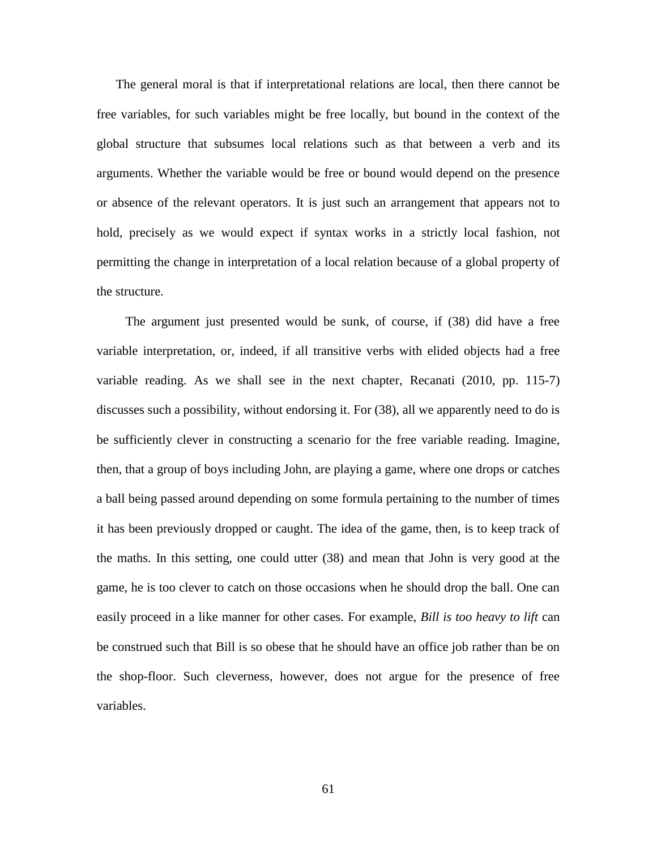The general moral is that if interpretational relations are local, then there cannot be free variables, for such variables might be free locally, but bound in the context of the global structure that subsumes local relations such as that between a verb and its arguments. Whether the variable would be free or bound would depend on the presence or absence of the relevant operators. It is just such an arrangement that appears not to hold, precisely as we would expect if syntax works in a strictly local fashion, not permitting the change in interpretation of a local relation because of a global property of the structure.

 The argument just presented would be sunk, of course, if (38) did have a free variable interpretation, or, indeed, if all transitive verbs with elided objects had a free variable reading. As we shall see in the next chapter, Recanati (2010, pp. 115-7) discusses such a possibility, without endorsing it. For (38), all we apparently need to do is be sufficiently clever in constructing a scenario for the free variable reading. Imagine, then, that a group of boys including John, are playing a game, where one drops or catches a ball being passed around depending on some formula pertaining to the number of times it has been previously dropped or caught. The idea of the game, then, is to keep track of the maths. In this setting, one could utter (38) and mean that John is very good at the game, he is too clever to catch on those occasions when he should drop the ball. One can easily proceed in a like manner for other cases. For example, *Bill is too heavy to lift* can be construed such that Bill is so obese that he should have an office job rather than be on the shop-floor. Such cleverness, however, does not argue for the presence of free variables.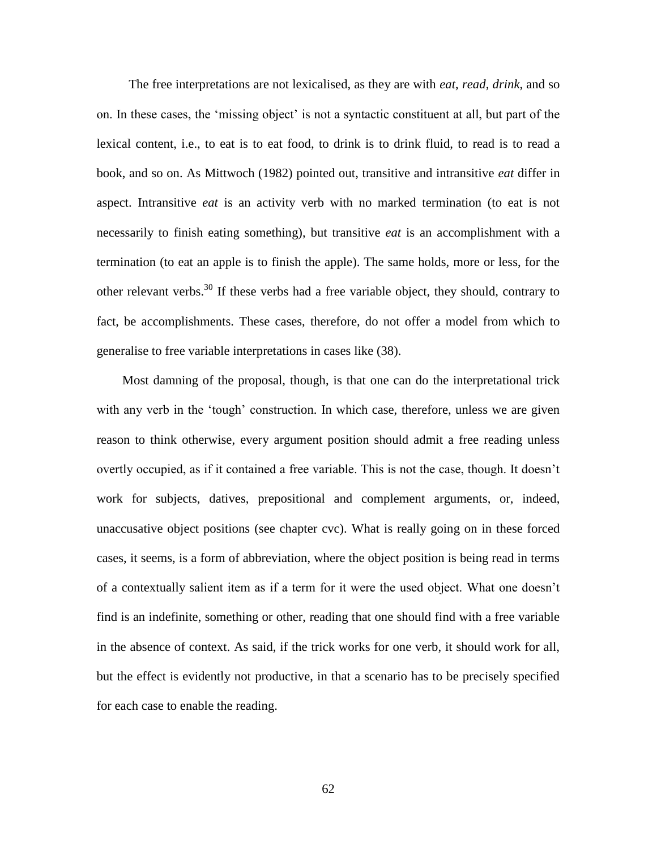The free interpretations are not lexicalised, as they are with *eat*, *read*, *drink*, and so on. In these cases, the 'missing object' is not a syntactic constituent at all, but part of the lexical content, i.e., to eat is to eat food, to drink is to drink fluid, to read is to read a book, and so on. As Mittwoch (1982) pointed out, transitive and intransitive *eat* differ in aspect. Intransitive *eat* is an activity verb with no marked termination (to eat is not necessarily to finish eating something), but transitive *eat* is an accomplishment with a termination (to eat an apple is to finish the apple). The same holds, more or less, for the other relevant verbs.<sup>30</sup> If these verbs had a free variable object, they should, contrary to fact, be accomplishments. These cases, therefore, do not offer a model from which to generalise to free variable interpretations in cases like (38).

 Most damning of the proposal, though, is that one can do the interpretational trick with any verb in the 'tough' construction. In which case, therefore, unless we are given reason to think otherwise, every argument position should admit a free reading unless overtly occupied, as if it contained a free variable. This is not the case, though. It doesn't work for subjects, datives, prepositional and complement arguments, or, indeed, unaccusative object positions (see chapter cvc). What is really going on in these forced cases, it seems, is a form of abbreviation, where the object position is being read in terms of a contextually salient item as if a term for it were the used object. What one doesn't find is an indefinite, something or other, reading that one should find with a free variable in the absence of context. As said, if the trick works for one verb, it should work for all, but the effect is evidently not productive, in that a scenario has to be precisely specified for each case to enable the reading.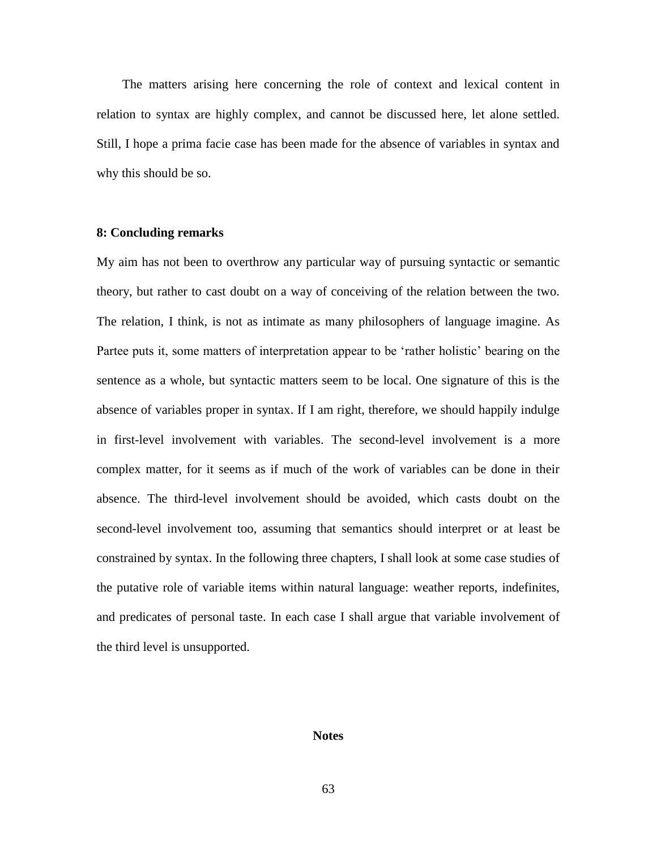The matters arising here concerning the role of context and lexical content in relation to syntax are highly complex, and cannot be discussed here, let alone settled. Still, I hope a prima facie case has been made for the absence of variables in syntax and why this should be so.

## **8: Concluding remarks**

My aim has not been to overthrow any particular way of pursuing syntactic or semantic theory, but rather to cast doubt on a way of conceiving of the relation between the two. The relation, I think, is not as intimate as many philosophers of language imagine. As Partee puts it, some matters of interpretation appear to be 'rather holistic' bearing on the sentence as a whole, but syntactic matters seem to be local. One signature of this is the absence of variables proper in syntax. If I am right, therefore, we should happily indulge in first-level involvement with variables. The second-level involvement is a more complex matter, for it seems as if much of the work of variables can be done in their absence. The third-level involvement should be avoided, which casts doubt on the second-level involvement too, assuming that semantics should interpret or at least be constrained by syntax. In the following three chapters, I shall look at some case studies of the putative role of variable items within natural language: weather reports, indefinites, and predicates of personal taste. In each case I shall argue that variable involvement of the third level is unsupported.

#### **Notes**

63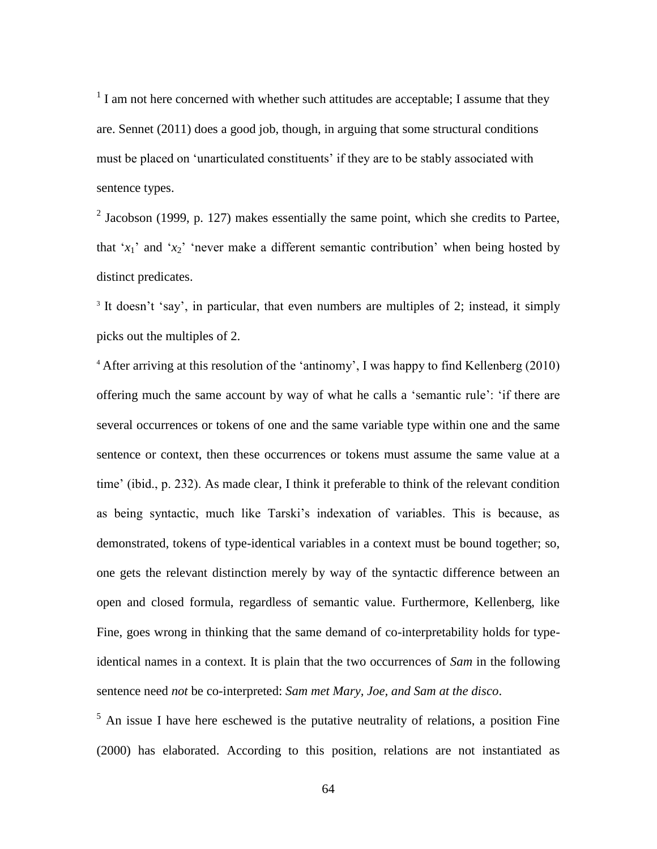$<sup>1</sup>$  I am not here concerned with whether such attitudes are acceptable; I assume that they</sup> are. Sennet (2011) does a good job, though, in arguing that some structural conditions must be placed on 'unarticulated constituents' if they are to be stably associated with sentence types.

 $2$  Jacobson (1999, p. 127) makes essentially the same point, which she credits to Partee, that ' $x_1$ ' and ' $x_2$ ' 'never make a different semantic contribution' when being hosted by distinct predicates.

<sup>3</sup> It doesn't 'say', in particular, that even numbers are multiples of 2; instead, it simply picks out the multiples of 2.

<sup>4</sup> After arriving at this resolution of the 'antinomy', I was happy to find Kellenberg (2010) offering much the same account by way of what he calls a 'semantic rule': 'if there are several occurrences or tokens of one and the same variable type within one and the same sentence or context, then these occurrences or tokens must assume the same value at a time' (ibid., p. 232). As made clear, I think it preferable to think of the relevant condition as being syntactic, much like Tarski's indexation of variables. This is because, as demonstrated, tokens of type-identical variables in a context must be bound together; so, one gets the relevant distinction merely by way of the syntactic difference between an open and closed formula, regardless of semantic value. Furthermore, Kellenberg, like Fine, goes wrong in thinking that the same demand of co-interpretability holds for typeidentical names in a context. It is plain that the two occurrences of *Sam* in the following sentence need *not* be co-interpreted: *Sam met Mary, Joe, and Sam at the disco*.

 $<sup>5</sup>$  An issue I have here eschewed is the putative neutrality of relations, a position Fine</sup> (2000) has elaborated. According to this position, relations are not instantiated as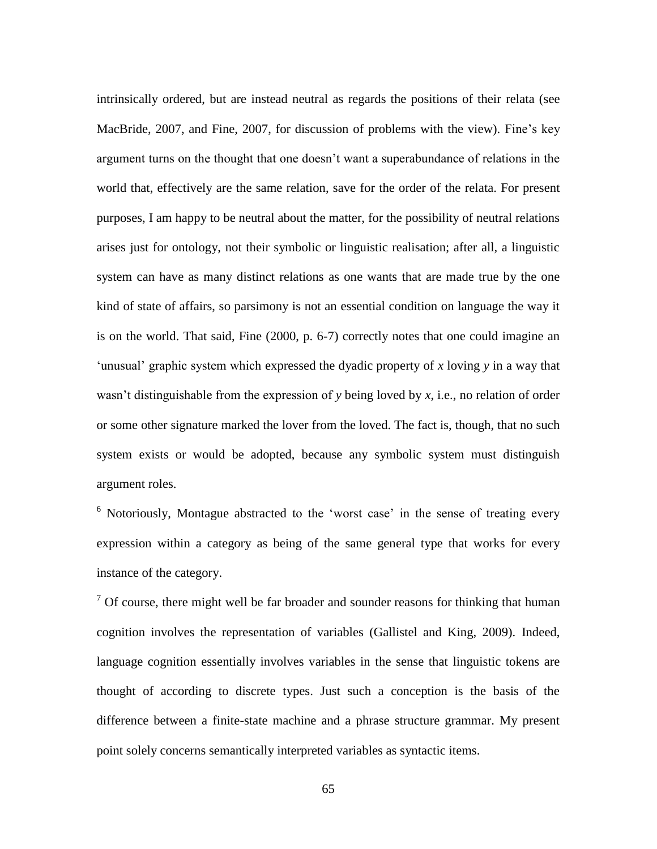intrinsically ordered, but are instead neutral as regards the positions of their relata (see MacBride, 2007, and Fine, 2007, for discussion of problems with the view). Fine's key argument turns on the thought that one doesn't want a superabundance of relations in the world that, effectively are the same relation, save for the order of the relata. For present purposes, I am happy to be neutral about the matter, for the possibility of neutral relations arises just for ontology, not their symbolic or linguistic realisation; after all, a linguistic system can have as many distinct relations as one wants that are made true by the one kind of state of affairs, so parsimony is not an essential condition on language the way it is on the world. That said, Fine (2000, p. 6-7) correctly notes that one could imagine an 'unusual' graphic system which expressed the dyadic property of *x* loving *y* in a way that wasn't distinguishable from the expression of *y* being loved by *x*, i.e., no relation of order or some other signature marked the lover from the loved. The fact is, though, that no such system exists or would be adopted, because any symbolic system must distinguish argument roles.

 $6$  Notoriously, Montague abstracted to the 'worst case' in the sense of treating every expression within a category as being of the same general type that works for every instance of the category.

 $<sup>7</sup>$  Of course, there might well be far broader and sounder reasons for thinking that human</sup> cognition involves the representation of variables (Gallistel and King, 2009). Indeed, language cognition essentially involves variables in the sense that linguistic tokens are thought of according to discrete types. Just such a conception is the basis of the difference between a finite-state machine and a phrase structure grammar. My present point solely concerns semantically interpreted variables as syntactic items.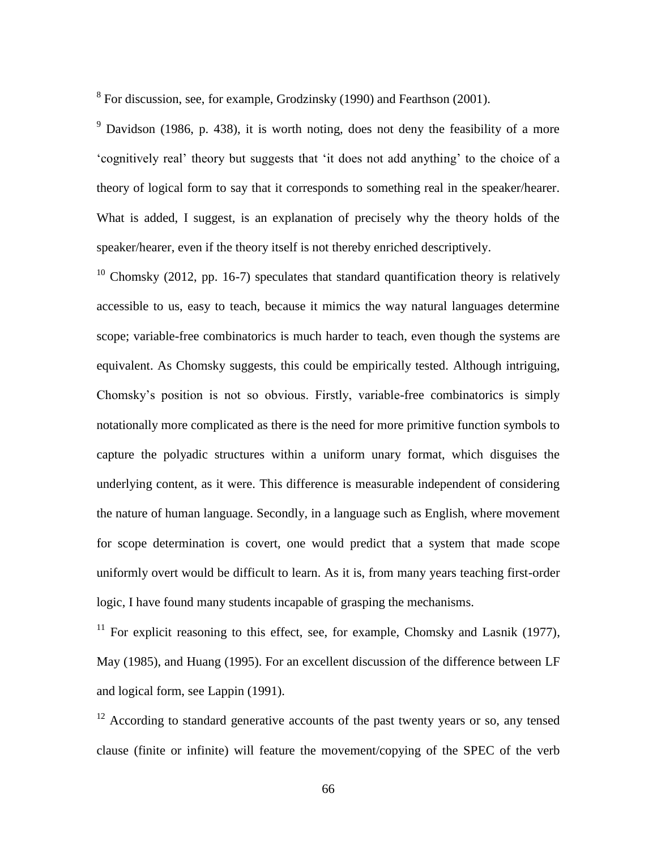$8$  For discussion, see, for example, Grodzinsky (1990) and Fearthson (2001).

 $9$  Davidson (1986, p. 438), it is worth noting, does not deny the feasibility of a more 'cognitively real' theory but suggests that 'it does not add anything' to the choice of a theory of logical form to say that it corresponds to something real in the speaker/hearer. What is added, I suggest, is an explanation of precisely why the theory holds of the speaker/hearer, even if the theory itself is not thereby enriched descriptively.

<sup>10</sup> Chomsky (2012, pp. 16-7) speculates that standard quantification theory is relatively accessible to us, easy to teach, because it mimics the way natural languages determine scope; variable-free combinatorics is much harder to teach, even though the systems are equivalent. As Chomsky suggests, this could be empirically tested. Although intriguing, Chomsky's position is not so obvious. Firstly, variable-free combinatorics is simply notationally more complicated as there is the need for more primitive function symbols to capture the polyadic structures within a uniform unary format, which disguises the underlying content, as it were. This difference is measurable independent of considering the nature of human language. Secondly, in a language such as English, where movement for scope determination is covert, one would predict that a system that made scope uniformly overt would be difficult to learn. As it is, from many years teaching first-order logic, I have found many students incapable of grasping the mechanisms.

<sup>11</sup> For explicit reasoning to this effect, see, for example, Chomsky and Lasnik (1977), May (1985), and Huang (1995). For an excellent discussion of the difference between LF and logical form, see Lappin (1991).

 $12$  According to standard generative accounts of the past twenty years or so, any tensed clause (finite or infinite) will feature the movement/copying of the SPEC of the verb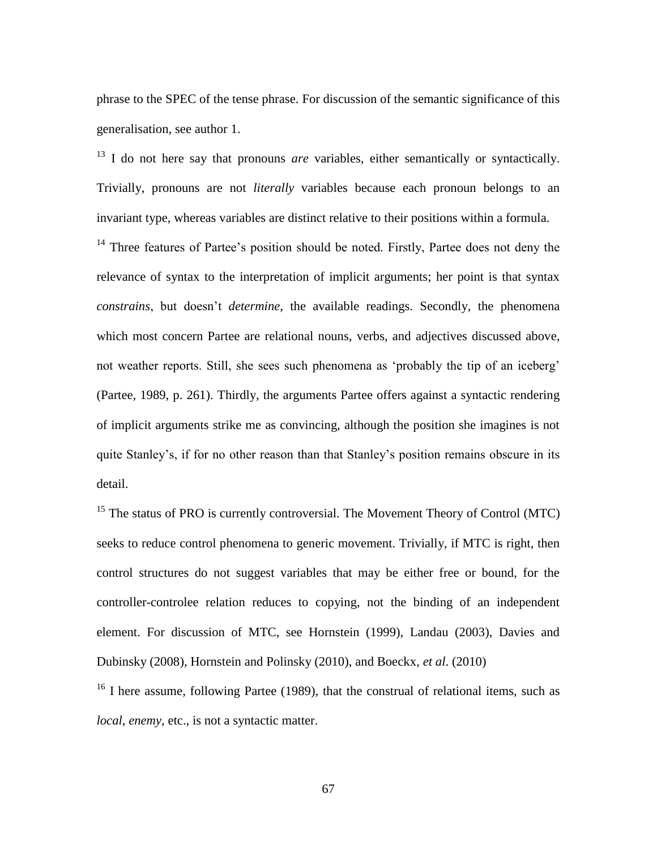phrase to the SPEC of the tense phrase. For discussion of the semantic significance of this generalisation, see author 1.

<sup>13</sup> I do not here say that pronouns *are* variables, either semantically or syntactically. Trivially, pronouns are not *literally* variables because each pronoun belongs to an invariant type, whereas variables are distinct relative to their positions within a formula.

 $14$  Three features of Partee's position should be noted. Firstly, Partee does not deny the relevance of syntax to the interpretation of implicit arguments; her point is that syntax *constrains*, but doesn't *determine*, the available readings. Secondly, the phenomena which most concern Partee are relational nouns, verbs, and adjectives discussed above, not weather reports. Still, she sees such phenomena as 'probably the tip of an iceberg' (Partee, 1989, p. 261). Thirdly, the arguments Partee offers against a syntactic rendering of implicit arguments strike me as convincing, although the position she imagines is not quite Stanley's, if for no other reason than that Stanley's position remains obscure in its detail.

<sup>15</sup> The status of PRO is currently controversial. The Movement Theory of Control (MTC) seeks to reduce control phenomena to generic movement. Trivially, if MTC is right, then control structures do not suggest variables that may be either free or bound, for the controller-controlee relation reduces to copying, not the binding of an independent element. For discussion of MTC, see Hornstein (1999), Landau (2003), Davies and Dubinsky (2008), Hornstein and Polinsky (2010), and Boeckx, *et al*. (2010)

 $16$  I here assume, following Partee (1989), that the construal of relational items, such as *local*, *enemy*, etc., is not a syntactic matter.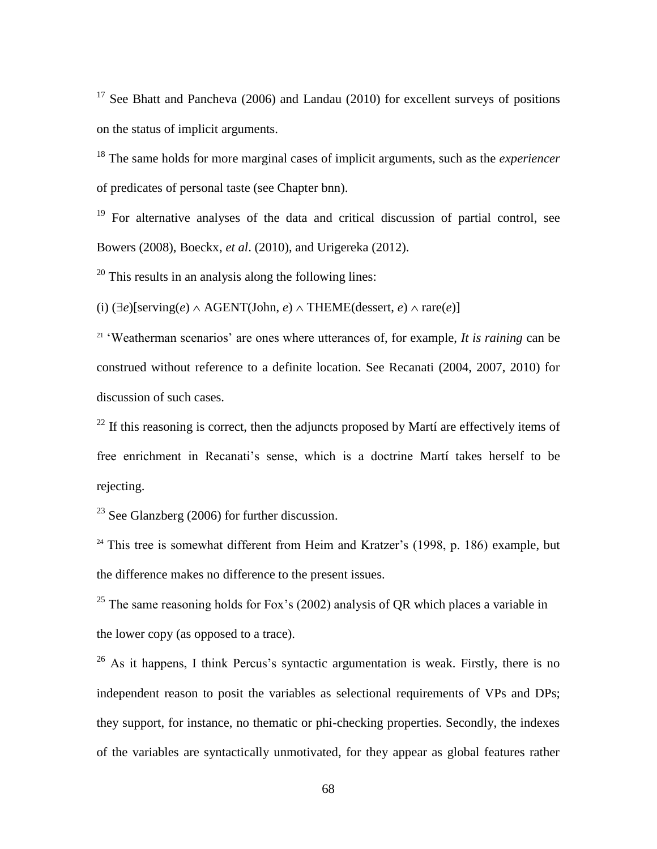<sup>17</sup> See Bhatt and Pancheva (2006) and Landau (2010) for excellent surveys of positions on the status of implicit arguments.

<sup>18</sup> The same holds for more marginal cases of implicit arguments, such as the *experiencer* of predicates of personal taste (see Chapter bnn).

<sup>19</sup> For alternative analyses of the data and critical discussion of partial control, see Bowers (2008), Boeckx, *et al*. (2010), and Urigereka (2012).

 $20$  This results in an analysis along the following lines:

(i)  $(\exists e)$ [serving(*e*)  $\land$  AGENT(John, *e*)  $\land$  THEME(dessert, *e*)  $\land$  rare(*e*)]

<sup>21</sup> 'Weatherman scenarios' are ones where utterances of, for example, *It is raining* can be construed without reference to a definite location. See Recanati (2004, 2007, 2010) for discussion of such cases.

 $^{22}$  If this reasoning is correct, then the adjuncts proposed by Martí are effectively items of free enrichment in Recanati's sense, which is a doctrine Martí takes herself to be rejecting.

<sup>23</sup> See Glanzberg (2006) for further discussion.

 $24$  This tree is somewhat different from Heim and Kratzer's (1998, p. 186) example, but the difference makes no difference to the present issues.

<sup>25</sup> The same reasoning holds for Fox's (2002) analysis of QR which places a variable in the lower copy (as opposed to a trace).

<sup>26</sup> As it happens, I think Percus's syntactic argumentation is weak. Firstly, there is no independent reason to posit the variables as selectional requirements of VPs and DPs; they support, for instance, no thematic or phi-checking properties. Secondly, the indexes of the variables are syntactically unmotivated, for they appear as global features rather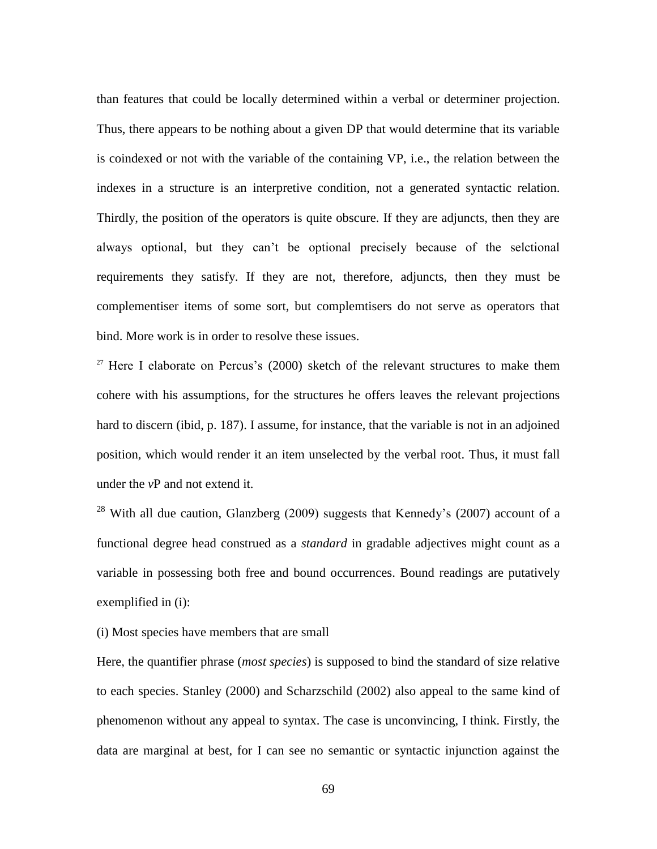than features that could be locally determined within a verbal or determiner projection. Thus, there appears to be nothing about a given DP that would determine that its variable is coindexed or not with the variable of the containing VP, i.e., the relation between the indexes in a structure is an interpretive condition, not a generated syntactic relation. Thirdly, the position of the operators is quite obscure. If they are adjuncts, then they are always optional, but they can't be optional precisely because of the selctional requirements they satisfy. If they are not, therefore, adjuncts, then they must be complementiser items of some sort, but complemtisers do not serve as operators that bind. More work is in order to resolve these issues.

 $27$  Here I elaborate on Percus's (2000) sketch of the relevant structures to make them cohere with his assumptions, for the structures he offers leaves the relevant projections hard to discern (ibid, p. 187). I assume, for instance, that the variable is not in an adjoined position, which would render it an item unselected by the verbal root. Thus, it must fall under the *v*P and not extend it.

<sup>28</sup> With all due caution, Glanzberg (2009) suggests that Kennedy's (2007) account of a functional degree head construed as a *standard* in gradable adjectives might count as a variable in possessing both free and bound occurrences. Bound readings are putatively exemplified in (i):

(i) Most species have members that are small

Here, the quantifier phrase (*most species*) is supposed to bind the standard of size relative to each species. Stanley (2000) and Scharzschild (2002) also appeal to the same kind of phenomenon without any appeal to syntax. The case is unconvincing, I think. Firstly, the data are marginal at best, for I can see no semantic or syntactic injunction against the